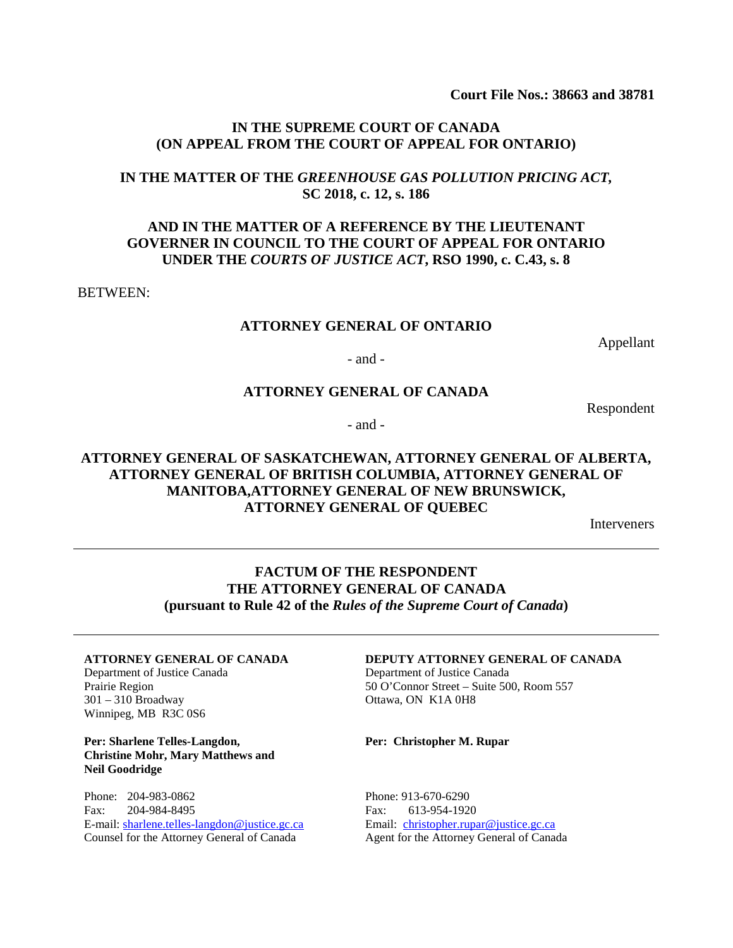**Court File Nos.: 38663 and 38781**

#### **IN THE SUPREME COURT OF CANADA (ON APPEAL FROM THE COURT OF APPEAL FOR ONTARIO)**

#### **IN THE MATTER OF THE** *GREENHOUSE GAS POLLUTION PRICING ACT,* **SC 2018, c. 12, s. 186**

## **AND IN THE MATTER OF A REFERENCE BY THE LIEUTENANT GOVERNER IN COUNCIL TO THE COURT OF APPEAL FOR ONTARIO UNDER THE** *COURTS OF JUSTICE ACT***, RSO 1990, c. C.43, s. 8**

#### BETWEEN:

#### **ATTORNEY GENERAL OF ONTARIO**

Appellant

- and -

#### **ATTORNEY GENERAL OF CANADA**

Respondent

- and -

## **ATTORNEY GENERAL OF SASKATCHEWAN, ATTORNEY GENERAL OF ALBERTA, ATTORNEY GENERAL OF BRITISH COLUMBIA, ATTORNEY GENERAL OF MANITOBA,ATTORNEY GENERAL OF NEW BRUNSWICK, ATTORNEY GENERAL OF QUEBEC**

Interveners

## **FACTUM OF THE RESPONDENT THE ATTORNEY GENERAL OF CANADA (pursuant to Rule 42 of the** *Rules of the Supreme Court of Canada***)**

#### **ATTORNEY GENERAL OF CANADA**

Department of Justice Canada Prairie Region 301 – 310 Broadway Winnipeg, MB R3C 0S6

**Per: Sharlene Telles-Langdon, Christine Mohr, Mary Matthews and Neil Goodridge** 

Phone: 204-983-0862 Fax: 204-984-8495 E-mail: [sharlene.telles-langdon@justice.gc.ca](mailto:sharlene.telles-langdon@justice.gc.ca) Counsel for the Attorney General of Canada

#### **DEPUTY ATTORNEY GENERAL OF CANADA**

Department of Justice Canada 50 O'Connor Street – Suite 500, Room 557 Ottawa, ON K1A 0H8

**Per: Christopher M. Rupar**

Phone: 913-670-6290 Fax: 613-954-1920 Email: [christopher.rupar@justice.gc.ca](mailto:christopher.rupar@justice.gc.ca) Agent for the Attorney General of Canada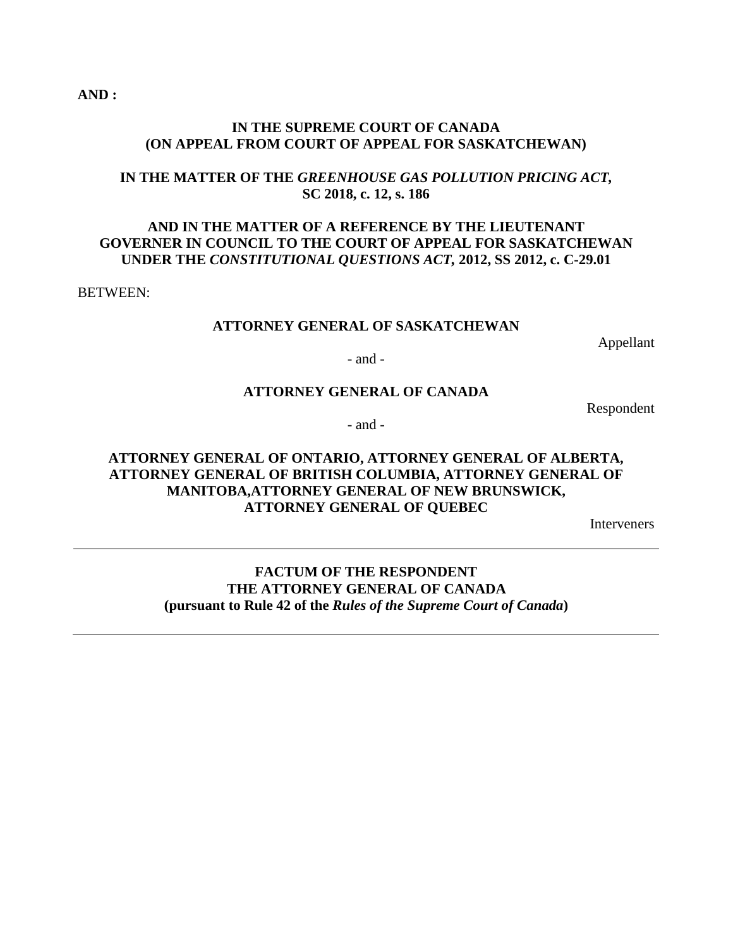**AND :**

#### **IN THE SUPREME COURT OF CANADA (ON APPEAL FROM COURT OF APPEAL FOR SASKATCHEWAN)**

## **IN THE MATTER OF THE** *GREENHOUSE GAS POLLUTION PRICING ACT,* **SC 2018, c. 12, s. 186**

## **AND IN THE MATTER OF A REFERENCE BY THE LIEUTENANT GOVERNER IN COUNCIL TO THE COURT OF APPEAL FOR SASKATCHEWAN UNDER THE** *CONSTITUTIONAL QUESTIONS ACT,* **2012, SS 2012, c. C-29.01**

BETWEEN:

#### **ATTORNEY GENERAL OF SASKATCHEWAN**

Appellant

- and -

#### **ATTORNEY GENERAL OF CANADA**

Respondent

- and -

## **ATTORNEY GENERAL OF ONTARIO, ATTORNEY GENERAL OF ALBERTA, ATTORNEY GENERAL OF BRITISH COLUMBIA, ATTORNEY GENERAL OF MANITOBA,ATTORNEY GENERAL OF NEW BRUNSWICK, ATTORNEY GENERAL OF QUEBEC**

Interveners

**FACTUM OF THE RESPONDENT THE ATTORNEY GENERAL OF CANADA (pursuant to Rule 42 of the** *Rules of the Supreme Court of Canada***)**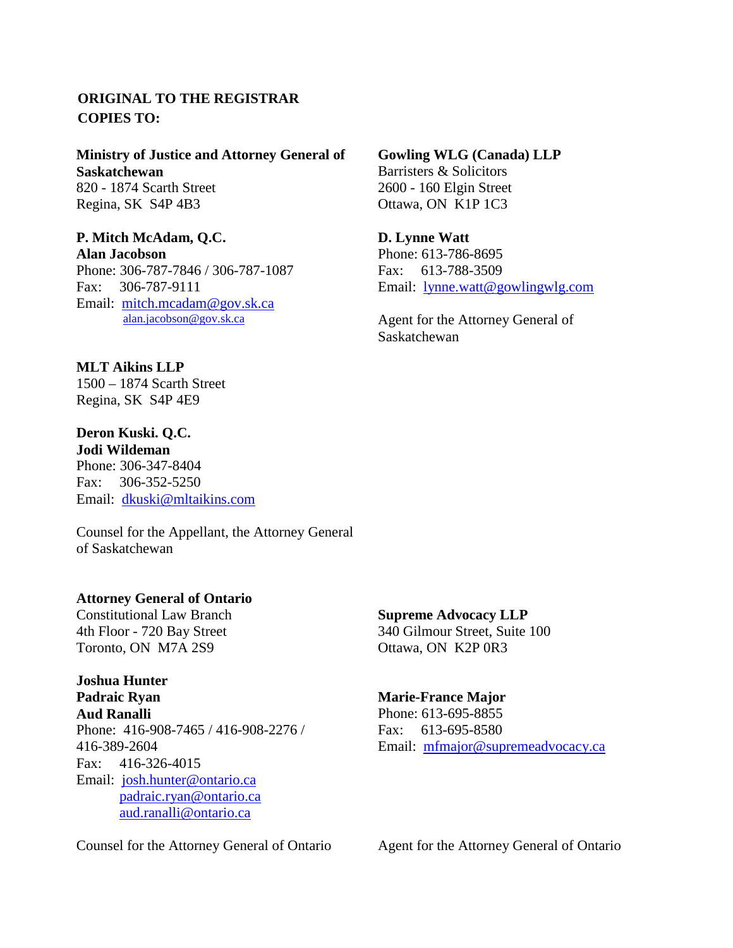# **ORIGINAL TO THE REGISTRAR COPIES TO:**

**Ministry of Justice and Attorney General of Saskatchewan**  820 - 1874 Scarth Street Regina, SK S4P 4B3

# **P. Mitch McAdam, Q.C.**

**Alan Jacobson** Phone: 306-787-7846 / 306-787-1087 Fax: 306-787-9111 Email: [mitch.mcadam@gov.sk.ca](mailto:mitch.mcadam@gov.sk.ca)[alan.jacobson@gov.sk.ca](mailto:alan.jacobson@gov.sk.ca)

**MLT Aikins LLP** 1500 – 1874 Scarth Street

Regina, SK S4P 4E9

**Deron Kuski. Q.C. Jodi Wildeman**

Phone: 306-347-8404 Fax: 306-352-5250 Email: [dkuski@mltaikins.com](mailto:dkuski@mltaikins.com)

Counsel for the Appellant, the Attorney General of Saskatchewan

## **Attorney General of Ontario**

Constitutional Law Branch 4th Floor - 720 Bay Street Toronto, ON M7A 2S9

**Joshua Hunter Padraic Ryan Aud Ranalli** Phone: 416-908-7465 / 416-908-2276 / 416-389-2604 Fax: 416-326-4015 Email: [josh.hunter@ontario.ca](mailto:josh.hunter@ontario.ca) [padraic.ryan@ontario.ca](mailto:padraic.ryan@ontario.ca) [aud.ranalli@ontario.ca](mailto:aud.ranalli@ontario.ca)

Counsel for the Attorney General of Ontario

**Gowling WLG (Canada) LLP** Barristers & Solicitors 2600 - 160 Elgin Street Ottawa, ON K1P 1C3

**D. Lynne Watt** Phone: 613-786-8695 Fax: 613-788-3509 Email: [lynne.watt@gowlingwlg.com](mailto:lynne.watt@gowlingwlg.com)

Agent for the Attorney General of Saskatchewan

**Supreme Advocacy LLP** 340 Gilmour Street, Suite 100 Ottawa, ON K2P 0R3

#### **Marie-France Major**

Phone: 613-695-8855 Fax: 613-695-8580 Email: [mfmajor@supremeadvocacy.ca](mailto:mfmajor@supremeadvocacy.ca)

Agent for the Attorney General of Ontario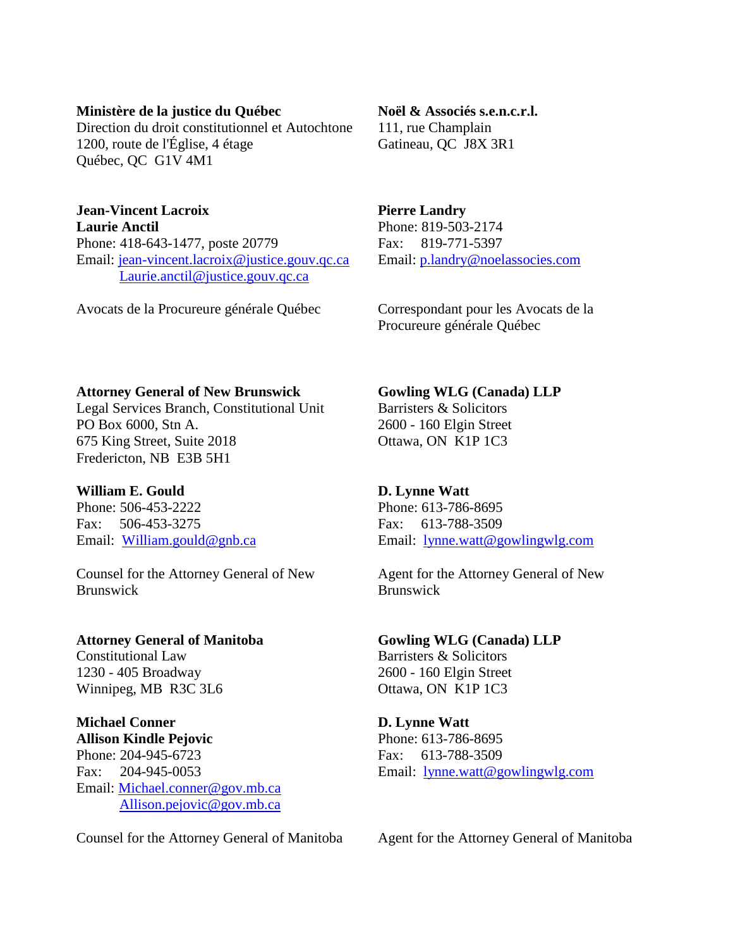#### **Ministère de la justice du Québec**

Direction du droit constitutionnel et Autochtone 1200, route de l'Église, 4 étage Québec, QC G1V 4M1

## **Jean-Vincent Lacroix Laurie Anctil** Phone: 418-643-1477, poste 20779 Email: [jean-vincent.lacroix@justice.gouv.qc.ca](mailto:jean-vincent.lacroix@justice.gouv.qc.ca) [Laurie.anctil@justice.gouv.qc.ca](mailto:Laurie.anctil@justice.gouv.qc.ca)

Avocats de la Procureure générale Québec

#### **Noël & Associés s.e.n.c.r.l.**

111, rue Champlain Gatineau, QC J8X 3R1

## **Pierre Landry**

Phone: 819-503-2174 Fax: 819-771-5397 Email: [p.landry@noelassocies.com](mailto:p.landry@noelassocies.com)

Correspondant pour les Avocats de la Procureure générale Québec

## **Attorney General of New Brunswick**

Legal Services Branch, Constitutional Unit PO Box 6000, Stn A. 675 King Street, Suite 2018 Fredericton, NB E3B 5H1

# **William E. Gould**

Phone: 506-453-2222 Fax: 506-453-3275 Email: [William.gould@gnb.ca](mailto:William.gould@gnb.ca)

Counsel for the Attorney General of New Brunswick

# **Attorney General of Manitoba**

Constitutional Law 1230 - 405 Broadway Winnipeg, MB R3C 3L6

## **Michael Conner Allison Kindle Pejovic**

Phone: 204-945-6723 Fax: 204-945-0053 Email: [Michael.conner@gov.mb.ca](mailto:Michael.conner@gov.mb.ca) [Allison.pejovic@gov.mb.ca](mailto:Allison.pejovic@gov.mb.ca) 

Counsel for the Attorney General of Manitoba

**Gowling WLG (Canada) LLP**

Barristers & Solicitors 2600 - 160 Elgin Street Ottawa, ON K1P 1C3

# **D. Lynne Watt**

Phone: 613-786-8695 Fax: 613-788-3509 Email: [lynne.watt@gowlingwlg.com](mailto:lynne.watt@gowlingwlg.com)

Agent for the Attorney General of New Brunswick

## **Gowling WLG (Canada) LLP** Barristers & Solicitors 2600 - 160 Elgin Street Ottawa, ON K1P 1C3

# **D. Lynne Watt** Phone: 613-786-8695 Fax: 613-788-3509 Email: [lynne.watt@gowlingwlg.com](mailto:lynne.watt@gowlingwlg.com)

Agent for the Attorney General of Manitoba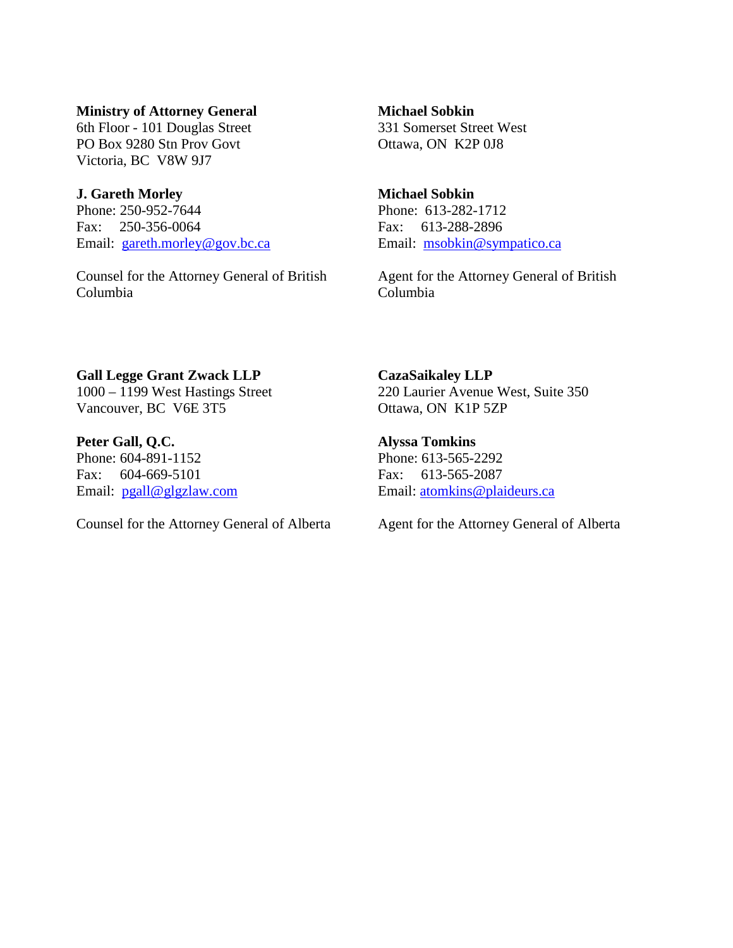#### **Ministry of Attorney General**

6th Floor - 101 Douglas Street PO Box 9280 Stn Prov Govt Victoria, BC V8W 9J7

## **J. Gareth Morley**

Phone: 250-952-7644 Fax: 250-356-0064 Email: [gareth.morley@gov.bc.ca](mailto:gareth.morley@gov.bc.ca)

Counsel for the Attorney General of British Columbia

## **Michael Sobkin** 331 Somerset Street West Ottawa, ON K2P 0J8

#### **Michael Sobkin**

Phone: 613-282-1712 Fax: 613-288-2896 Email: [msobkin@sympatico.ca](mailto:msobkin@sympatico.ca)

Agent for the Attorney General of British Columbia

## **Gall Legge Grant Zwack LLP** 1000 – 1199 West Hastings Street Vancouver, BC V6E 3T5

**Peter Gall, Q.C.** Phone: 604-891-1152 Fax: 604-669-5101 Email: [pgall@glgzlaw.com](mailto:pgall@glgzlaw.com)

Counsel for the Attorney General of Alberta

**CazaSaikaley LLP** 220 Laurier Avenue West, Suite 350 Ottawa, ON K1P 5ZP

**Alyssa Tomkins** Phone: 613-565-2292 Fax: 613-565-2087 Email: [atomkins@plaideurs.ca](mailto:atomkins@plaideurs.ca)

Agent for the Attorney General of Alberta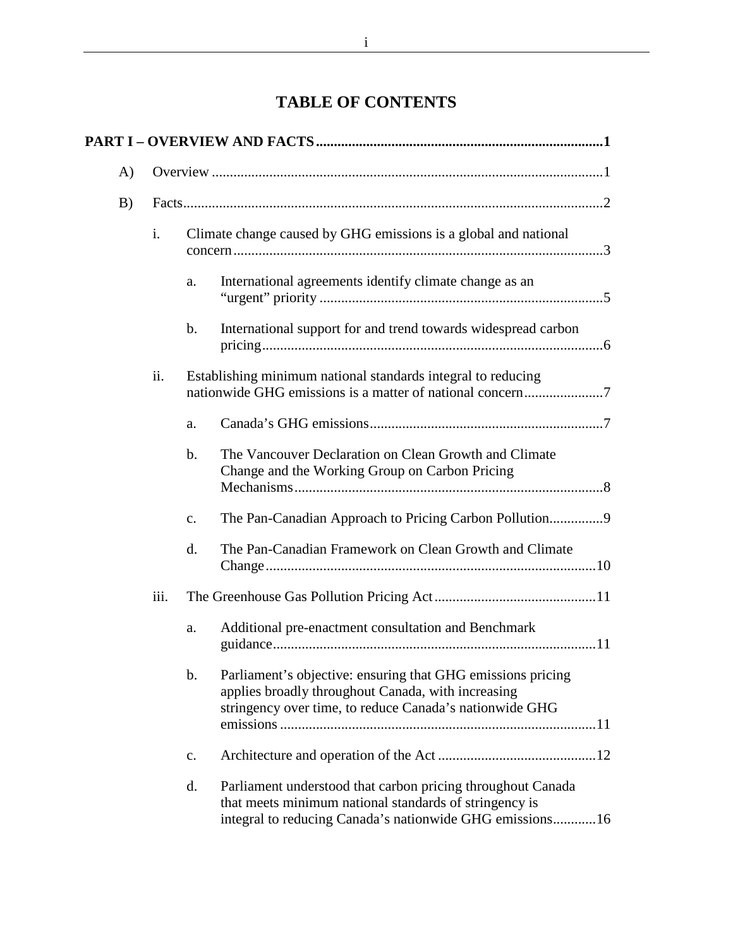# **TABLE OF CONTENTS**

| $\mathbf{A}$ |                    |                                                                                                                                                                                               |  |  |
|--------------|--------------------|-----------------------------------------------------------------------------------------------------------------------------------------------------------------------------------------------|--|--|
| B)           |                    |                                                                                                                                                                                               |  |  |
|              | $\mathbf{i}$ .     | Climate change caused by GHG emissions is a global and national                                                                                                                               |  |  |
|              |                    | International agreements identify climate change as an<br>a.                                                                                                                                  |  |  |
|              |                    | International support for and trend towards widespread carbon<br>$\mathbf b$ .                                                                                                                |  |  |
|              | ii.                | Establishing minimum national standards integral to reducing                                                                                                                                  |  |  |
|              |                    | a.                                                                                                                                                                                            |  |  |
|              |                    | The Vancouver Declaration on Clean Growth and Climate<br>$\mathbf b$ .<br>Change and the Working Group on Carbon Pricing                                                                      |  |  |
|              |                    | $\mathbf{c}$ .                                                                                                                                                                                |  |  |
|              |                    | The Pan-Canadian Framework on Clean Growth and Climate<br>d.                                                                                                                                  |  |  |
|              | $\overline{111}$ . |                                                                                                                                                                                               |  |  |
|              |                    | Additional pre-enactment consultation and Benchmark<br>a.                                                                                                                                     |  |  |
|              |                    | Parliament's objective: ensuring that GHG emissions pricing<br>$\mathbf b$ .<br>applies broadly throughout Canada, with increasing<br>stringency over time, to reduce Canada's nationwide GHG |  |  |
|              |                    | c.                                                                                                                                                                                            |  |  |
|              |                    | Parliament understood that carbon pricing throughout Canada<br>d.<br>that meets minimum national standards of stringency is<br>integral to reducing Canada's nationwide GHG emissions16       |  |  |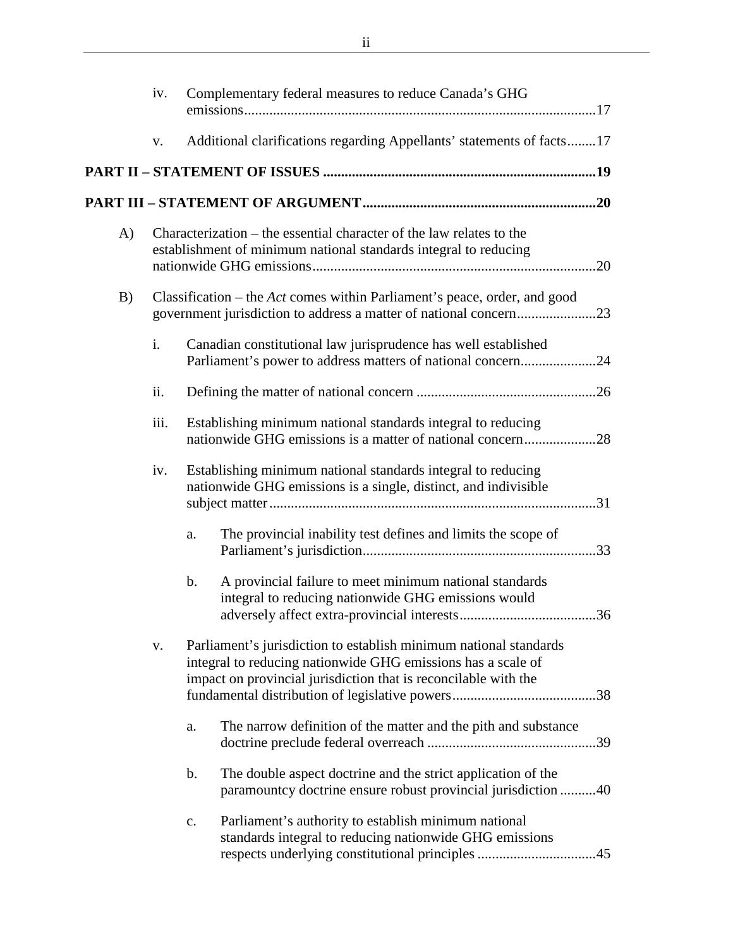|    | iv.  | Complementary federal measures to reduce Canada's GHG                                                                                                                                                |
|----|------|------------------------------------------------------------------------------------------------------------------------------------------------------------------------------------------------------|
|    | V.   | Additional clarifications regarding Appellants' statements of facts17                                                                                                                                |
|    |      |                                                                                                                                                                                                      |
|    |      |                                                                                                                                                                                                      |
| A) |      | Characterization – the essential character of the law relates to the<br>establishment of minimum national standards integral to reducing                                                             |
| B) |      | Classification – the <i>Act</i> comes within Parliament's peace, order, and good                                                                                                                     |
|    | i.   | Canadian constitutional law jurisprudence has well established<br>Parliament's power to address matters of national concern24                                                                        |
|    | ii.  |                                                                                                                                                                                                      |
|    | iii. | Establishing minimum national standards integral to reducing<br>nationwide GHG emissions is a matter of national concern28                                                                           |
|    | iv.  | Establishing minimum national standards integral to reducing<br>nationwide GHG emissions is a single, distinct, and indivisible                                                                      |
|    |      | The provincial inability test defines and limits the scope of<br>a.                                                                                                                                  |
|    |      | A provincial failure to meet minimum national standards<br>b.<br>integral to reducing nationwide GHG emissions would<br>36                                                                           |
|    | V.   | Parliament's jurisdiction to establish minimum national standards<br>integral to reducing nationwide GHG emissions has a scale of<br>impact on provincial jurisdiction that is reconcilable with the |
|    |      | The narrow definition of the matter and the pith and substance<br>a.                                                                                                                                 |
|    |      | The double aspect doctrine and the strict application of the<br>b.<br>paramountcy doctrine ensure robust provincial jurisdiction 40                                                                  |
|    |      | Parliament's authority to establish minimum national<br>$\mathbf{c}$ .<br>standards integral to reducing nationwide GHG emissions<br>respects underlying constitutional principles 45                |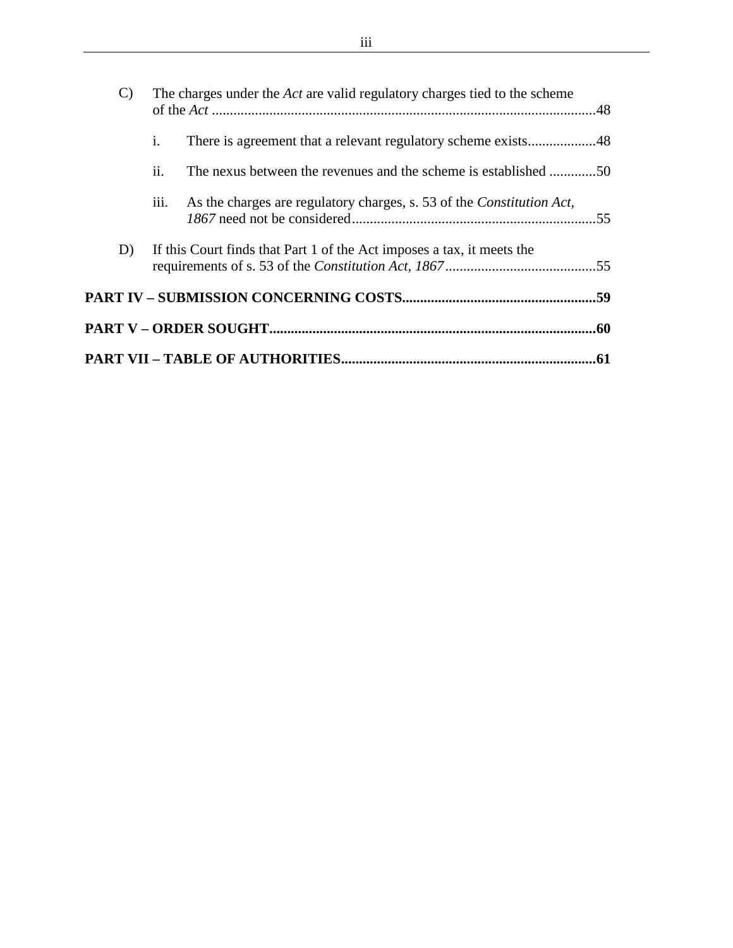|  | $\mathcal{C}$ | The charges under the <i>Act</i> are valid regulatory charges tied to the scheme |                                                                               |  |  |  |
|--|---------------|----------------------------------------------------------------------------------|-------------------------------------------------------------------------------|--|--|--|
|  |               | $\mathbf{i}$ .                                                                   |                                                                               |  |  |  |
|  |               | ii.                                                                              | The nexus between the revenues and the scheme is established 50               |  |  |  |
|  |               | 111.                                                                             | As the charges are regulatory charges, s. 53 of the <i>Constitution Act</i> , |  |  |  |
|  | D)            |                                                                                  | If this Court finds that Part 1 of the Act imposes a tax, it meets the        |  |  |  |
|  |               |                                                                                  |                                                                               |  |  |  |
|  |               |                                                                                  |                                                                               |  |  |  |
|  |               |                                                                                  |                                                                               |  |  |  |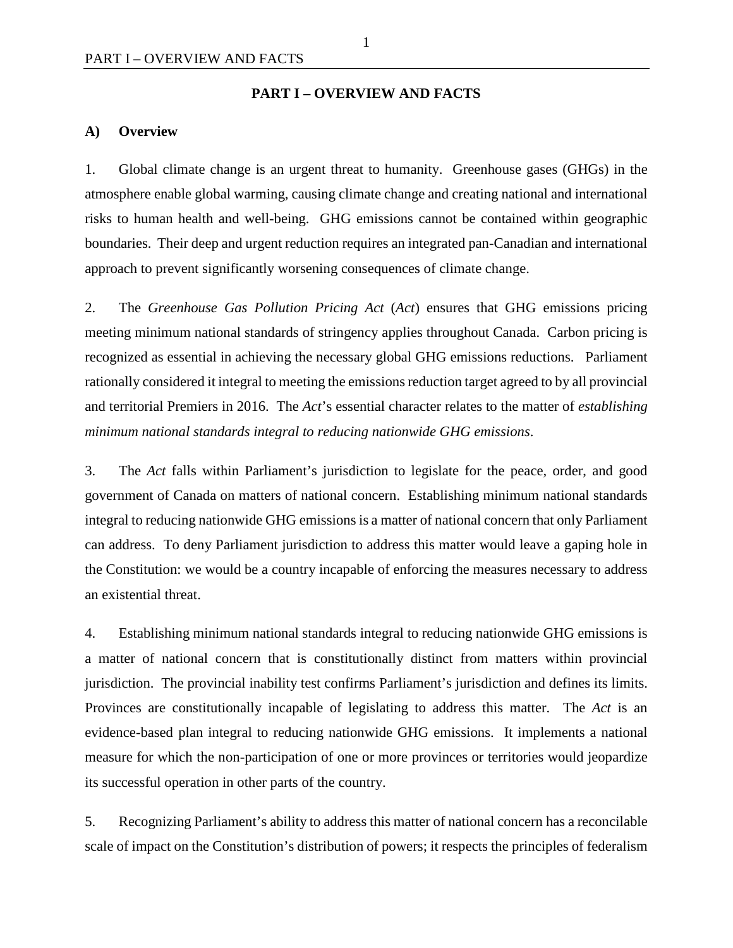#### **PART I – OVERVIEW AND FACTS**

#### <span id="page-8-1"></span><span id="page-8-0"></span>**A) Overview**

1. Global climate change is an urgent threat to humanity. Greenhouse gases (GHGs) in the atmosphere enable global warming, causing climate change and creating national and international risks to human health and well-being. GHG emissions cannot be contained within geographic boundaries. Their deep and urgent reduction requires an integrated pan-Canadian and international approach to prevent significantly worsening consequences of climate change.

2. The *Greenhouse Gas Pollution Pricing Act* (*Act*) ensures that GHG emissions pricing meeting minimum national standards of stringency applies throughout Canada. Carbon pricing is recognized as essential in achieving the necessary global GHG emissions reductions. Parliament rationally considered it integral to meeting the emissions reduction target agreed to by all provincial and territorial Premiers in 2016. The *Act*'s essential character relates to the matter of *establishing minimum national standards integral to reducing nationwide GHG emissions*.

3. The *Act* falls within Parliament's jurisdiction to legislate for the peace, order, and good government of Canada on matters of national concern. Establishing minimum national standards integral to reducing nationwide GHG emissions is a matter of national concern that only Parliament can address. To deny Parliament jurisdiction to address this matter would leave a gaping hole in the Constitution: we would be a country incapable of enforcing the measures necessary to address an existential threat.

4. Establishing minimum national standards integral to reducing nationwide GHG emissions is a matter of national concern that is constitutionally distinct from matters within provincial jurisdiction. The provincial inability test confirms Parliament's jurisdiction and defines its limits. Provinces are constitutionally incapable of legislating to address this matter. The *Act* is an evidence-based plan integral to reducing nationwide GHG emissions. It implements a national measure for which the non-participation of one or more provinces or territories would jeopardize its successful operation in other parts of the country.

5. Recognizing Parliament's ability to address this matter of national concern has a reconcilable scale of impact on the Constitution's distribution of powers; it respects the principles of federalism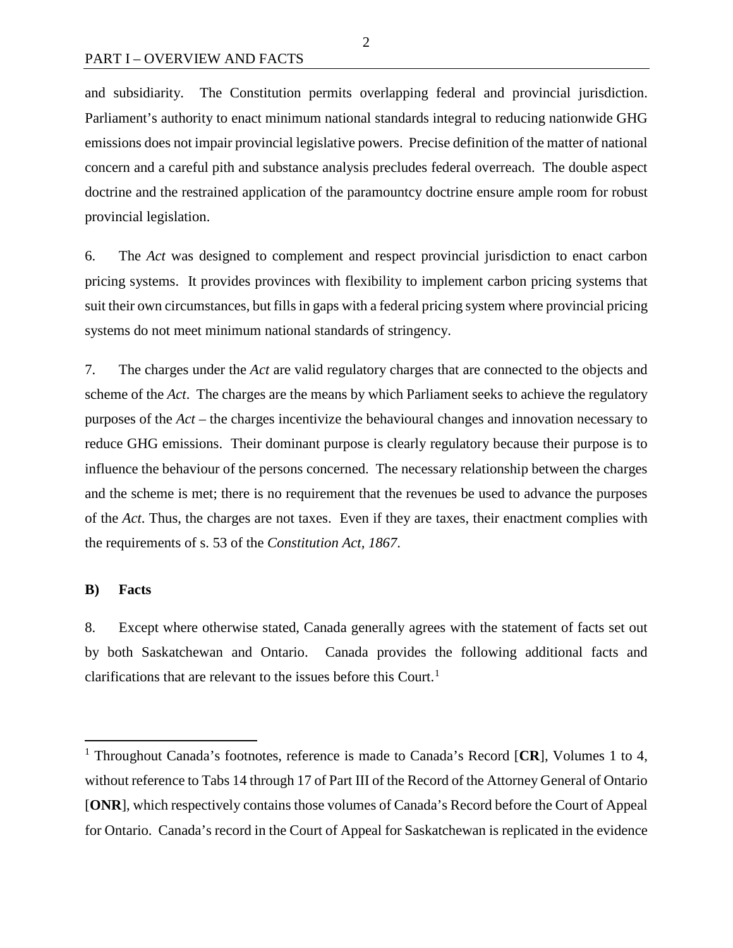and subsidiarity. The Constitution permits overlapping federal and provincial jurisdiction. Parliament's authority to enact minimum national standards integral to reducing nationwide GHG emissions does not impair provincial legislative powers. Precise definition of the matter of national concern and a careful pith and substance analysis precludes federal overreach. The double aspect doctrine and the restrained application of the paramountcy doctrine ensure ample room for robust provincial legislation.

6. The *Act* was designed to complement and respect provincial jurisdiction to enact carbon pricing systems. It provides provinces with flexibility to implement carbon pricing systems that suit their own circumstances, but fills in gaps with a federal pricing system where provincial pricing systems do not meet minimum national standards of stringency.

7. The charges under the *Act* are valid regulatory charges that are connected to the objects and scheme of the *Act*. The charges are the means by which Parliament seeks to achieve the regulatory purposes of the *Act* – the charges incentivize the behavioural changes and innovation necessary to reduce GHG emissions. Their dominant purpose is clearly regulatory because their purpose is to influence the behaviour of the persons concerned. The necessary relationship between the charges and the scheme is met; there is no requirement that the revenues be used to advance the purposes of the *Act*. Thus, the charges are not taxes. Even if they are taxes, their enactment complies with the requirements of s. 53 of the *Constitution Act, 1867*.

#### <span id="page-9-0"></span>**B) Facts**

8. Except where otherwise stated, Canada generally agrees with the statement of facts set out by both Saskatchewan and Ontario. Canada provides the following additional facts and clarifications that are relevant to the issues before this Court.<sup>[1](#page-9-1)</sup>

2

<span id="page-9-1"></span> <sup>1</sup> Throughout Canada's footnotes, reference is made to Canada's Record [**CR**], Volumes 1 to 4, without reference to Tabs 14 through 17 of Part III of the Record of the Attorney General of Ontario [**ONR**], which respectively contains those volumes of Canada's Record before the Court of Appeal for Ontario. Canada's record in the Court of Appeal for Saskatchewan is replicated in the evidence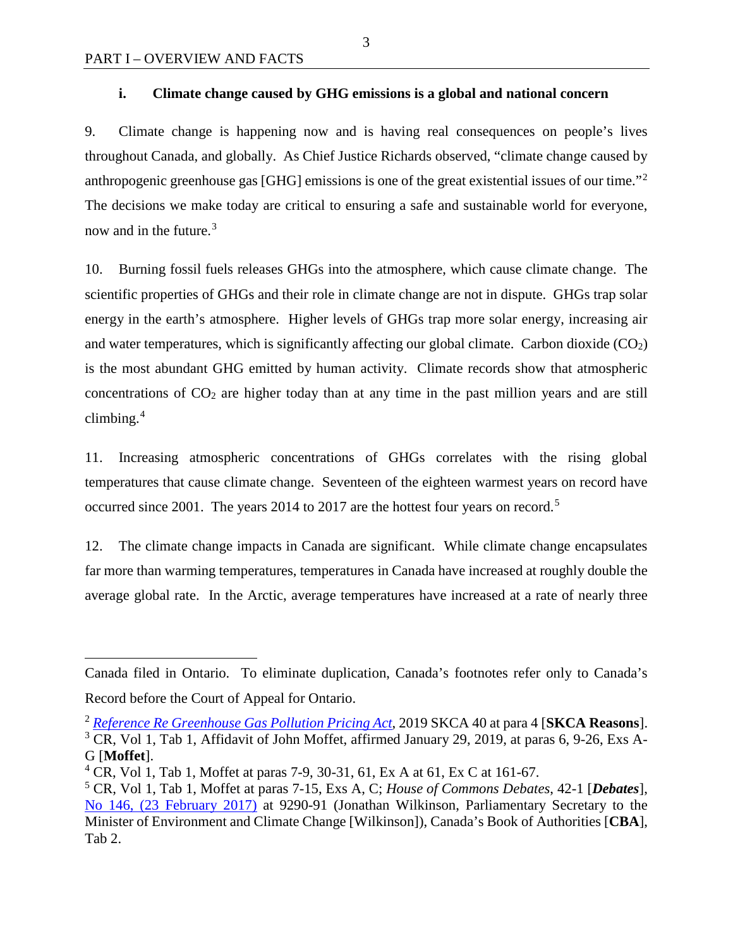$\overline{a}$ 

## <span id="page-10-0"></span>**i. Climate change caused by GHG emissions is a global and national concern**

9. Climate change is happening now and is having real consequences on people's lives throughout Canada, and globally. As Chief Justice Richards observed, "climate change caused by anthropogenic greenhouse gas [GHG] emissions is one of the great existential issues of our time."[2](#page-10-1) The decisions we make today are critical to ensuring a safe and sustainable world for everyone, now and in the future.<sup>[3](#page-10-2)</sup>

10. Burning fossil fuels releases GHGs into the atmosphere, which cause climate change. The scientific properties of GHGs and their role in climate change are not in dispute. GHGs trap solar energy in the earth's atmosphere. Higher levels of GHGs trap more solar energy, increasing air and water temperatures, which is significantly affecting our global climate. Carbon dioxide  $(CO<sub>2</sub>)$ is the most abundant GHG emitted by human activity. Climate records show that atmospheric concentrations of  $CO<sub>2</sub>$  are higher today than at any time in the past million years and are still climbing. $4$ 

11. Increasing atmospheric concentrations of GHGs correlates with the rising global temperatures that cause climate change. Seventeen of the eighteen warmest years on record have occurred since 2001. The years 2014 to 2017 are the hottest four years on record.<sup>[5](#page-10-4)</sup>

12. The climate change impacts in Canada are significant. While climate change encapsulates far more than warming temperatures, temperatures in Canada have increased at roughly double the average global rate. In the Arctic, average temperatures have increased at a rate of nearly three

Canada filed in Ontario. To eliminate duplication, Canada's footnotes refer only to Canada's Record before the Court of Appeal for Ontario.

<span id="page-10-2"></span><span id="page-10-1"></span><sup>2</sup> *[Reference Re Greenhouse Gas Pollution Pricing Act](https://sasklawcourts.ca/images/documents/CA_2019SKCA040.pdf)*, 2019 SKCA 40 at para 4 [**SKCA Reasons**].  $3$  CR, Vol 1, Tab 1, Affidavit of John Moffet, affirmed January 29, 2019, at paras 6, 9-26, Exs A-G [**Moffet**].

<span id="page-10-3"></span><sup>&</sup>lt;sup>4</sup> CR, Vol 1, Tab 1, Moffet at paras 7-9, 30-31, 61, Ex A at 61, Ex C at 161-67.

<span id="page-10-4"></span><sup>5</sup> CR, Vol 1, Tab 1, Moffet at paras 7-15, Exs A, C; *House of Commons Debates*, 42-1 [*Debates*], [No 146, \(23 February 2017\)](http://www.ourcommons.ca/Content/House/421/Debates/146/HAN146-E.PDF) at 9290-91 (Jonathan Wilkinson, Parliamentary Secretary to the Minister of Environment and Climate Change [Wilkinson]), Canada's Book of Authorities [**CBA**], Tab 2.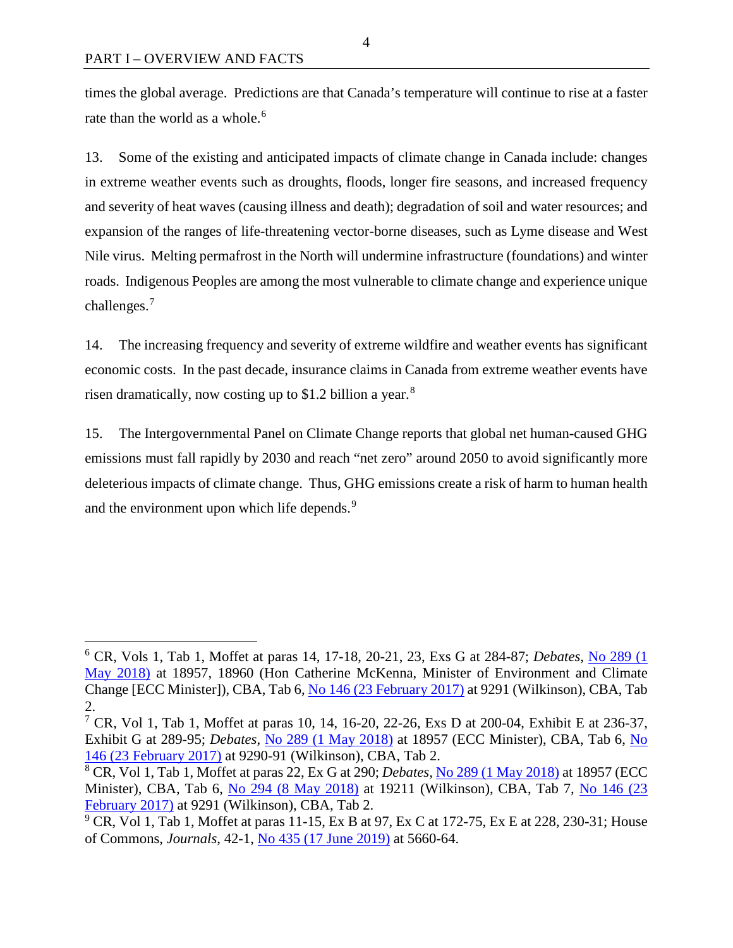times the global average. Predictions are that Canada's temperature will continue to rise at a faster rate than the world as a whole.<sup>[6](#page-11-0)</sup>

13. Some of the existing and anticipated impacts of climate change in Canada include: changes in extreme weather events such as droughts, floods, longer fire seasons, and increased frequency and severity of heat waves (causing illness and death); degradation of soil and water resources; and expansion of the ranges of life-threatening vector-borne diseases, such as Lyme disease and West Nile virus. Melting permafrost in the North will undermine infrastructure (foundations) and winter roads. Indigenous Peoples are among the most vulnerable to climate change and experience unique challenges.<sup>[7](#page-11-1)</sup>

14. The increasing frequency and severity of extreme wildfire and weather events has significant economic costs. In the past decade, insurance claims in Canada from extreme weather events have risen dramatically, now costing up to \$1.2 billion a year.<sup>[8](#page-11-2)</sup>

15. The Intergovernmental Panel on Climate Change reports that global net human-caused GHG emissions must fall rapidly by 2030 and reach "net zero" around 2050 to avoid significantly more deleterious impacts of climate change. Thus, GHG emissions create a risk of harm to human health and the environment upon which life depends.<sup>[9](#page-11-3)</sup>

<span id="page-11-0"></span> <sup>6</sup> CR, Vols 1, Tab 1, Moffet at paras 14, 17-18, 20-21, 23, Exs G at 284-87; *Debates*, [No 289 \(1](http://www.ourcommons.ca/Content/House/421/Debates/289/HAN289-E.PDF)  [May 2018\)](http://www.ourcommons.ca/Content/House/421/Debates/289/HAN289-E.PDF) at 18957, 18960 (Hon Catherine McKenna, Minister of Environment and Climate Change [ECC Minister]), CBA, Tab 6, [No 146 \(23 February 2017\)](http://www.ourcommons.ca/Content/House/421/Debates/146/HAN146-E.PDF) at 9291 (Wilkinson), CBA, Tab 2.

<span id="page-11-1"></span><sup>&</sup>lt;sup>7</sup> CR, Vol 1, Tab 1, Moffet at paras 10, 14, 16-20, 22-26, Exs D at 200-04, Exhibit E at 236-37, Exhibit G at 289-95; *Debates*, [No 289 \(1 May 2018\)](http://www.ourcommons.ca/Content/House/421/Debates/289/HAN289-E.PDF) at 18957 (ECC Minister), CBA, Tab 6, [No](http://www.ourcommons.ca/Content/House/421/Debates/146/HAN146-E.PDF)  [146 \(23 February 2017\)](http://www.ourcommons.ca/Content/House/421/Debates/146/HAN146-E.PDF) at 9290-91 (Wilkinson), CBA, Tab 2.

<span id="page-11-2"></span><sup>8</sup> CR, Vol 1, Tab 1, Moffet at paras 22, Ex G at 290; *Debates*, [No 289 \(1 May 2018\)](http://www.ourcommons.ca/Content/House/421/Debates/289/HAN289-E.PDF) at 18957 (ECC Minister), CBA, Tab 6, [No 294 \(8 May 2018\)](http://www.ourcommons.ca/Content/House/421/Debates/294/HAN294-E.PDF) at 19211 (Wilkinson), CBA, Tab 7, No 146 (23 [February 2017\)](http://www.ourcommons.ca/Content/House/421/Debates/146/HAN146-E.PDF) at 9291 (Wilkinson), CBA, Tab 2.

<span id="page-11-3"></span> $9^{\circ}$  CR, Vol 1, Tab 1, Moffet at paras 11-15, Ex B at 97, Ex C at 172-75, Ex E at 228, 230-31; House of Commons, *Journals*, 42-1, [No 435 \(17 June 2019\)](https://www.ourcommons.ca/Content/House/421/Journals/435/Journal435.PDF) at 5660-64.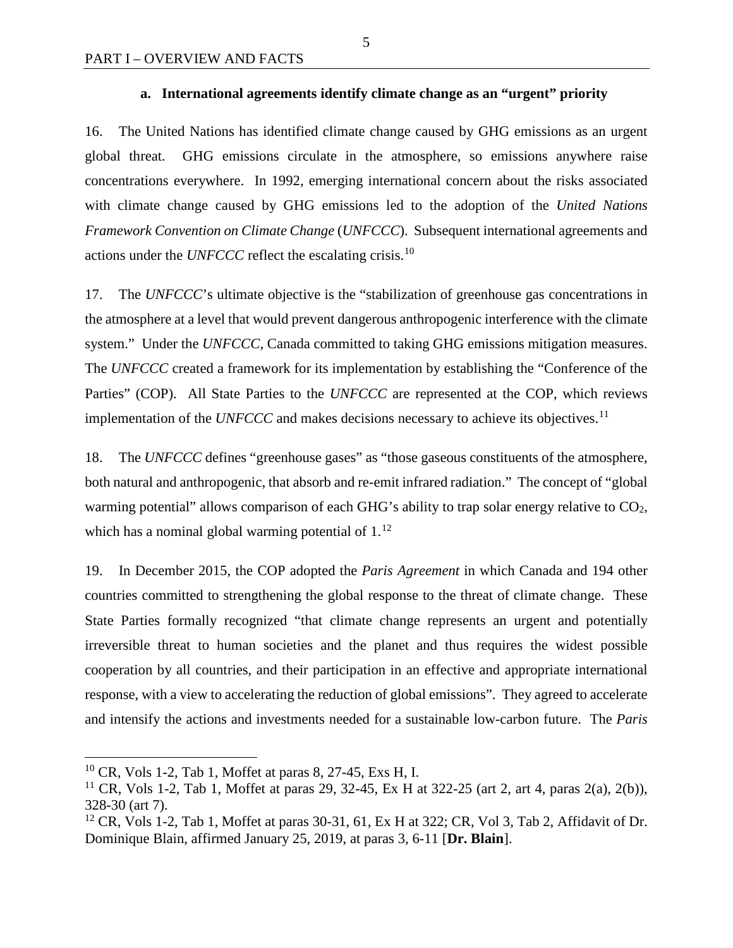## **a. International agreements identify climate change as an "urgent" priority**

<span id="page-12-0"></span>16. The United Nations has identified climate change caused by GHG emissions as an urgent global threat. GHG emissions circulate in the atmosphere, so emissions anywhere raise concentrations everywhere. In 1992, emerging international concern about the risks associated with climate change caused by GHG emissions led to the adoption of the *United Nations Framework Convention on Climate Change* (*UNFCCC*). Subsequent international agreements and actions under the *UNFCCC* reflect the escalating crisis.<sup>[10](#page-12-1)</sup>

17. The *UNFCCC*'s ultimate objective is the "stabilization of greenhouse gas concentrations in the atmosphere at a level that would prevent dangerous anthropogenic interference with the climate system." Under the *UNFCCC*, Canada committed to taking GHG emissions mitigation measures. The *UNFCCC* created a framework for its implementation by establishing the "Conference of the Parties" (COP). All State Parties to the *UNFCCC* are represented at the COP, which reviews implementation of the *UNFCCC* and makes decisions necessary to achieve its objectives.<sup>[11](#page-12-2)</sup>

18. The *UNFCCC* defines "greenhouse gases" as "those gaseous constituents of the atmosphere, both natural and anthropogenic, that absorb and re-emit infrared radiation." The concept of "global warming potential" allows comparison of each GHG's ability to trap solar energy relative to CO<sub>2</sub>, which has a nominal global warming potential of  $1<sup>12</sup>$  $1<sup>12</sup>$  $1<sup>12</sup>$ 

19. In December 2015, the COP adopted the *Paris Agreement* in which Canada and 194 other countries committed to strengthening the global response to the threat of climate change. These State Parties formally recognized "that climate change represents an urgent and potentially irreversible threat to human societies and the planet and thus requires the widest possible cooperation by all countries, and their participation in an effective and appropriate international response, with a view to accelerating the reduction of global emissions". They agreed to accelerate and intensify the actions and investments needed for a sustainable low-carbon future. The *Paris* 

<span id="page-12-1"></span> $10$  CR, Vols 1-2, Tab 1, Moffet at paras 8, 27-45, Exs H, I.

<span id="page-12-2"></span><sup>&</sup>lt;sup>11</sup> CR, Vols 1-2, Tab 1, Moffet at paras 29, 32-45, Ex H at 322-25 (art 2, art 4, paras 2(a), 2(b)), 328-30 (art 7).

<span id="page-12-3"></span> $12$  CR, Vols 1-2, Tab 1, Moffet at paras 30-31, 61, Ex H at 322; CR, Vol 3, Tab 2, Affidavit of Dr. Dominique Blain, affirmed January 25, 2019, at paras 3, 6-11 [**Dr. Blain**].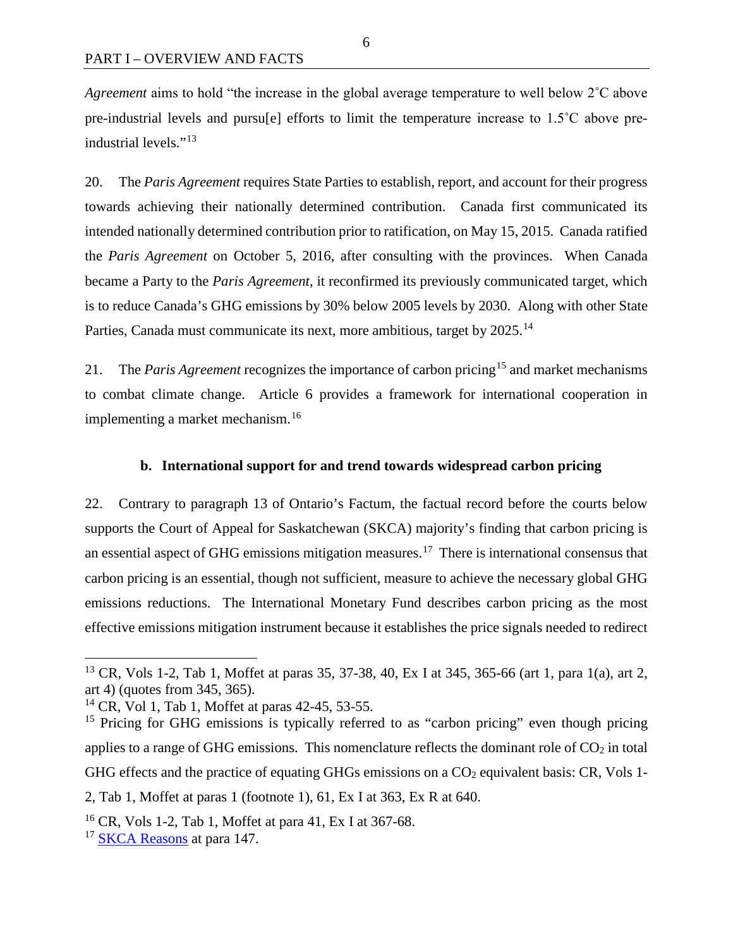*Agreement* aims to hold "the increase in the global average temperature to well below 2˚C above pre-industrial levels and pursu[e] efforts to limit the temperature increase to 1.5˚C above pre-industrial levels."<sup>[13](#page-13-1)</sup>

20. The *Paris Agreement* requires State Parties to establish, report, and account for their progress towards achieving their nationally determined contribution. Canada first communicated its intended nationally determined contribution prior to ratification, on May 15, 2015. Canada ratified the *Paris Agreement* on October 5, 2016, after consulting with the provinces. When Canada became a Party to the *Paris Agreement*, it reconfirmed its previously communicated target, which is to reduce Canada's GHG emissions by 30% below 2005 levels by 2030. Along with other State Parties, Canada must communicate its next, more ambitious, target by 2025.<sup>[14](#page-13-2)</sup>

21. The *Paris Agreement* recognizes the importance of carbon pricing<sup>[15](#page-13-3)</sup> and market mechanisms to combat climate change. Article 6 provides a framework for international cooperation in implementing a market mechanism.<sup>[16](#page-13-4)</sup>

#### **b. International support for and trend towards widespread carbon pricing**

<span id="page-13-0"></span>22. Contrary to paragraph 13 of Ontario's Factum, the factual record before the courts below supports the Court of Appeal for Saskatchewan (SKCA) majority's finding that carbon pricing is an essential aspect of GHG emissions mitigation measures.<sup>17</sup> There is international consensus that carbon pricing is an essential, though not sufficient, measure to achieve the necessary global GHG emissions reductions. The International Monetary Fund describes carbon pricing as the most effective emissions mitigation instrument because it establishes the price signals needed to redirect

<span id="page-13-1"></span><sup>&</sup>lt;sup>13</sup> CR, Vols 1-2, Tab 1, Moffet at paras 35, 37-38, 40, Ex I at 345, 365-66 (art 1, para 1(a), art 2, art 4) (quotes from 345, 365).

<span id="page-13-2"></span><sup>14</sup> CR, Vol 1, Tab 1, Moffet at paras 42-45, 53-55.

<span id="page-13-3"></span><sup>&</sup>lt;sup>15</sup> Pricing for GHG emissions is typically referred to as "carbon pricing" even though pricing applies to a range of GHG emissions. This nomenclature reflects the dominant role of  $CO<sub>2</sub>$  in total GHG effects and the practice of equating GHGs emissions on a  $CO<sub>2</sub>$  equivalent basis: CR, Vols 1-2, Tab 1, Moffet at paras 1 (footnote 1), 61, Ex I at 363, Ex R at 640.

<span id="page-13-4"></span><sup>&</sup>lt;sup>16</sup> CR, Vols 1-2, Tab 1, Moffet at para 41, Ex I at 367-68.

<span id="page-13-5"></span><sup>&</sup>lt;sup>17</sup> [SKCA Reasons](https://sasklawcourts.ca/images/documents/CA_2019SKCA040.pdf) at para 147.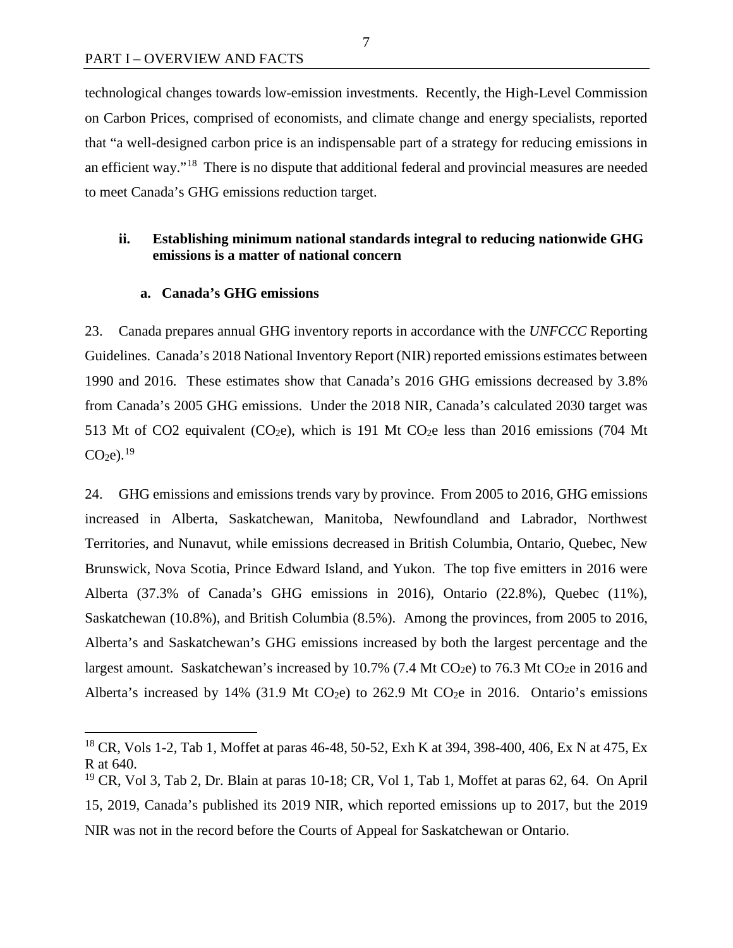technological changes towards low-emission investments. Recently, the High-Level Commission on Carbon Prices, comprised of economists, and climate change and energy specialists, reported that "a well-designed carbon price is an indispensable part of a strategy for reducing emissions in an efficient way."[18](#page-14-2) There is no dispute that additional federal and provincial measures are needed to meet Canada's GHG emissions reduction target.

## <span id="page-14-0"></span>**ii. Establishing minimum national standards integral to reducing nationwide GHG emissions is a matter of national concern**

#### **a. Canada's GHG emissions**

<span id="page-14-1"></span>23. Canada prepares annual GHG inventory reports in accordance with the *UNFCCC* Reporting Guidelines. Canada's 2018 National Inventory Report (NIR) reported emissions estimates between 1990 and 2016. These estimates show that Canada's 2016 GHG emissions decreased by 3.8% from Canada's 2005 GHG emissions. Under the 2018 NIR, Canada's calculated 2030 target was 513 Mt of CO2 equivalent (CO<sub>2</sub>e), which is 191 Mt CO<sub>2</sub>e less than 2016 emissions (704 Mt  $CO<sub>2</sub>e$ ).<sup>[19](#page-14-3)</sup>

24. GHG emissions and emissions trends vary by province. From 2005 to 2016, GHG emissions increased in Alberta, Saskatchewan, Manitoba, Newfoundland and Labrador, Northwest Territories, and Nunavut, while emissions decreased in British Columbia, Ontario, Quebec, New Brunswick, Nova Scotia, Prince Edward Island, and Yukon. The top five emitters in 2016 were Alberta (37.3% of Canada's GHG emissions in 2016), Ontario (22.8%), Quebec (11%), Saskatchewan (10.8%), and British Columbia (8.5%). Among the provinces, from 2005 to 2016, Alberta's and Saskatchewan's GHG emissions increased by both the largest percentage and the largest amount. Saskatchewan's increased by 10.7% (7.4 Mt CO<sub>2</sub>e) to 76.3 Mt CO<sub>2</sub>e in 2016 and Alberta's increased by 14% (31.9 Mt CO<sub>2</sub>e) to 262.9 Mt CO<sub>2</sub>e in 2016. Ontario's emissions

7

<span id="page-14-2"></span><sup>&</sup>lt;sup>18</sup> CR, Vols 1-2, Tab 1, Moffet at paras 46-48, 50-52, Exh K at 394, 398-400, 406, Ex N at 475, Ex R at 640.

<span id="page-14-3"></span><sup>&</sup>lt;sup>19</sup> CR, Vol 3, Tab 2, Dr. Blain at paras 10-18; CR, Vol 1, Tab 1, Moffet at paras 62, 64. On April 15, 2019, Canada's published its 2019 NIR, which reported emissions up to 2017, but the 2019 NIR was not in the record before the Courts of Appeal for Saskatchewan or Ontario.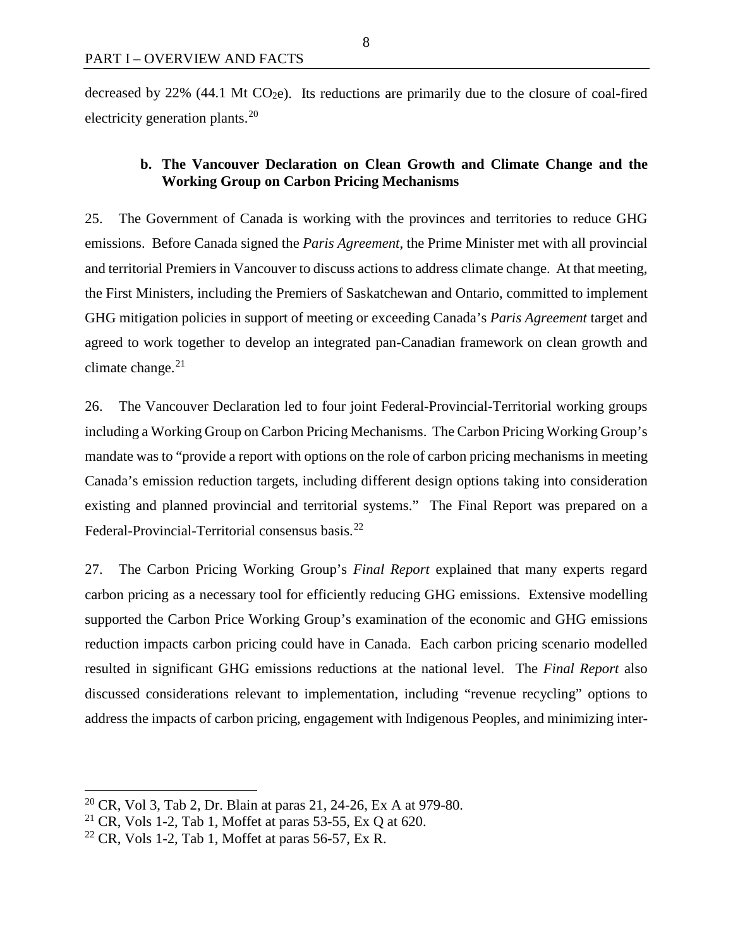decreased by 22% (44.1 Mt  $CO<sub>2</sub>e$ ). Its reductions are primarily due to the closure of coal-fired electricity generation plants.<sup>[20](#page-15-1)</sup>

## <span id="page-15-0"></span>**b. The Vancouver Declaration on Clean Growth and Climate Change and the Working Group on Carbon Pricing Mechanisms**

25. The Government of Canada is working with the provinces and territories to reduce GHG emissions. Before Canada signed the *Paris Agreement*, the Prime Minister met with all provincial and territorial Premiers in Vancouver to discuss actions to address climate change. At that meeting, the First Ministers, including the Premiers of Saskatchewan and Ontario, committed to implement GHG mitigation policies in support of meeting or exceeding Canada's *Paris Agreement* target and agreed to work together to develop an integrated pan-Canadian framework on clean growth and climate change. $21$ 

26. The Vancouver Declaration led to four joint Federal-Provincial-Territorial working groups including a Working Group on Carbon Pricing Mechanisms. The Carbon Pricing Working Group's mandate was to "provide a report with options on the role of carbon pricing mechanisms in meeting Canada's emission reduction targets, including different design options taking into consideration existing and planned provincial and territorial systems." The Final Report was prepared on a Federal-Provincial-Territorial consensus basis.<sup>[22](#page-15-3)</sup>

27. The Carbon Pricing Working Group's *Final Report* explained that many experts regard carbon pricing as a necessary tool for efficiently reducing GHG emissions. Extensive modelling supported the Carbon Price Working Group's examination of the economic and GHG emissions reduction impacts carbon pricing could have in Canada. Each carbon pricing scenario modelled resulted in significant GHG emissions reductions at the national level. The *Final Report* also discussed considerations relevant to implementation, including "revenue recycling" options to address the impacts of carbon pricing, engagement with Indigenous Peoples, and minimizing inter-

<span id="page-15-1"></span> <sup>20</sup> CR, Vol 3, Tab 2, Dr. Blain at paras 21, 24-26, Ex A at 979-80.

<span id="page-15-2"></span><sup>&</sup>lt;sup>21</sup> CR, Vols 1-2, Tab 1, Moffet at paras 53-55, Ex Q at 620.

<span id="page-15-3"></span> $22$  CR, Vols 1-2, Tab 1, Moffet at paras 56-57, Ex R.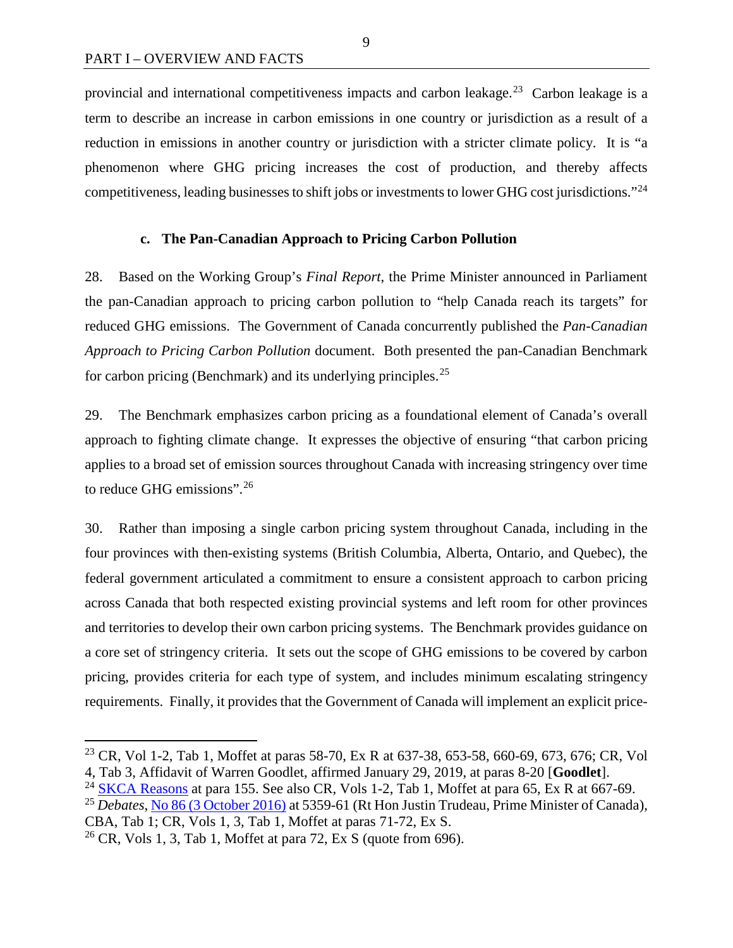provincial and international competitiveness impacts and carbon leakage.<sup>23</sup> Carbon leakage is a term to describe an increase in carbon emissions in one country or jurisdiction as a result of a reduction in emissions in another country or jurisdiction with a stricter climate policy. It is "a phenomenon where GHG pricing increases the cost of production, and thereby affects competitiveness, leading businesses to shift jobs or investments to lower GHG cost jurisdictions."[24](#page-16-2)

#### **c. The Pan-Canadian Approach to Pricing Carbon Pollution**

<span id="page-16-0"></span>28. Based on the Working Group's *Final Report*, the Prime Minister announced in Parliament the pan-Canadian approach to pricing carbon pollution to "help Canada reach its targets" for reduced GHG emissions. The Government of Canada concurrently published the *Pan-Canadian Approach to Pricing Carbon Pollution* document. Both presented the pan-Canadian Benchmark for carbon pricing (Benchmark) and its underlying principles.<sup>[25](#page-16-3)</sup>

29. The Benchmark emphasizes carbon pricing as a foundational element of Canada's overall approach to fighting climate change. It expresses the objective of ensuring "that carbon pricing applies to a broad set of emission sources throughout Canada with increasing stringency over time to reduce GHG emissions".[26](#page-16-4)

30. Rather than imposing a single carbon pricing system throughout Canada, including in the four provinces with then-existing systems (British Columbia, Alberta, Ontario, and Quebec), the federal government articulated a commitment to ensure a consistent approach to carbon pricing across Canada that both respected existing provincial systems and left room for other provinces and territories to develop their own carbon pricing systems. The Benchmark provides guidance on a core set of stringency criteria. It sets out the scope of GHG emissions to be covered by carbon pricing, provides criteria for each type of system, and includes minimum escalating stringency requirements. Finally, it provides that the Government of Canada will implement an explicit price-

<span id="page-16-1"></span><sup>&</sup>lt;sup>23</sup> CR, Vol 1-2, Tab 1, Moffet at paras 58-70, Ex R at 637-38, 653-58, 660-69, 673, 676; CR, Vol 4, Tab 3, Affidavit of Warren Goodlet, affirmed January 29, 2019, at paras 8-20 [**Goodlet**].

<span id="page-16-2"></span><sup>&</sup>lt;sup>24</sup> [SKCA Reasons](https://sasklawcourts.ca/images/documents/CA_2019SKCA040.pdf) at para 155. See also CR, Vols 1-2, Tab 1, Moffet at para 65, Ex R at 667-69.

<span id="page-16-3"></span><sup>25</sup> *Debates*, [No 86 \(3 October 2016\)](http://www.ourcommons.ca/Content/House/421/Debates/086/HAN086-E.PDF) at 5359-61 (Rt Hon Justin Trudeau, Prime Minister of Canada), CBA, Tab 1; CR, Vols 1, 3, Tab 1, Moffet at paras 71-72, Ex S.

<span id="page-16-4"></span><sup>&</sup>lt;sup>26</sup> CR, Vols 1, 3, Tab 1, Moffet at para 72, Ex S (quote from 696).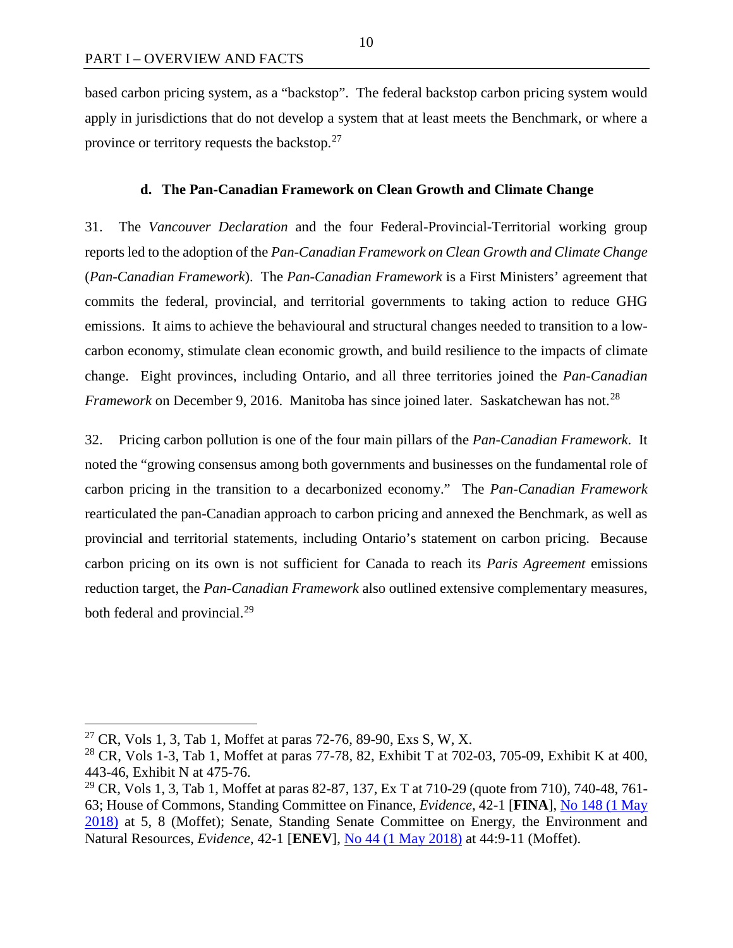based carbon pricing system, as a "backstop". The federal backstop carbon pricing system would apply in jurisdictions that do not develop a system that at least meets the Benchmark, or where a province or territory requests the backstop.<sup>[27](#page-17-1)</sup>

#### **d. The Pan-Canadian Framework on Clean Growth and Climate Change**

<span id="page-17-0"></span>31. The *Vancouver Declaration* and the four Federal-Provincial-Territorial working group reports led to the adoption of the *Pan-Canadian Framework on Clean Growth and Climate Change* (*Pan-Canadian Framework*). The *Pan-Canadian Framework* is a First Ministers' agreement that commits the federal, provincial, and territorial governments to taking action to reduce GHG emissions. It aims to achieve the behavioural and structural changes needed to transition to a lowcarbon economy, stimulate clean economic growth, and build resilience to the impacts of climate change. Eight provinces, including Ontario, and all three territories joined the *Pan-Canadian Framework* on December 9, 2016. Manitoba has since joined later. Saskatchewan has not.<sup>[28](#page-17-2)</sup>

32. Pricing carbon pollution is one of the four main pillars of the *Pan-Canadian Framework*. It noted the "growing consensus among both governments and businesses on the fundamental role of carbon pricing in the transition to a decarbonized economy." The *Pan-Canadian Framework*  rearticulated the pan-Canadian approach to carbon pricing and annexed the Benchmark, as well as provincial and territorial statements, including Ontario's statement on carbon pricing. Because carbon pricing on its own is not sufficient for Canada to reach its *Paris Agreement* emissions reduction target, the *Pan-Canadian Framework* also outlined extensive complementary measures, both federal and provincial.<sup>[29](#page-17-3)</sup>

<span id="page-17-1"></span><sup>&</sup>lt;sup>27</sup> CR, Vols 1, 3, Tab 1, Moffet at paras 72-76, 89-90, Exs S, W, X.

<span id="page-17-2"></span><sup>&</sup>lt;sup>28</sup> CR, Vols 1-3, Tab 1, Moffet at paras 77-78, 82, Exhibit T at 702-03, 705-09, Exhibit K at 400, 443-46, Exhibit N at 475-76.

<span id="page-17-3"></span><sup>&</sup>lt;sup>29</sup> CR, Vols 1, 3, Tab 1, Moffet at paras 82-87, 137, Ex T at 710-29 (quote from 710), 740-48, 761-63; House of Commons, Standing Committee on Finance, *Evidence*, 42-1 [**FINA**], [No 148 \(1 May](http://www.ourcommons.ca/Content/Committee/421/FINA/Evidence/EV9824416/FINAEV148-E.PDF)  [2018\)](http://www.ourcommons.ca/Content/Committee/421/FINA/Evidence/EV9824416/FINAEV148-E.PDF) at 5, 8 (Moffet); Senate, Standing Senate Committee on Energy, the Environment and Natural Resources, *Evidence*, 42-1 [**ENEV**], [No 44 \(1 May 2018\)](https://sencanada.ca/Content/SEN/Committee/421/enev/pdf/44issue.pdf) at 44:9-11 (Moffet).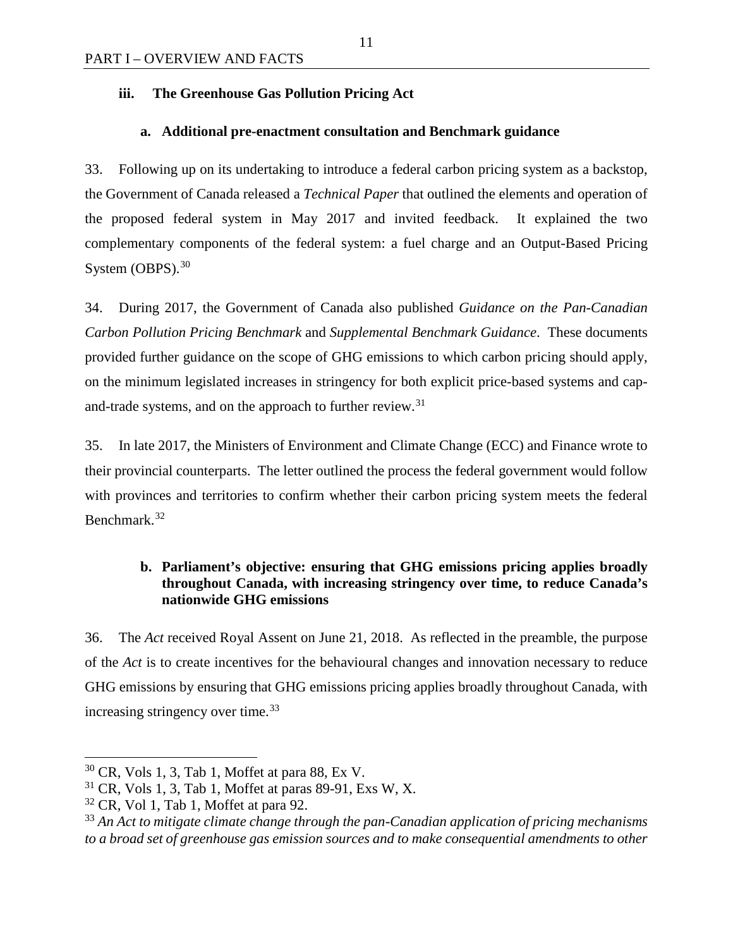## <span id="page-18-0"></span>**iii. The Greenhouse Gas Pollution Pricing Act**

## **a. Additional pre-enactment consultation and Benchmark guidance**

<span id="page-18-1"></span>33. Following up on its undertaking to introduce a federal carbon pricing system as a backstop, the Government of Canada released a *Technical Paper* that outlined the elements and operation of the proposed federal system in May 2017 and invited feedback. It explained the two complementary components of the federal system: a fuel charge and an Output-Based Pricing System  $(OBPS)$ .<sup>[30](#page-18-3)</sup>

34. During 2017, the Government of Canada also published *Guidance on the Pan-Canadian Carbon Pollution Pricing Benchmark* and *Supplemental Benchmark Guidance*. These documents provided further guidance on the scope of GHG emissions to which carbon pricing should apply, on the minimum legislated increases in stringency for both explicit price-based systems and cap-and-trade systems, and on the approach to further review.<sup>[31](#page-18-4)</sup>

35. In late 2017, the Ministers of Environment and Climate Change (ECC) and Finance wrote to their provincial counterparts. The letter outlined the process the federal government would follow with provinces and territories to confirm whether their carbon pricing system meets the federal Benchmark.[32](#page-18-5)

## <span id="page-18-2"></span>**b. Parliament's objective: ensuring that GHG emissions pricing applies broadly throughout Canada, with increasing stringency over time, to reduce Canada's nationwide GHG emissions**

36. The *Act* received Royal Assent on June 21, 2018. As reflected in the preamble, the purpose of the *Act* is to create incentives for the behavioural changes and innovation necessary to reduce GHG emissions by ensuring that GHG emissions pricing applies broadly throughout Canada, with increasing stringency over time.<sup>[33](#page-18-6)</sup>

<span id="page-18-3"></span> $30$  CR, Vols 1, 3, Tab 1, Moffet at para 88, Ex V.

<span id="page-18-4"></span> $31$  CR, Vols 1, 3, Tab 1, Moffet at paras 89-91, Exs W, X.

<span id="page-18-5"></span> $32$  CR, Vol 1, Tab 1, Moffet at para 92.

<span id="page-18-6"></span><sup>33</sup> *An Act to mitigate climate change through the pan-Canadian application of pricing mechanisms to a broad set of greenhouse gas emission sources and to make consequential amendments to other*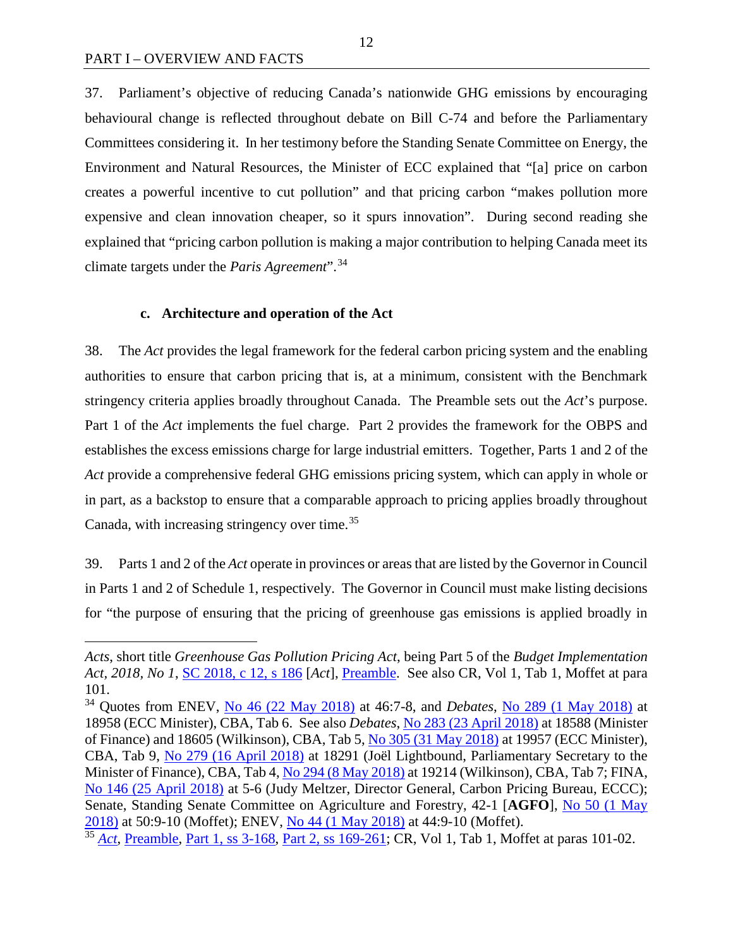$\overline{a}$ 

37. Parliament's objective of reducing Canada's nationwide GHG emissions by encouraging behavioural change is reflected throughout debate on Bill C-74 and before the Parliamentary Committees considering it. In her testimony before the Standing Senate Committee on Energy, the Environment and Natural Resources, the Minister of ECC explained that "[a] price on carbon creates a powerful incentive to cut pollution" and that pricing carbon "makes pollution more expensive and clean innovation cheaper, so it spurs innovation". During second reading she explained that "pricing carbon pollution is making a major contribution to helping Canada meet its climate targets under the *Paris Agreement*".[34](#page-19-1)

#### **c. Architecture and operation of the Act**

<span id="page-19-0"></span>38. The *Act* provides the legal framework for the federal carbon pricing system and the enabling authorities to ensure that carbon pricing that is, at a minimum, consistent with the Benchmark stringency criteria applies broadly throughout Canada. The Preamble sets out the *Act*'s purpose. Part 1 of the *Act* implements the fuel charge. Part 2 provides the framework for the OBPS and establishes the excess emissions charge for large industrial emitters. Together, Parts 1 and 2 of the *Act* provide a comprehensive federal GHG emissions pricing system, which can apply in whole or in part, as a backstop to ensure that a comparable approach to pricing applies broadly throughout Canada, with increasing stringency over time.<sup>[35](#page-19-2)</sup>

39. Parts 1 and 2 of the *Act* operate in provinces or areas that are listed by the Governor in Council in Parts 1 and 2 of Schedule 1, respectively. The Governor in Council must make listing decisions for "the purpose of ensuring that the pricing of greenhouse gas emissions is applied broadly in

*Acts*, short title *Greenhouse Gas Pollution Pricing Act*, being Part 5 of the *Budget Implementation Act, 2018, No 1*, [SC 2018, c 12, s 186](https://laws.justice.gc.ca/eng/acts/G-11.55/index.html) [*Act*], [Preamble.](https://laws.justice.gc.ca/eng/acts/G-11.55/FullText.html#preamble) See also CR, Vol 1, Tab 1, Moffet at para 101.

<span id="page-19-1"></span><sup>34</sup> Quotes from ENEV, [No 46 \(22 May 2018\)](https://sencanada.ca/Content/SEN/Committee/421/enev/pdf/46issue.pdf) at 46:7-8, and *Debates*, [No 289 \(1 May 2018\)](http://www.ourcommons.ca/Content/House/421/Debates/289/HAN289-E.PDF) at 18958 (ECC Minister), CBA, Tab 6. See also *Debates*, [No 283 \(23 April 2018\)](http://www.ourcommons.ca/Content/House/421/Debates/283/HAN283-E.PDF) at 18588 (Minister of Finance) and 18605 (Wilkinson), CBA, Tab 5[, No 305 \(31 May 2018\)](http://www.ourcommons.ca/Content/House/421/Debates/305/HAN305-E.PDF) at 19957 (ECC Minister), CBA, Tab 9, [No 279 \(16 April 2018\)](http://www.ourcommons.ca/Content/House/421/Debates/279/HAN279-E.PDF) at 18291 (Joël Lightbound, Parliamentary Secretary to the Minister of Finance), CBA, Tab 4, [No 294 \(8 May 2018\)](http://www.ourcommons.ca/Content/House/421/Debates/294/HAN294-E.PDF) at 19214 (Wilkinson), CBA, Tab 7; FINA, [No 146 \(25 April 2018\)](http://www.ourcommons.ca/Content/Committee/421/FINA/Evidence/EV9803498/FINAEV146-E.PDF) at 5-6 (Judy Meltzer, Director General, Carbon Pricing Bureau, ECCC); Senate, Standing Senate Committee on Agriculture and Forestry, 42-1 [**AGFO**], [No 50 \(1 May](https://sencanada.ca/Content/SEN/Committee/421/agfo/pdf/50issue.pdf)  [2018\)](https://sencanada.ca/Content/SEN/Committee/421/agfo/pdf/50issue.pdf) at 50:9-10 (Moffet); ENEV, [No 44 \(1 May 2018\)](https://sencanada.ca/Content/SEN/Committee/421/enev/pdf/44issue.pdf) at 44:9-10 (Moffet).

<span id="page-19-2"></span><sup>&</sup>lt;sup>35</sup> *[Act](https://laws.justice.gc.ca/eng/acts/G-11.55/index.html)*, [Preamble,](https://laws.justice.gc.ca/eng/acts/G-11.55/FullText.html#preamble) [Part 1, ss 3-168,](https://laws.justice.gc.ca/eng/acts/G-11.55/FullText.html#h-244007) [Part 2, ss 169-261;](https://laws.justice.gc.ca/eng/acts/G-11.55/FullText.html#h-246320) CR, Vol 1, Tab 1, Moffet at paras 101-02.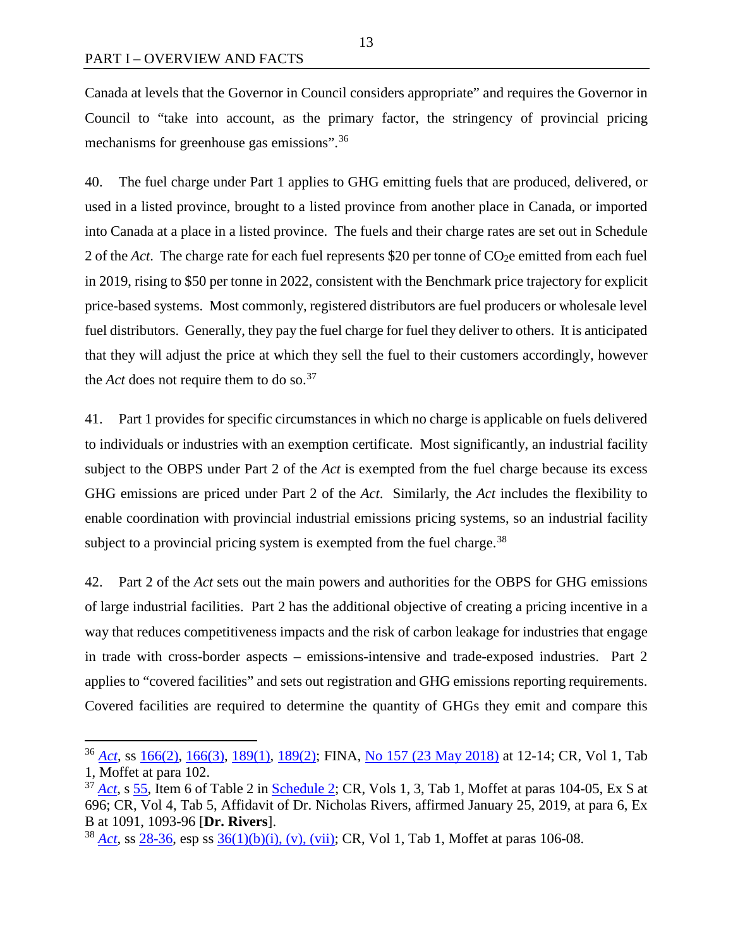Canada at levels that the Governor in Council considers appropriate" and requires the Governor in Council to "take into account, as the primary factor, the stringency of provincial pricing mechanisms for greenhouse gas emissions".<sup>[36](#page-20-0)</sup>

40. The fuel charge under Part 1 applies to GHG emitting fuels that are produced, delivered, or used in a listed province, brought to a listed province from another place in Canada, or imported into Canada at a place in a listed province. The fuels and their charge rates are set out in Schedule 2 of the *Act*. The charge rate for each fuel represents \$20 per tonne of  $CO<sub>2</sub>e$  emitted from each fuel in 2019, rising to \$50 per tonne in 2022, consistent with the Benchmark price trajectory for explicit price-based systems. Most commonly, registered distributors are fuel producers or wholesale level fuel distributors. Generally, they pay the fuel charge for fuel they deliver to others. It is anticipated that they will adjust the price at which they sell the fuel to their customers accordingly, however the *Act* does not require them to do so.<sup>[37](#page-20-1)</sup>

41. Part 1 provides for specific circumstances in which no charge is applicable on fuels delivered to individuals or industries with an exemption certificate. Most significantly, an industrial facility subject to the OBPS under Part 2 of the *Act* is exempted from the fuel charge because its excess GHG emissions are priced under Part 2 of the *Act*. Similarly, the *Act* includes the flexibility to enable coordination with provincial industrial emissions pricing systems, so an industrial facility subject to a provincial pricing system is exempted from the fuel charge.<sup>[38](#page-20-2)</sup>

42. Part 2 of the *Act* sets out the main powers and authorities for the OBPS for GHG emissions of large industrial facilities. Part 2 has the additional objective of creating a pricing incentive in a way that reduces competitiveness impacts and the risk of carbon leakage for industries that engage in trade with cross-border aspects – emissions-intensive and trade-exposed industries. Part 2 applies to "covered facilities" and sets out registration and GHG emissions reporting requirements. Covered facilities are required to determine the quantity of GHGs they emit and compare this

<span id="page-20-0"></span> <sup>36</sup> *[Act](https://laws.justice.gc.ca/eng/acts/G-11.55/index.html)*, ss [166\(2\),](https://laws.justice.gc.ca/eng/acts/G-11.55/FullText.html#s-166ss-(2)ID0EBDA) [166\(3\),](https://laws.justice.gc.ca/eng/acts/G-11.55/FullText.html#s-166ss-(3)ID0EBCA) [189\(1\),](https://laws.justice.gc.ca/eng/acts/G-11.55/FullText.html#s-189) [189\(2\);](https://laws.justice.gc.ca/eng/acts/G-11.55/FullText.html#s-189ss-(2)ID0EBBA) FINA, [No 157 \(23 May 2018\)](http://www.ourcommons.ca/Content/Committee/421/FINA/Evidence/EV9883290/FINAEV157-E.PDF) at 12-14; CR, Vol 1, Tab 1, Moffet at para 102.

<span id="page-20-1"></span><sup>&</sup>lt;sup>37</sup> *[Act](https://laws.justice.gc.ca/eng/acts/G-11.55/index.html)*, s [55,](https://laws.justice.gc.ca/eng/acts/G-11.55/FullText.html#s-55) Item 6 of Table 2 in [Schedule 2;](https://laws.justice.gc.ca/eng/acts/G-11.55/FullText.html#h-247111) CR, Vols 1, 3, Tab 1, Moffet at paras 104-05, Ex S at 696; CR, Vol 4, Tab 5, Affidavit of Dr. Nicholas Rivers, affirmed January 25, 2019, at para 6, Ex B at 1091, 1093-96 [**Dr. Rivers**].

<span id="page-20-2"></span><sup>38</sup> *[Act](https://laws.justice.gc.ca/eng/acts/G-11.55/index.html)*, ss [28-36,](https://laws.justice.gc.ca/eng/acts/G-11.55/FullText.html#h-244480) esp ss [36\(1\)\(b\)\(i\), \(v\), \(vii\);](https://laws.justice.gc.ca/eng/acts/G-11.55/FullText.html#s-36) CR, Vol 1, Tab 1, Moffet at paras 106-08.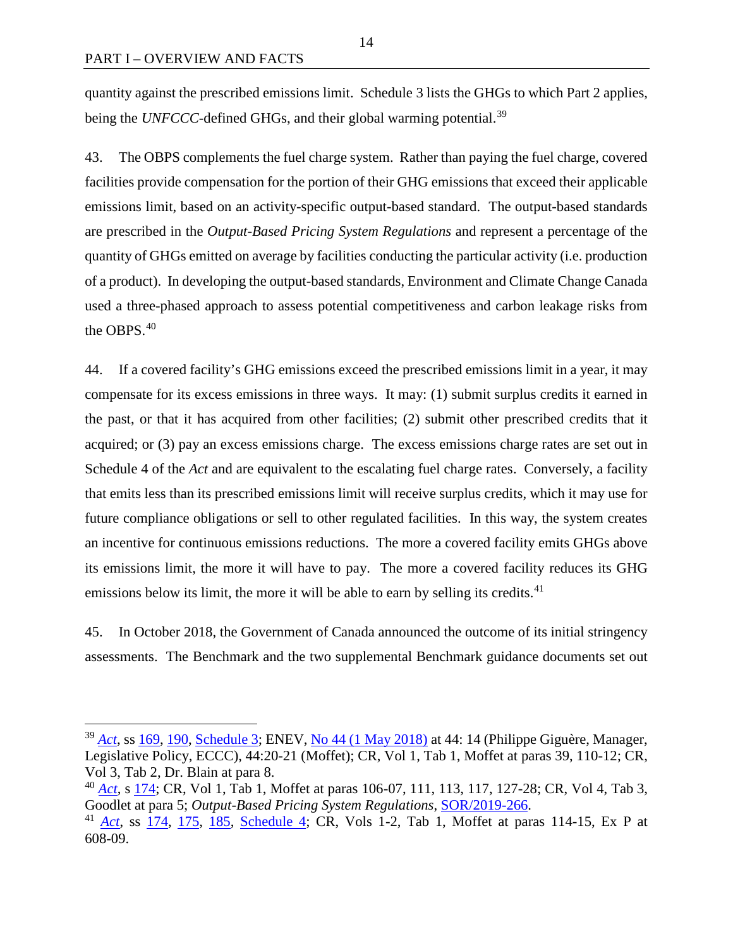quantity against the prescribed emissions limit. Schedule 3 lists the GHGs to which Part 2 applies, being the *UNFCCC*-defined GHGs, and their global warming potential.<sup>[39](#page-21-0)</sup>

43. The OBPS complements the fuel charge system. Rather than paying the fuel charge, covered facilities provide compensation for the portion of their GHG emissions that exceed their applicable emissions limit, based on an activity-specific output-based standard. The output-based standards are prescribed in the *Output-Based Pricing System Regulations* and represent a percentage of the quantity of GHGs emitted on average by facilities conducting the particular activity (i.e. production of a product). In developing the output-based standards, Environment and Climate Change Canada used a three-phased approach to assess potential competitiveness and carbon leakage risks from the OBPS.[40](#page-21-1)

44. If a covered facility's GHG emissions exceed the prescribed emissions limit in a year, it may compensate for its excess emissions in three ways. It may: (1) submit surplus credits it earned in the past, or that it has acquired from other facilities; (2) submit other prescribed credits that it acquired; or (3) pay an excess emissions charge. The excess emissions charge rates are set out in Schedule 4 of the *Act* and are equivalent to the escalating fuel charge rates. Conversely, a facility that emits less than its prescribed emissions limit will receive surplus credits, which it may use for future compliance obligations or sell to other regulated facilities. In this way, the system creates an incentive for continuous emissions reductions. The more a covered facility emits GHGs above its emissions limit, the more it will have to pay. The more a covered facility reduces its GHG emissions below its limit, the more it will be able to earn by selling its credits. $41$ 

45. In October 2018, the Government of Canada announced the outcome of its initial stringency assessments. The Benchmark and the two supplemental Benchmark guidance documents set out

<span id="page-21-0"></span> <sup>39</sup> *[Act](https://laws.justice.gc.ca/eng/acts/G-11.55/index.html)*, ss [169,](https://laws.justice.gc.ca/eng/acts/G-11.55/FullText.html#s-169) [190,](https://laws.justice.gc.ca/eng/acts/G-11.55/FullText.html#s-190) [Schedule 3;](https://laws.justice.gc.ca/eng/acts/G-11.55/FullText.html#h-247148) ENEV, [No 44 \(1 May 2018\)](https://sencanada.ca/Content/SEN/Committee/421/enev/pdf/44issue.pdf) at 44: 14 (Philippe Giguère, Manager, Legislative Policy, ECCC), 44:20-21 (Moffet); CR, Vol 1, Tab 1, Moffet at paras 39, 110-12; CR, Vol 3, Tab 2, Dr. Blain at para 8.

<span id="page-21-1"></span><sup>40</sup> *[Act](https://laws.justice.gc.ca/eng/acts/G-11.55/index.html)*, s [174;](https://laws.justice.gc.ca/eng/acts/G-11.55/FullText.html#s-174) CR, Vol 1, Tab 1, Moffet at paras 106-07, 111, 113, 117, 127-28; CR, Vol 4, Tab 3, Goodlet at para 5; *Output-Based Pricing System Regulations*, [SOR/2019-266.](https://laws.justice.gc.ca/PDF/SOR-2019-266.pdf)

<span id="page-21-2"></span><sup>41</sup> *[Act](https://laws.justice.gc.ca/eng/acts/G-11.55/index.html)*, ss [174,](https://laws.justice.gc.ca/eng/acts/G-11.55/FullText.html#s-174) [175,](https://laws.justice.gc.ca/eng/acts/G-11.55/FullText.html#s-175) [185,](https://laws.justice.gc.ca/eng/acts/G-11.55/FullText.html#s-185) [Schedule 4;](https://laws.justice.gc.ca/eng/acts/G-11.55/FullText.html#h-247156) CR, Vols 1-2, Tab 1, Moffet at paras 114-15, Ex P at 608-09.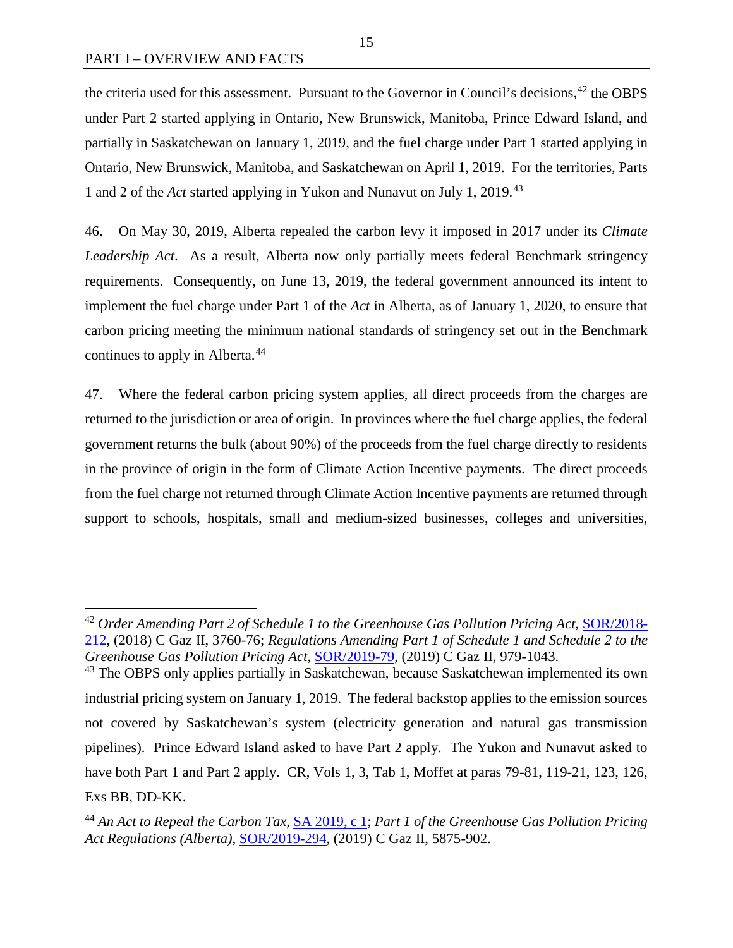the criteria used for this assessment. Pursuant to the Governor in Council's decisions,<sup>[42](#page-22-0)</sup> the OBPS under Part 2 started applying in Ontario, New Brunswick, Manitoba, Prince Edward Island, and partially in Saskatchewan on January 1, 2019, and the fuel charge under Part 1 started applying in Ontario, New Brunswick, Manitoba, and Saskatchewan on April 1, 2019. For the territories, Parts 1 and 2 of the *Act* started applying in Yukon and Nunavut on July 1, 2019.[43](#page-22-1)

46. On May 30, 2019, Alberta repealed the carbon levy it imposed in 2017 under its *Climate Leadership Act*. As a result, Alberta now only partially meets federal Benchmark stringency requirements. Consequently, on June 13, 2019, the federal government announced its intent to implement the fuel charge under Part 1 of the *Act* in Alberta, as of January 1, 2020, to ensure that carbon pricing meeting the minimum national standards of stringency set out in the Benchmark continues to apply in Alberta.<sup>[44](#page-22-2)</sup>

47. Where the federal carbon pricing system applies, all direct proceeds from the charges are returned to the jurisdiction or area of origin. In provinces where the fuel charge applies, the federal government returns the bulk (about 90%) of the proceeds from the fuel charge directly to residents in the province of origin in the form of Climate Action Incentive payments. The direct proceeds from the fuel charge not returned through Climate Action Incentive payments are returned through support to schools, hospitals, small and medium-sized businesses, colleges and universities,

<span id="page-22-0"></span><sup>&</sup>lt;sup>42</sup> Order Amending Part 2 of Schedule 1 to the Greenhouse Gas Pollution Pricing Act, [SOR/2018-](http://gazette.gc.ca/rp-pr/p2/2018/2018-10-31/pdf/g2-15222.pdf) [212,](http://gazette.gc.ca/rp-pr/p2/2018/2018-10-31/pdf/g2-15222.pdf) (2018) C Gaz II, 3760-76; *Regulations Amending Part 1 of Schedule 1 and Schedule 2 to the Greenhouse Gas Pollution Pricing Act*, [SOR/2019-79,](http://gazette.gc.ca/rp-pr/p2/2019/2019-04-03/pdf/g2-15307.pdf) (2019) C Gaz II, 979-1043.

<span id="page-22-1"></span><sup>&</sup>lt;sup>43</sup> The OBPS only applies partially in Saskatchewan, because Saskatchewan implemented its own industrial pricing system on January 1, 2019. The federal backstop applies to the emission sources not covered by Saskatchewan's system (electricity generation and natural gas transmission pipelines). Prince Edward Island asked to have Part 2 apply. The Yukon and Nunavut asked to have both Part 1 and Part 2 apply. CR, Vols 1, 3, Tab 1, Moffet at paras 79-81, 119-21, 123, 126, Exs BB, DD-KK.

<span id="page-22-2"></span><sup>44</sup> *An Act to Repeal the Carbon Tax*, [SA 2019, c 1;](http://www.qp.alberta.ca/549.cfm?page=ch01_19.CFM&leg_type=spring) *Part 1 of the Greenhouse Gas Pollution Pricing Act Regulations (Alberta)*, [SOR/2019-294,](http://gazette.gc.ca/rp-pr/p2/2019/2019-08-21/html/sor-dors294-eng.html) (2019) C Gaz II, 5875-902.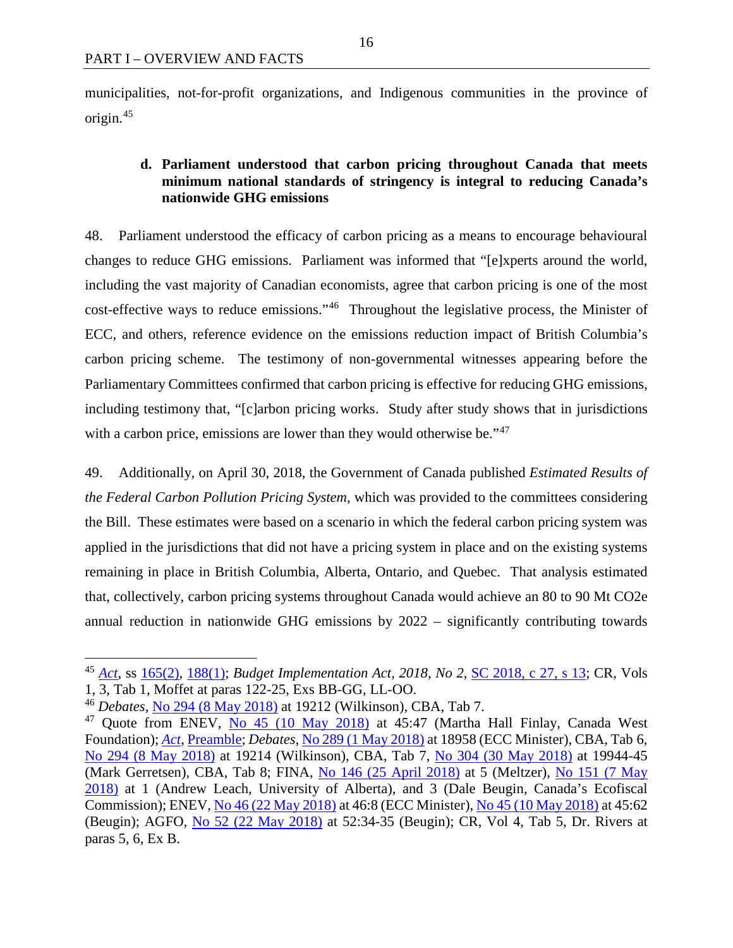municipalities, not-for-profit organizations, and Indigenous communities in the province of origin.[45](#page-23-1)

## <span id="page-23-0"></span>**d. Parliament understood that carbon pricing throughout Canada that meets minimum national standards of stringency is integral to reducing Canada's nationwide GHG emissions**

48. Parliament understood the efficacy of carbon pricing as a means to encourage behavioural changes to reduce GHG emissions. Parliament was informed that "[e]xperts around the world, including the vast majority of Canadian economists, agree that carbon pricing is one of the most cost-effective ways to reduce emissions."[46](#page-23-2) Throughout the legislative process, the Minister of ECC, and others, reference evidence on the emissions reduction impact of British Columbia's carbon pricing scheme. The testimony of non-governmental witnesses appearing before the Parliamentary Committees confirmed that carbon pricing is effective for reducing GHG emissions, including testimony that, "[c]arbon pricing works. Study after study shows that in jurisdictions with a carbon price, emissions are lower than they would otherwise be."<sup>[47](#page-23-3)</sup>

49. Additionally, on April 30, 2018, the Government of Canada published *Estimated Results of the Federal Carbon Pollution Pricing System*, which was provided to the committees considering the Bill. These estimates were based on a scenario in which the federal carbon pricing system was applied in the jurisdictions that did not have a pricing system in place and on the existing systems remaining in place in British Columbia, Alberta, Ontario, and Quebec. That analysis estimated that, collectively, carbon pricing systems throughout Canada would achieve an 80 to 90 Mt CO2e annual reduction in nationwide GHG emissions by 2022 – significantly contributing towards

<span id="page-23-1"></span><sup>45</sup> *[Act](https://laws.justice.gc.ca/eng/acts/G-11.55/index.html)*, ss [165\(2\),](https://laws.justice.gc.ca/eng/acts/G-11.55/FullText.html#s-165ss-(2)ID0EEGA) [188\(1\);](https://laws.justice.gc.ca/eng/acts/G-11.55/FullText.html#s-188) *Budget Implementation Act*, 2018, No 2, <u>SC 2018, c 27, s 13</u>; CR, Vols 1, 3, Tab 1, Moffet at paras 122-25, Exs BB-GG, LL-OO.

<sup>46</sup> *Debates*, [No 294 \(8 May 2018\)](http://www.ourcommons.ca/Content/House/421/Debates/294/HAN294-E.PDF) at 19212 (Wilkinson), CBA, Tab 7.

<span id="page-23-3"></span><span id="page-23-2"></span><sup>&</sup>lt;sup>47</sup> Quote from ENEV, [No 45 \(10 May 2018\)](https://sencanada.ca/Content/SEN/Committee/421/enev/pdf/45issue.pdf) at 45:47 (Martha Hall Finlay, Canada West Foundation); *[Act](https://laws.justice.gc.ca/eng/acts/G-11.55/index.html)*[, Preamble;](https://laws.justice.gc.ca/eng/acts/G-11.55/FullText.html#preamble) *Debates*, [No 289 \(1 May 2018\)](http://www.ourcommons.ca/Content/House/421/Debates/289/HAN289-E.PDF) at 18958 (ECC Minister), CBA, Tab 6, [No 294 \(8 May 2018\)](http://www.ourcommons.ca/Content/House/421/Debates/294/HAN294-E.PDF) at 19214 (Wilkinson), CBA, Tab 7, [No 304 \(30 May 2018\)](http://www.ourcommons.ca/Content/House/421/Debates/304/HAN304-E.PDF) at 19944-45 (Mark Gerretsen), CBA, Tab 8; FINA, [No 146 \(25 April 2018\)](http://www.ourcommons.ca/Content/Committee/421/FINA/Evidence/EV9803498/FINAEV146-E.PDF) at 5 (Meltzer), [No 151 \(7 May](http://www.ourcommons.ca/Content/Committee/421/FINA/Evidence/EV9846959/FINAEV151-E.PDF)  [2018\)](http://www.ourcommons.ca/Content/Committee/421/FINA/Evidence/EV9846959/FINAEV151-E.PDF) at 1 (Andrew Leach, University of Alberta), and 3 (Dale Beugin, Canada's Ecofiscal Commission); ENEV[, No 46 \(22 May 2018\)](https://sencanada.ca/Content/SEN/Committee/421/enev/pdf/46issue.pdf) at 46:8 (ECC Minister), [No 45 \(10 May 2018\)](https://sencanada.ca/Content/SEN/Committee/421/enev/pdf/45issue.pdf) at 45:62 (Beugin); AGFO, [No 52 \(22 May 2018\)](https://sencanada.ca/Content/SEN/Committee/421/agfo/pdf/52issue.pdf) at 52:34-35 (Beugin); CR, Vol 4, Tab 5, Dr. Rivers at paras 5, 6, Ex B.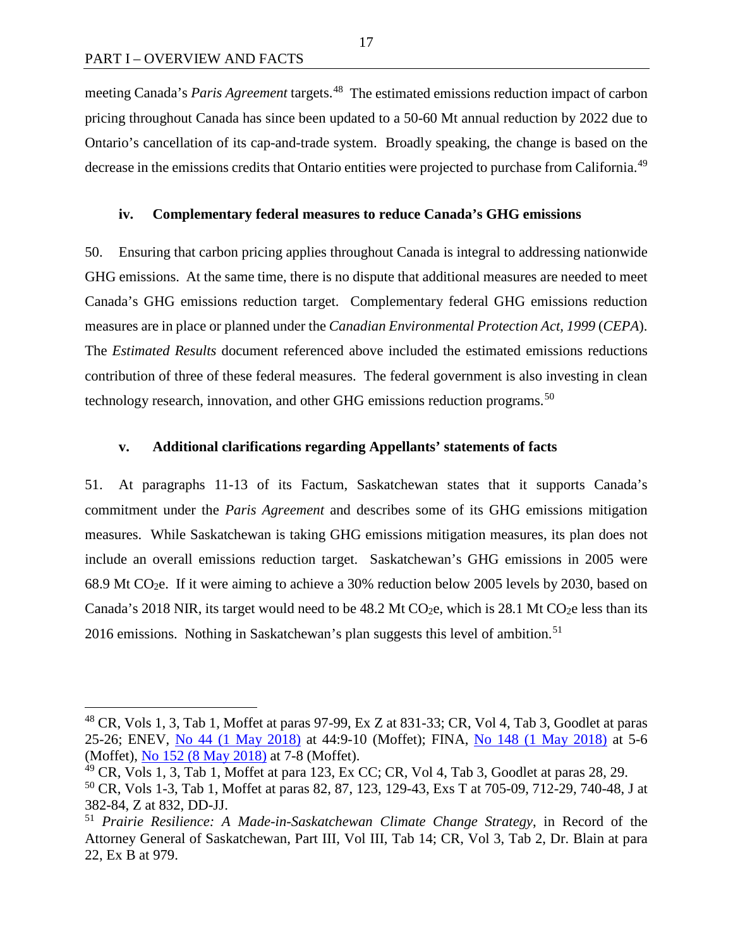meeting Canada's *Paris Agreement* targets.[48](#page-24-2) The estimated emissions reduction impact of carbon pricing throughout Canada has since been updated to a 50-60 Mt annual reduction by 2022 due to Ontario's cancellation of its cap-and-trade system. Broadly speaking, the change is based on the decrease in the emissions credits that Ontario entities were projected to purchase from California.<sup>[49](#page-24-3)</sup>

#### <span id="page-24-0"></span>**iv. Complementary federal measures to reduce Canada's GHG emissions**

50. Ensuring that carbon pricing applies throughout Canada is integral to addressing nationwide GHG emissions. At the same time, there is no dispute that additional measures are needed to meet Canada's GHG emissions reduction target. Complementary federal GHG emissions reduction measures are in place or planned under the *Canadian Environmental Protection Act, 1999* (*CEPA*). The *Estimated Results* document referenced above included the estimated emissions reductions contribution of three of these federal measures. The federal government is also investing in clean technology research, innovation, and other GHG emissions reduction programs.<sup>[50](#page-24-4)</sup>

#### <span id="page-24-1"></span>**v. Additional clarifications regarding Appellants' statements of facts**

51. At paragraphs 11-13 of its Factum, Saskatchewan states that it supports Canada's commitment under the *Paris Agreement* and describes some of its GHG emissions mitigation measures. While Saskatchewan is taking GHG emissions mitigation measures, its plan does not include an overall emissions reduction target. Saskatchewan's GHG emissions in 2005 were 68.9 Mt CO2e. If it were aiming to achieve a 30% reduction below 2005 levels by 2030, based on Canada's 2018 NIR, its target would need to be  $48.2$  Mt CO<sub>2</sub>e, which is 28.1 Mt CO<sub>2</sub>e less than its 2016 emissions. Nothing in Saskatchewan's plan suggests this level of ambition.<sup>[51](#page-24-5)</sup>

<span id="page-24-2"></span> <sup>48</sup> CR, Vols 1, 3, Tab 1, Moffet at paras 97-99, Ex Z at 831-33; CR, Vol 4, Tab 3, Goodlet at paras 25-26; ENEV, [No 44 \(1 May 2018\)](https://sencanada.ca/Content/SEN/Committee/421/enev/pdf/44issue.pdf) at 44:9-10 (Moffet); FINA, [No 148 \(1 May 2018\)](http://www.ourcommons.ca/Content/Committee/421/FINA/Evidence/EV9824416/FINAEV148-E.PDF) at 5-6 (Moffet), [No 152 \(8 May 2018\)](http://www.ourcommons.ca/Content/Committee/421/FINA/Evidence/EV9852772/FINAEV152-E.PDF) at 7-8 (Moffet).

<span id="page-24-3"></span> $^{49}$  CR, Vols 1, 3, Tab 1, Moffet at para 123, Ex CC; CR, Vol 4, Tab 3, Goodlet at paras 28, 29.

<span id="page-24-4"></span><sup>50</sup> CR, Vols 1-3, Tab 1, Moffet at paras 82, 87, 123, 129-43, Exs T at 705-09, 712-29, 740-48, J at 382-84, Z at 832, DD-JJ.

<span id="page-24-5"></span><sup>51</sup> *Prairie Resilience: A Made-in-Saskatchewan Climate Change Strategy*, in Record of the Attorney General of Saskatchewan, Part III, Vol III, Tab 14; CR, Vol 3, Tab 2, Dr. Blain at para 22, Ex B at 979.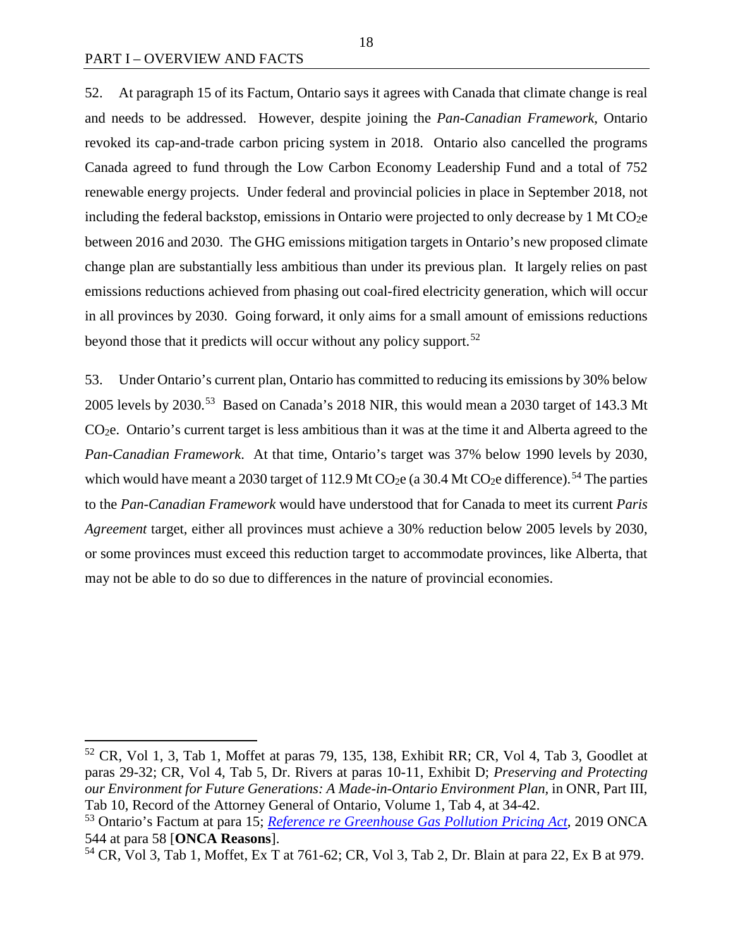52. At paragraph 15 of its Factum, Ontario says it agrees with Canada that climate change is real and needs to be addressed. However, despite joining the *Pan-Canadian Framework*, Ontario revoked its cap-and-trade carbon pricing system in 2018. Ontario also cancelled the programs Canada agreed to fund through the Low Carbon Economy Leadership Fund and a total of 752 renewable energy projects. Under federal and provincial policies in place in September 2018, not including the federal backstop, emissions in Ontario were projected to only decrease by 1 Mt  $CO<sub>2</sub>e$ between 2016 and 2030. The GHG emissions mitigation targets in Ontario's new proposed climate change plan are substantially less ambitious than under its previous plan. It largely relies on past emissions reductions achieved from phasing out coal-fired electricity generation, which will occur in all provinces by 2030. Going forward, it only aims for a small amount of emissions reductions beyond those that it predicts will occur without any policy support.<sup>[52](#page-25-0)</sup>

53. Under Ontario's current plan, Ontario has committed to reducing its emissions by 30% below 2005 levels by 2030.<sup>53</sup> Based on Canada's 2018 NIR, this would mean a 2030 target of 143.3 Mt CO2e. Ontario's current target is less ambitious than it was at the time it and Alberta agreed to the *Pan-Canadian Framework*. At that time, Ontario's target was 37% below 1990 levels by 2030, which would have meant a 2030 target of 112.9 Mt CO<sub>2</sub>e (a 30.4 Mt CO<sub>2</sub>e difference).<sup>[54](#page-25-2)</sup> The parties to the *Pan-Canadian Framework* would have understood that for Canada to meet its current *Paris Agreement* target, either all provinces must achieve a 30% reduction below 2005 levels by 2030, or some provinces must exceed this reduction target to accommodate provinces, like Alberta, that may not be able to do so due to differences in the nature of provincial economies.

<span id="page-25-0"></span> <sup>52</sup> CR, Vol 1, 3, Tab 1, Moffet at paras 79, 135, 138, Exhibit RR; CR, Vol 4, Tab 3, Goodlet at paras 29-32; CR, Vol 4, Tab 5, Dr. Rivers at paras 10-11, Exhibit D; *Preserving and Protecting our Environment for Future Generations: A Made-in-Ontario Environment Plan,* in ONR, Part III, Tab 10, Record of the Attorney General of Ontario, Volume 1, Tab 4, at 34-42.

<span id="page-25-1"></span><sup>53</sup> Ontario's Factum at para 15; *[Reference re Greenhouse Gas Pollution Pricing Act](http://www.ontariocourts.ca/decisions/2019/2019ONCA0544.htm)*, 2019 ONCA 544 at para 58 [**ONCA Reasons**].

<span id="page-25-2"></span><sup>54</sup> CR, Vol 3, Tab 1, Moffet, Ex T at 761-62; CR, Vol 3, Tab 2, Dr. Blain at para 22, Ex B at 979.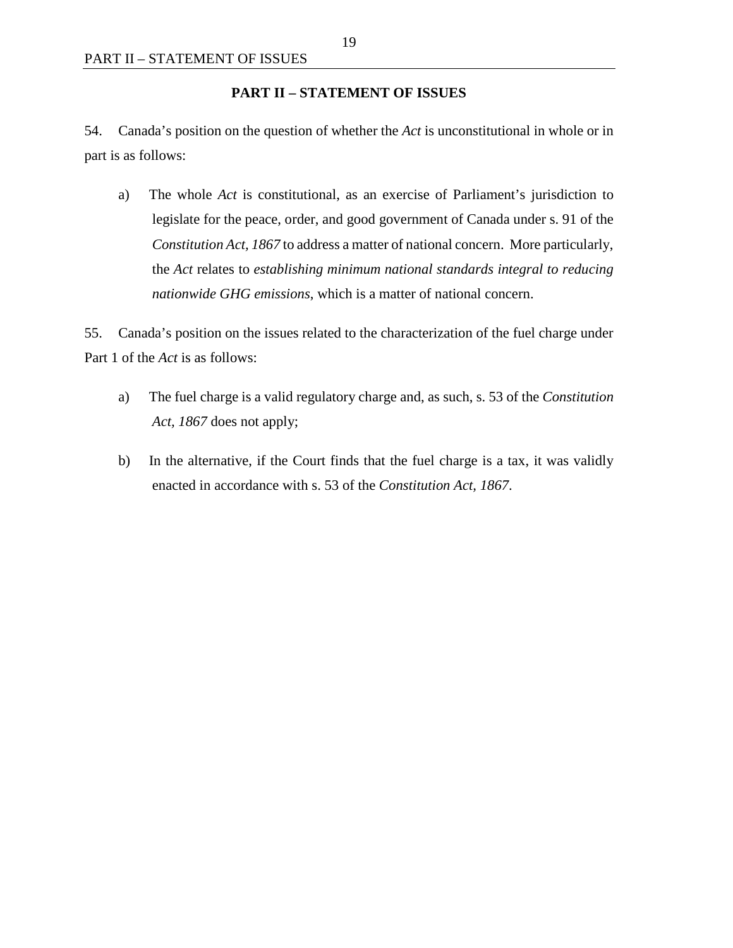#### **PART II – STATEMENT OF ISSUES**

<span id="page-26-0"></span>54. Canada's position on the question of whether the *Act* is unconstitutional in whole or in part is as follows:

a) The whole *Act* is constitutional, as an exercise of Parliament's jurisdiction to legislate for the peace, order, and good government of Canada under s. 91 of the *Constitution Act, 1867* to address a matter of national concern. More particularly, the *Act* relates to *establishing minimum national standards integral to reducing nationwide GHG emissions*, which is a matter of national concern.

55. Canada's position on the issues related to the characterization of the fuel charge under Part 1 of the *Act* is as follows:

- a) The fuel charge is a valid regulatory charge and, as such, s. 53 of the *Constitution Act, 1867* does not apply;
- b) In the alternative, if the Court finds that the fuel charge is a tax, it was validly enacted in accordance with s. 53 of the *Constitution Act, 1867*.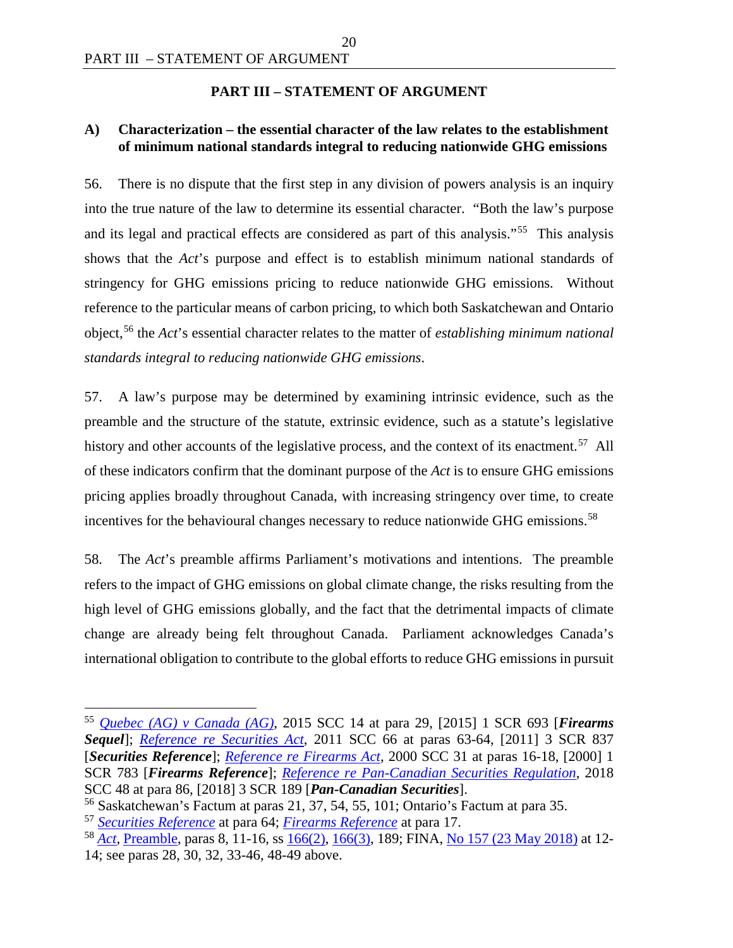## **PART III – STATEMENT OF ARGUMENT**

## <span id="page-27-1"></span><span id="page-27-0"></span>**A) Characterization – the essential character of the law relates to the establishment of minimum national standards integral to reducing nationwide GHG emissions**

56. There is no dispute that the first step in any division of powers analysis is an inquiry into the true nature of the law to determine its essential character. "Both the law's purpose and its legal and practical effects are considered as part of this analysis."<sup>55</sup> This analysis shows that the *Act*'s purpose and effect is to establish minimum national standards of stringency for GHG emissions pricing to reduce nationwide GHG emissions. Without reference to the particular means of carbon pricing, to which both Saskatchewan and Ontario object,[56](#page-27-3) the *Act*'s essential character relates to the matter of *establishing minimum national standards integral to reducing nationwide GHG emissions*.

57. A law's purpose may be determined by examining intrinsic evidence, such as the preamble and the structure of the statute, extrinsic evidence, such as a statute's legislative history and other accounts of the legislative process, and the context of its enactment.<sup>[57](#page-27-4)</sup> All of these indicators confirm that the dominant purpose of the *Act* is to ensure GHG emissions pricing applies broadly throughout Canada, with increasing stringency over time, to create incentives for the behavioural changes necessary to reduce nationwide GHG emissions.<sup>[58](#page-27-5)</sup>

58. The *Act*'s preamble affirms Parliament's motivations and intentions. The preamble refers to the impact of GHG emissions on global climate change, the risks resulting from the high level of GHG emissions globally, and the fact that the detrimental impacts of climate change are already being felt throughout Canada. Parliament acknowledges Canada's international obligation to contribute to the global efforts to reduce GHG emissions in pursuit

<span id="page-27-2"></span> <sup>55</sup> *[Quebec \(AG\) v Canada \(AG\)](https://scc-csc.lexum.com/scc-csc/scc-csc/en/14713/1/document.do)*, 2015 SCC 14 at para 29, [2015] 1 SCR 693 [*Firearms Sequel*]; *[Reference re Securities Act](https://scc-csc.lexum.com/scc-csc/scc-csc/en/7984/1/document.do)*, 2011 SCC 66 at paras 63-64, [2011] 3 SCR 837 [*Securities Reference*]; *[Reference re Firearms](https://scc-csc.lexum.com/scc-csc/scc-csc/en/1794/1/document.do) Act*, 2000 SCC 31 at paras 16-18, [2000] 1 SCR 783 [*Firearms Reference*]; *[Reference re Pan-Canadian Securities Regulation](https://scc-csc.lexum.com/scc-csc/scc-csc/en/17355/1/document.do)*, 2018 SCC 48 at para 86, [2018] 3 SCR 189 [*Pan-Canadian Securities*].

<span id="page-27-3"></span><sup>56</sup> Saskatchewan's Factum at paras 21, 37, 54, 55, 101; Ontario's Factum at para 35.

<span id="page-27-4"></span><sup>57</sup> *[Securities Reference](https://scc-csc.lexum.com/scc-csc/scc-csc/en/7984/1/document.do)* at para 64; *[Firearms Reference](https://scc-csc.lexum.com/scc-csc/scc-csc/en/1794/1/document.do)* at para 17.

<span id="page-27-5"></span><sup>58</sup> *[Act](https://laws.justice.gc.ca/eng/acts/G-11.55/index.html)*, [Preamble,](https://laws.justice.gc.ca/eng/acts/G-11.55/FullText.html#preamble) paras 8, 11-16, s[s 166\(2\),](https://laws.justice.gc.ca/eng/acts/G-11.55/FullText.html#s-166ss-(2)ID0EBDA) [166\(3\),](https://laws.justice.gc.ca/eng/acts/G-11.55/FullText.html#s-166ss-(3)ID0EBCA) 189; FINA, [No 157 \(23 May 2018\)](http://www.ourcommons.ca/Content/Committee/421/FINA/Evidence/EV9883290/FINAEV157-E.PDF) at 12- 14; see paras 28, 30, 32, 33-46, 48-49 above.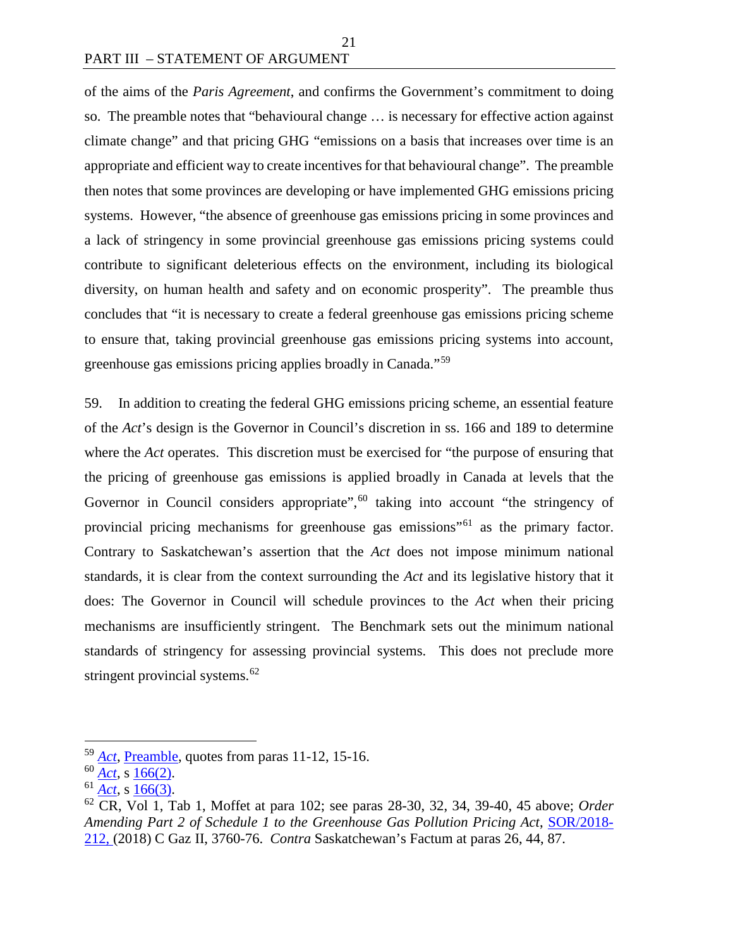of the aims of the *Paris Agreement*, and confirms the Government's commitment to doing so. The preamble notes that "behavioural change … is necessary for effective action against climate change" and that pricing GHG "emissions on a basis that increases over time is an appropriate and efficient way to create incentives for that behavioural change". The preamble then notes that some provinces are developing or have implemented GHG emissions pricing systems. However, "the absence of greenhouse gas emissions pricing in some provinces and a lack of stringency in some provincial greenhouse gas emissions pricing systems could contribute to significant deleterious effects on the environment, including its biological diversity, on human health and safety and on economic prosperity". The preamble thus concludes that "it is necessary to create a federal greenhouse gas emissions pricing scheme to ensure that, taking provincial greenhouse gas emissions pricing systems into account, greenhouse gas emissions pricing applies broadly in Canada."[59](#page-28-0)

21

59. In addition to creating the federal GHG emissions pricing scheme, an essential feature of the *Act*'s design is the Governor in Council's discretion in ss. 166 and 189 to determine where the *Act* operates. This discretion must be exercised for "the purpose of ensuring that the pricing of greenhouse gas emissions is applied broadly in Canada at levels that the Governor in Council considers appropriate",<sup>[60](#page-28-1)</sup> taking into account "the stringency of provincial pricing mechanisms for greenhouse gas emissions<sup>"[61](#page-28-2)</sup> as the primary factor. Contrary to Saskatchewan's assertion that the *Act* does not impose minimum national standards, it is clear from the context surrounding the *Act* and its legislative history that it does: The Governor in Council will schedule provinces to the *Act* when their pricing mechanisms are insufficiently stringent. The Benchmark sets out the minimum national standards of stringency for assessing provincial systems. This does not preclude more stringent provincial systems. $62$ 

<span id="page-28-0"></span> <sup>59</sup> *[Act](https://laws.justice.gc.ca/eng/acts/G-11.55/index.html)*, [Preamble,](https://laws.justice.gc.ca/eng/acts/G-11.55/FullText.html#preamble) quotes from paras 11-12, 15-16.

<span id="page-28-1"></span><sup>60</sup> *[Act](https://laws.justice.gc.ca/eng/acts/G-11.55/index.html)*, s [166\(2\).](https://laws.justice.gc.ca/eng/acts/G-11.55/FullText.html#s-166ss-(2)ID0EBDA)

<span id="page-28-2"></span><sup>61</sup> *[Act](https://laws.justice.gc.ca/eng/acts/G-11.55/index.html)*, s [166\(3\).](https://laws.justice.gc.ca/eng/acts/G-11.55/FullText.html#s-166ss-(3)ID0EBCA)

<span id="page-28-3"></span><sup>62</sup> CR, Vol 1, Tab 1, Moffet at para 102; see paras 28-30, 32, 34, 39-40, 45 above; *Order Amending Part 2 of Schedule 1 to the Greenhouse Gas Pollution Pricing Act*, [SOR/2018-](http://gazette.gc.ca/rp-pr/p2/2018/2018-10-31/html/sor-dors212-eng.html) [212,](http://gazette.gc.ca/rp-pr/p2/2018/2018-10-31/html/sor-dors212-eng.html) (2018) C Gaz II, 3760-76. *Contra* Saskatchewan's Factum at paras 26, 44, 87.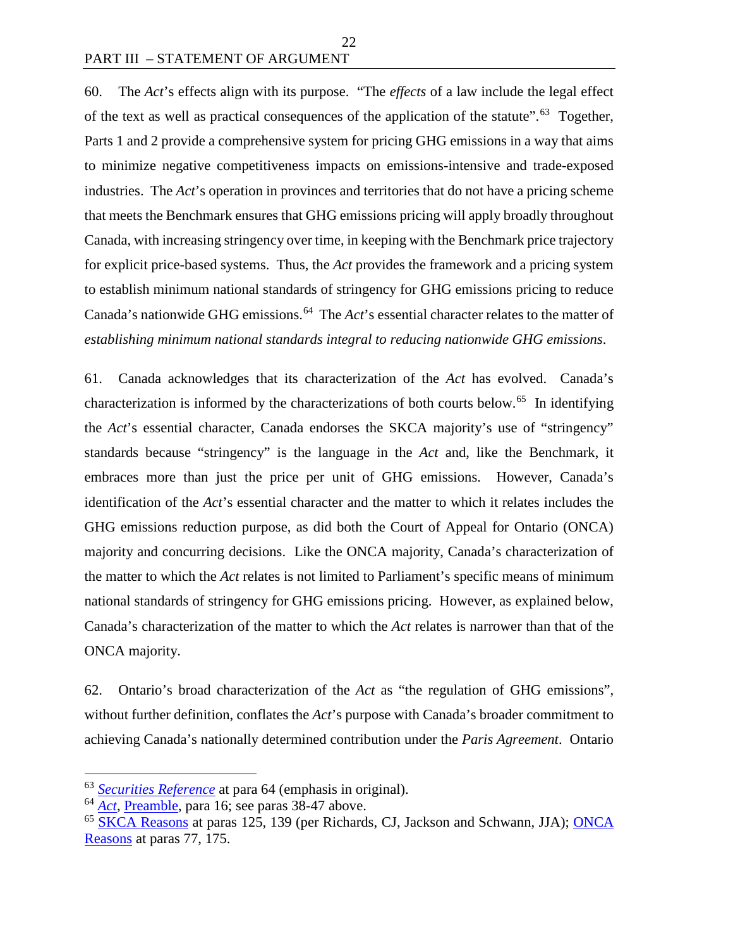60. The *Act*'s effects align with its purpose. "The *effects* of a law include the legal effect of the text as well as practical consequences of the application of the statute".<sup>[63](#page-29-0)</sup> Together, Parts 1 and 2 provide a comprehensive system for pricing GHG emissions in a way that aims to minimize negative competitiveness impacts on emissions-intensive and trade-exposed industries. The *Act*'s operation in provinces and territories that do not have a pricing scheme that meets the Benchmark ensures that GHG emissions pricing will apply broadly throughout Canada, with increasing stringency over time, in keeping with the Benchmark price trajectory for explicit price-based systems. Thus, the *Act* provides the framework and a pricing system to establish minimum national standards of stringency for GHG emissions pricing to reduce Canada's nationwide GHG emissions.<sup>64</sup> The *Act*'s essential character relates to the matter of *establishing minimum national standards integral to reducing nationwide GHG emissions*.

61. Canada acknowledges that its characterization of the *Act* has evolved. Canada's characterization is informed by the characterizations of both courts below. [65](#page-29-2) In identifying the *Act*'s essential character, Canada endorses the SKCA majority's use of "stringency" standards because "stringency" is the language in the *Act* and, like the Benchmark, it embraces more than just the price per unit of GHG emissions. However, Canada's identification of the *Act*'s essential character and the matter to which it relates includes the GHG emissions reduction purpose, as did both the Court of Appeal for Ontario (ONCA) majority and concurring decisions. Like the ONCA majority, Canada's characterization of the matter to which the *Act* relates is not limited to Parliament's specific means of minimum national standards of stringency for GHG emissions pricing. However, as explained below, Canada's characterization of the matter to which the *Act* relates is narrower than that of the ONCA majority.

62. Ontario's broad characterization of the *Act* as "the regulation of GHG emissions", without further definition, conflates the *Act*'s purpose with Canada's broader commitment to achieving Canada's nationally determined contribution under the *Paris Agreement*. Ontario

<span id="page-29-0"></span> <sup>63</sup> *[Securities Reference](https://scc-csc.lexum.com/scc-csc/scc-csc/en/7984/1/document.do)* at para 64 (emphasis in original).

<span id="page-29-1"></span><sup>64</sup> *[Act](https://laws.justice.gc.ca/eng/acts/G-11.55/index.html)*, [Preamble,](https://laws.justice.gc.ca/eng/acts/G-11.55/FullText.html#preamble) para 16; see paras 38-47 above.

<span id="page-29-2"></span><sup>&</sup>lt;sup>65</sup> [SKCA Reasons](https://sasklawcourts.ca/images/documents/CA_2019SKCA040.pdf) at paras 125, 139 (per Richards, CJ, Jackson and Schwann, JJA); ONCA [Reasons](http://www.ontariocourts.ca/decisions/2019/2019ONCA0544.htm) at paras 77, 175.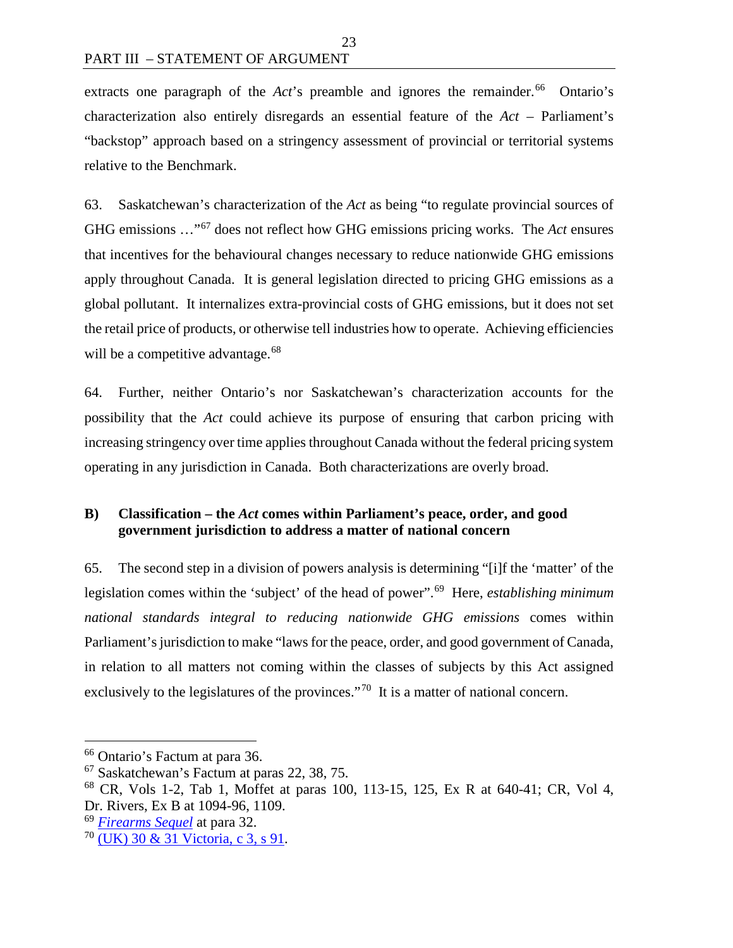extracts one paragraph of the *Act*'s preamble and ignores the remainder.<sup>[66](#page-30-1)</sup> Ontario's characterization also entirely disregards an essential feature of the *Act* – Parliament's "backstop" approach based on a stringency assessment of provincial or territorial systems relative to the Benchmark.

63. Saskatchewan's characterization of the *Act* as being "to regulate provincial sources of GHG emissions …"[67](#page-30-2) does not reflect how GHG emissions pricing works. The *Act* ensures that incentives for the behavioural changes necessary to reduce nationwide GHG emissions apply throughout Canada. It is general legislation directed to pricing GHG emissions as a global pollutant. It internalizes extra-provincial costs of GHG emissions, but it does not set the retail price of products, or otherwise tell industries how to operate. Achieving efficiencies will be a competitive advantage.<sup>[68](#page-30-3)</sup>

64. Further, neither Ontario's nor Saskatchewan's characterization accounts for the possibility that the *Act* could achieve its purpose of ensuring that carbon pricing with increasing stringency over time applies throughout Canada without the federal pricing system operating in any jurisdiction in Canada. Both characterizations are overly broad.

# <span id="page-30-0"></span>**B) Classification – the** *Act* **comes within Parliament's peace, order, and good government jurisdiction to address a matter of national concern**

65. The second step in a division of powers analysis is determining "[i]f the 'matter' of the legislation comes within the 'subject' of the head of power".[69](#page-30-4) Here, *establishing minimum national standards integral to reducing nationwide GHG emissions* comes within Parliament's jurisdiction to make "laws for the peace, order, and good government of Canada, in relation to all matters not coming within the classes of subjects by this Act assigned exclusively to the legislatures of the provinces."<sup>[70](#page-30-5)</sup> It is a matter of national concern.

<span id="page-30-1"></span> <sup>66</sup> Ontario's Factum at para 36.

<span id="page-30-2"></span><sup>67</sup> Saskatchewan's Factum at paras 22, 38, 75.

<span id="page-30-3"></span><sup>68</sup> CR, Vols 1-2, Tab 1, Moffet at paras 100, 113-15, 125, Ex R at 640-41; CR, Vol 4, Dr. Rivers, Ex B at 1094-96, 1109.

<span id="page-30-4"></span><sup>69</sup> *[Firearms Sequel](https://scc-csc.lexum.com/scc-csc/scc-csc/en/14713/1/document.do)* at para 32.

<span id="page-30-5"></span><sup>70</sup> [\(UK\) 30 & 31 Victoria, c 3, s 91.](https://laws.justice.gc.ca/eng/Const/FullText.html#h-17)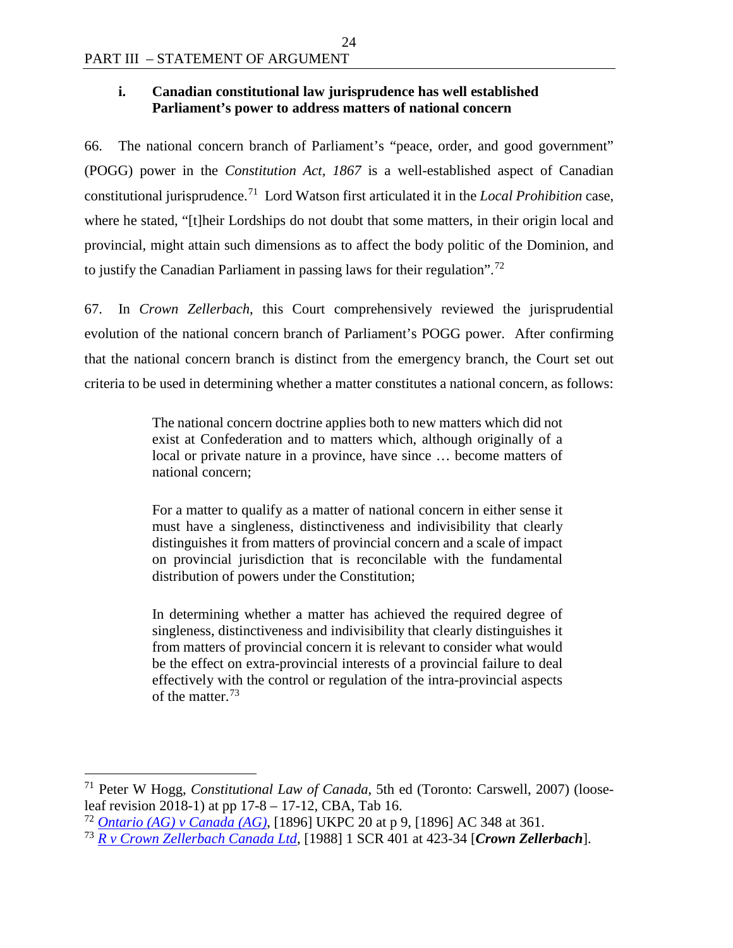# <span id="page-31-0"></span>**i. Canadian constitutional law jurisprudence has well established Parliament's power to address matters of national concern**

24

66. The national concern branch of Parliament's "peace, order, and good government" (POGG) power in the *Constitution Act, 1867* is a well-established aspect of Canadian constitutional jurisprudence.[71](#page-31-1) Lord Watson first articulated it in the *Local Prohibition* case, where he stated, "[t]heir Lordships do not doubt that some matters, in their origin local and provincial, might attain such dimensions as to affect the body politic of the Dominion, and to justify the Canadian Parliament in passing laws for their regulation".[72](#page-31-2)

67. In *Crown Zellerbach*, this Court comprehensively reviewed the jurisprudential evolution of the national concern branch of Parliament's POGG power. After confirming that the national concern branch is distinct from the emergency branch, the Court set out criteria to be used in determining whether a matter constitutes a national concern, as follows:

> The national concern doctrine applies both to new matters which did not exist at Confederation and to matters which, although originally of a local or private nature in a province, have since … become matters of national concern;

> For a matter to qualify as a matter of national concern in either sense it must have a singleness, distinctiveness and indivisibility that clearly distinguishes it from matters of provincial concern and a scale of impact on provincial jurisdiction that is reconcilable with the fundamental distribution of powers under the Constitution;

> In determining whether a matter has achieved the required degree of singleness, distinctiveness and indivisibility that clearly distinguishes it from matters of provincial concern it is relevant to consider what would be the effect on extra-provincial interests of a provincial failure to deal effectively with the control or regulation of the intra-provincial aspects of the matter.[73](#page-31-3)

<span id="page-31-1"></span> 71 Peter W Hogg, *Constitutional Law of Canada*, 5th ed (Toronto: Carswell, 2007) (looseleaf revision 2018-1) at pp  $17-8 - 17-12$ , CBA, Tab 16.

<span id="page-31-2"></span><sup>72</sup> *[Ontario \(AG\) v Canada \(AG\)](http://www.bailii.org/uk/cases/UKPC/1896/1896_20.html)*, [1896] UKPC 20 at p 9, [1896] AC 348 at 361.

<span id="page-31-3"></span><sup>73</sup> *[R v Crown Zellerbach Canada Ltd](https://scc-csc.lexum.com/scc-csc/scc-csc/en/306/1/document.do)*, [1988] 1 SCR 401 at 423-34 [*Crown Zellerbach*].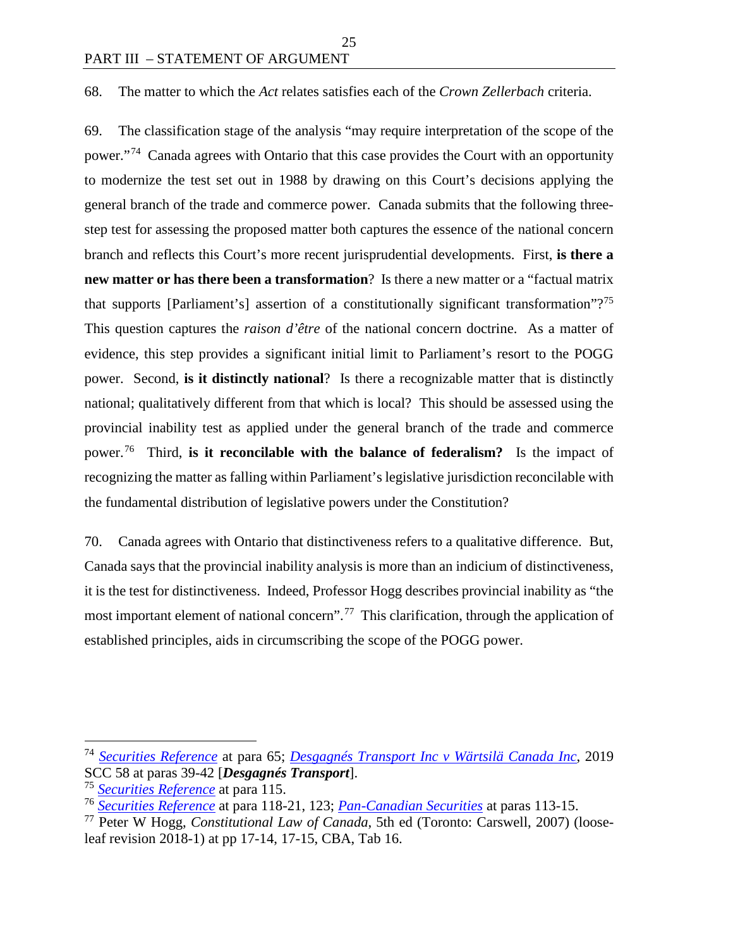#### 68. The matter to which the *Act* relates satisfies each of the *Crown Zellerbach* criteria.

25

69. The classification stage of the analysis "may require interpretation of the scope of the power."[74](#page-32-0) Canada agrees with Ontario that this case provides the Court with an opportunity to modernize the test set out in 1988 by drawing on this Court's decisions applying the general branch of the trade and commerce power. Canada submits that the following threestep test for assessing the proposed matter both captures the essence of the national concern branch and reflects this Court's more recent jurisprudential developments. First, **is there a new matter or has there been a transformation**? Is there a new matter or a "factual matrix that supports [Parliament's] assertion of a constitutionally significant transformation"?<sup>75</sup> This question captures the *raison d'être* of the national concern doctrine. As a matter of evidence, this step provides a significant initial limit to Parliament's resort to the POGG power. Second, **is it distinctly national**? Is there a recognizable matter that is distinctly national; qualitatively different from that which is local? This should be assessed using the provincial inability test as applied under the general branch of the trade and commerce power.[76](#page-32-2) Third, **is it reconcilable with the balance of federalism?** Is the impact of recognizing the matter as falling within Parliament's legislative jurisdiction reconcilable with the fundamental distribution of legislative powers under the Constitution?

70. Canada agrees with Ontario that distinctiveness refers to a qualitative difference. But, Canada says that the provincial inability analysis is more than an indicium of distinctiveness, it is the test for distinctiveness. Indeed, Professor Hogg describes provincial inability as "the most important element of national concern".[77](#page-32-3) This clarification, through the application of established principles, aids in circumscribing the scope of the POGG power.

<span id="page-32-0"></span> <sup>74</sup> *[Securities Reference](https://scc-csc.lexum.com/scc-csc/scc-csc/en/7984/1/document.do)* at para 65; *[Desgagnés Transport Inc v Wärtsilä Canada Inc](https://decisions.scc-csc.ca/scc-csc/scc-csc/en/18040/1/document.do)*, 2019 SCC 58 at paras 39-42 [*Desgagnés Transport*].

<sup>75</sup> *[Securities Reference](https://scc-csc.lexum.com/scc-csc/scc-csc/en/7984/1/document.do)* at para 115.

<span id="page-32-2"></span><span id="page-32-1"></span><sup>76</sup> *[Securities Reference](https://scc-csc.lexum.com/scc-csc/scc-csc/en/7984/1/document.do)* at para 118-21, 123; *[Pan-Canadian Securities](https://scc-csc.lexum.com/scc-csc/scc-csc/en/17355/1/document.do)* at paras 113-15.

<span id="page-32-3"></span><sup>77</sup> Peter W Hogg, *Constitutional Law of Canada*, 5th ed (Toronto: Carswell, 2007) (looseleaf revision 2018-1) at pp 17-14, 17-15, CBA, Tab 16.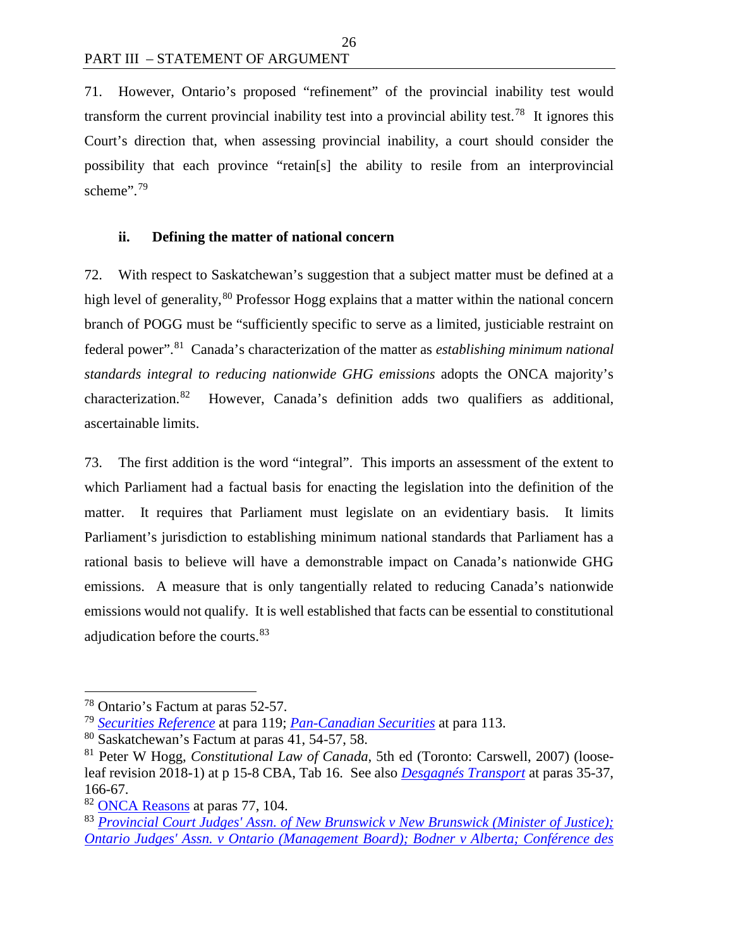71. However, Ontario's proposed "refinement" of the provincial inability test would transform the current provincial inability test into a provincial ability test.<sup>78</sup> It ignores this Court's direction that, when assessing provincial inability, a court should consider the possibility that each province "retain[s] the ability to resile from an interprovincial scheme".<sup>[79](#page-33-2)</sup>

## <span id="page-33-0"></span>**ii. Defining the matter of national concern**

72. With respect to Saskatchewan's suggestion that a subject matter must be defined at a high level of generality,<sup>[80](#page-33-3)</sup> Professor Hogg explains that a matter within the national concern branch of POGG must be "sufficiently specific to serve as a limited, justiciable restraint on federal power".[81](#page-33-4) Canada's characterization of the matter as *establishing minimum national standards integral to reducing nationwide GHG emissions* adopts the ONCA majority's characterization.[82](#page-33-5) However, Canada's definition adds two qualifiers as additional, ascertainable limits.

73. The first addition is the word "integral". This imports an assessment of the extent to which Parliament had a factual basis for enacting the legislation into the definition of the matter. It requires that Parliament must legislate on an evidentiary basis. It limits Parliament's jurisdiction to establishing minimum national standards that Parliament has a rational basis to believe will have a demonstrable impact on Canada's nationwide GHG emissions. A measure that is only tangentially related to reducing Canada's nationwide emissions would not qualify. It is well established that facts can be essential to constitutional adjudication before the courts.<sup>[83](#page-33-6)</sup>

<span id="page-33-1"></span> <sup>78</sup> Ontario's Factum at paras 52-57.

<span id="page-33-2"></span><sup>79</sup> *[Securities Reference](https://scc-csc.lexum.com/scc-csc/scc-csc/en/7984/1/document.do)* at para 119; *[Pan-Canadian Securities](https://scc-csc.lexum.com/scc-csc/scc-csc/en/17355/1/document.do)* at para 113.

<span id="page-33-3"></span><sup>80</sup> Saskatchewan's Factum at paras 41, 54-57, 58.

<span id="page-33-4"></span><sup>81</sup> Peter W Hogg, *Constitutional Law of Canada*, 5th ed (Toronto: Carswell, 2007) (looseleaf revision 2018-1) at p 15-8 CBA, Tab 16. See also *[Desgagnés Transport](https://decisions.scc-csc.ca/scc-csc/scc-csc/en/18040/1/document.do)* at paras 35-37, 166-67.

<span id="page-33-5"></span><sup>&</sup>lt;sup>82</sup> [ONCA Reasons](http://www.ontariocourts.ca/decisions/2019/2019ONCA0544.htm) at paras 77, 104.

<span id="page-33-6"></span><sup>83</sup> *Provincial Court Judges' Assn. [of New Brunswick v New Brunswick \(Minister of Justice\);](https://decisions.scc-csc.ca/scc-csc/scc-csc/en/2277/1/document.do)  Ontario Judges' Assn. [v Ontario \(Management Board\); Bodner v Alberta; Conférence des](https://decisions.scc-csc.ca/scc-csc/scc-csc/en/2277/1/document.do)*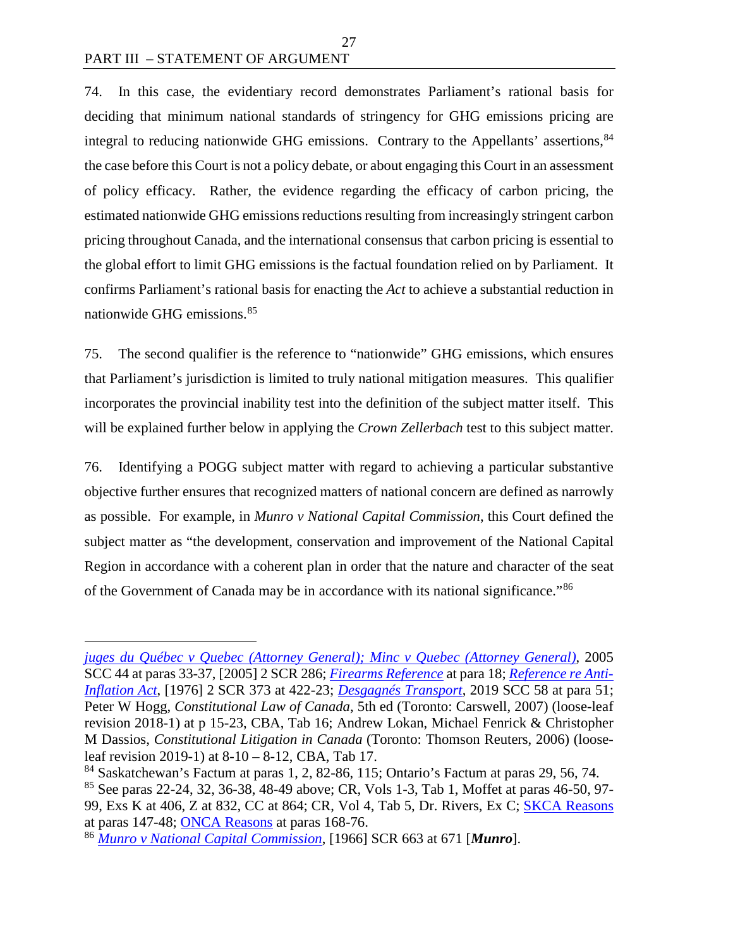$\overline{a}$ 

74. In this case, the evidentiary record demonstrates Parliament's rational basis for deciding that minimum national standards of stringency for GHG emissions pricing are integral to reducing nationwide GHG emissions. Contrary to the Appellants' assertions, [84](#page-34-0) the case before this Court is not a policy debate, or about engaging this Court in an assessment of policy efficacy. Rather, the evidence regarding the efficacy of carbon pricing, the estimated nationwide GHG emissions reductions resulting from increasingly stringent carbon pricing throughout Canada, and the international consensus that carbon pricing is essential to the global effort to limit GHG emissions is the factual foundation relied on by Parliament. It confirms Parliament's rational basis for enacting the *Act* to achieve a substantial reduction in nationwide GHG emissions. [85](#page-34-1)

27

75. The second qualifier is the reference to "nationwide" GHG emissions, which ensures that Parliament's jurisdiction is limited to truly national mitigation measures. This qualifier incorporates the provincial inability test into the definition of the subject matter itself. This will be explained further below in applying the *Crown Zellerbach* test to this subject matter.

76. Identifying a POGG subject matter with regard to achieving a particular substantive objective further ensures that recognized matters of national concern are defined as narrowly as possible. For example, in *Munro v National Capital Commission*, this Court defined the subject matter as "the development, conservation and improvement of the National Capital Region in accordance with a coherent plan in order that the nature and character of the seat of the Government of Canada may be in accordance with its national significance."[86](#page-34-2) 

*[juges du Québec v Quebec \(Attorney General\); Minc v Quebec \(Attorney General\)](https://decisions.scc-csc.ca/scc-csc/scc-csc/en/2277/1/document.do)*, 2005 SCC 44 at paras 33-37, [2005] 2 SCR 286; *[Firearms Reference](https://scc-csc.lexum.com/scc-csc/scc-csc/en/1794/1/document.do)* at para 18; *[Reference re Anti-](https://scc-csc.lexum.com/scc-csc/scc-csc/en/2696/1/document.do)[Inflation Act](https://scc-csc.lexum.com/scc-csc/scc-csc/en/2696/1/document.do)*, [1976] 2 SCR 373 at 422-23; *[Desgagnés Transport](https://decisions.scc-csc.ca/scc-csc/scc-csc/en/18040/1/document.do)*, 2019 SCC 58 at para 51; Peter W Hogg, *Constitutional Law of Canada*, 5th ed (Toronto: Carswell, 2007) (loose-leaf revision 2018-1) at p 15-23, CBA, Tab 16; Andrew Lokan, Michael Fenrick & Christopher M Dassios, *Constitutional Litigation in Canada* (Toronto: Thomson Reuters, 2006) (looseleaf revision 2019-1) at 8-10 – 8-12, CBA, Tab 17.

<span id="page-34-0"></span> $84$  Saskatchewan's Factum at paras 1, 2, 82-86, 115; Ontario's Factum at paras 29, 56, 74.

<span id="page-34-1"></span><sup>85</sup> See paras 22-24, 32, 36-38, 48-49 above; CR, Vols 1-3, Tab 1, Moffet at paras 46-50, 97- 99, Exs K at 406, Z at 832, CC at 864; CR, Vol 4, Tab 5, Dr. Rivers, Ex C; [SKCA Reasons](https://sasklawcourts.ca/images/documents/CA_2019SKCA040.pdf) at paras 147-48; [ONCA Reasons](http://www.ontariocourts.ca/decisions/2019/2019ONCA0544.htm) at paras 168-76.

<span id="page-34-2"></span><sup>86</sup> *[Munro v National Capital Commission](https://decisions.scc-csc.ca/scc-csc/scc-csc/en/6893/1/document.do)*, [1966] SCR 663 at 671 [*Munro*].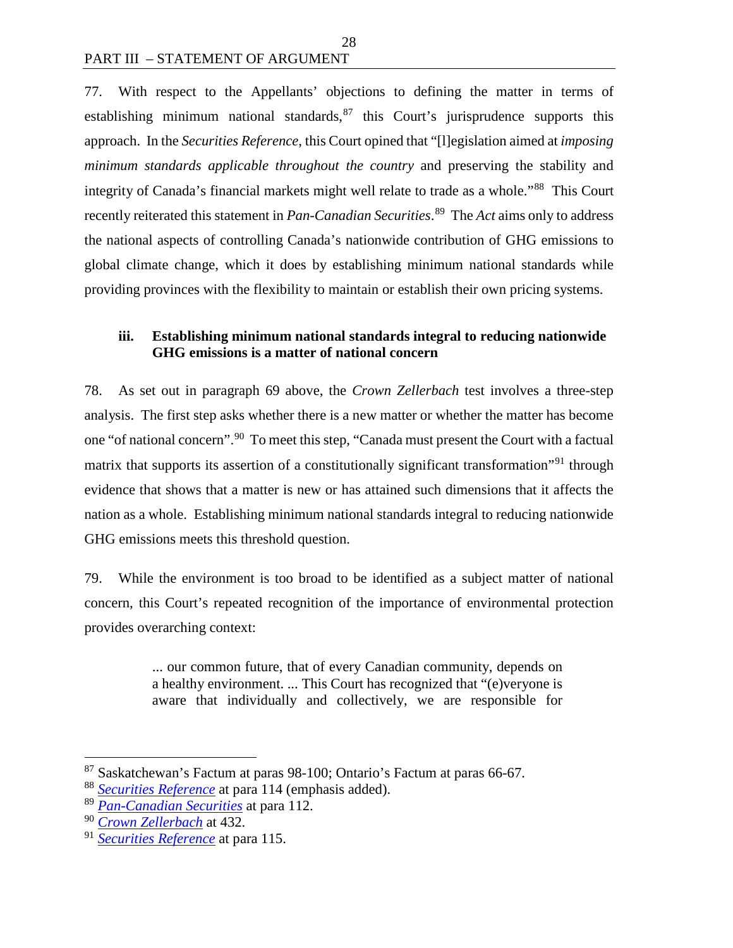77. With respect to the Appellants' objections to defining the matter in terms of establishing minimum national standards, $87$  this Court's jurisprudence supports this approach. In the *Securities Reference*, this Court opined that "[l]egislation aimed at *imposing minimum standards applicable throughout the country* and preserving the stability and integrity of Canada's financial markets might well relate to trade as a whole."[88](#page-35-2) This Court recently reiterated this statement in *Pan-Canadian Securities*. [89](#page-35-3) The *Act* aims only to address the national aspects of controlling Canada's nationwide contribution of GHG emissions to global climate change, which it does by establishing minimum national standards while providing provinces with the flexibility to maintain or establish their own pricing systems.

## <span id="page-35-0"></span>**iii. Establishing minimum national standards integral to reducing nationwide GHG emissions is a matter of national concern**

78. As set out in paragraph 69 above, the *Crown Zellerbach* test involves a three-step analysis. The first step asks whether there is a new matter or whether the matter has become one "of national concern".<sup>[90](#page-35-4)</sup> To meet this step, "Canada must present the Court with a factual matrix that supports its assertion of a constitutionally significant transformation<sup>"[91](#page-35-5)</sup> through evidence that shows that a matter is new or has attained such dimensions that it affects the nation as a whole. Establishing minimum national standards integral to reducing nationwide GHG emissions meets this threshold question.

79. While the environment is too broad to be identified as a subject matter of national concern, this Court's repeated recognition of the importance of environmental protection provides overarching context:

> ... our common future, that of every Canadian community, depends on a healthy environment. ... This Court has recognized that "(e)veryone is aware that individually and collectively, we are responsible for

<span id="page-35-1"></span> <sup>87</sup> Saskatchewan's Factum at paras 98-100; Ontario's Factum at paras 66-67.

<span id="page-35-2"></span><sup>88</sup> *[Securities Reference](https://scc-csc.lexum.com/scc-csc/scc-csc/en/7984/1/document.do)* at para 114 (emphasis added).

<span id="page-35-3"></span><sup>89</sup> *[Pan-Canadian Securities](https://scc-csc.lexum.com/scc-csc/scc-csc/en/17355/1/document.do)* at para 112.

<span id="page-35-4"></span><sup>90</sup> *[Crown Zellerbach](https://scc-csc.lexum.com/scc-csc/scc-csc/en/306/1/document.do)* at 432.

<span id="page-35-5"></span><sup>91</sup> *[Securities Reference](https://scc-csc.lexum.com/scc-csc/scc-csc/en/7984/1/document.do)* at para 115.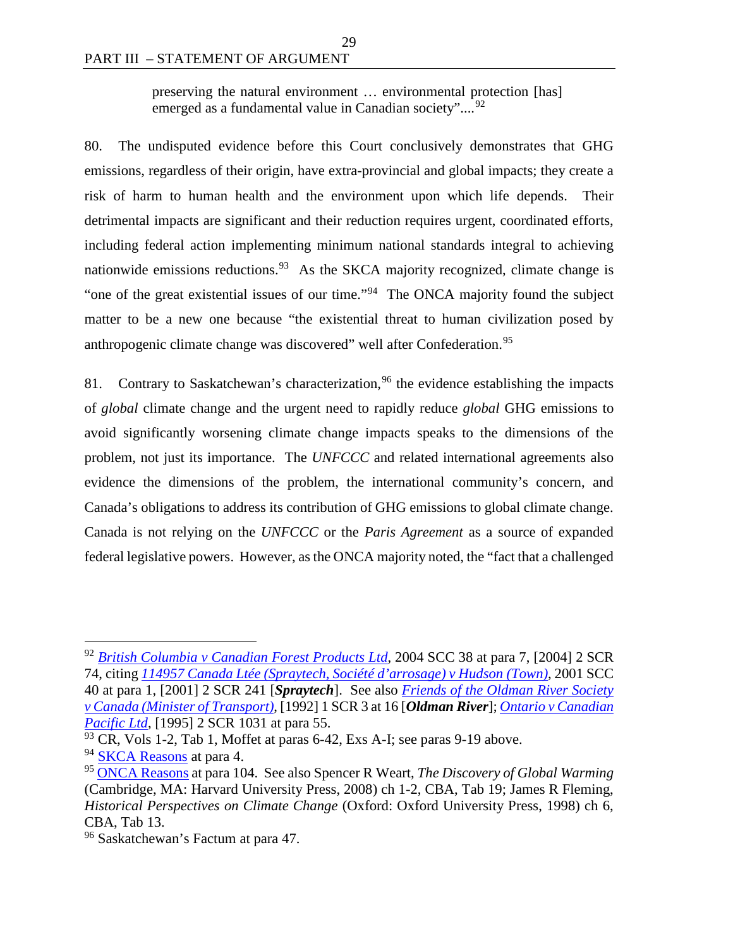preserving the natural environment … environmental protection [has] emerged as a fundamental value in Canadian society"....<sup>[92](#page-36-0)</sup>

29

80. The undisputed evidence before this Court conclusively demonstrates that GHG emissions, regardless of their origin, have extra-provincial and global impacts; they create a risk of harm to human health and the environment upon which life depends. Their detrimental impacts are significant and their reduction requires urgent, coordinated efforts, including federal action implementing minimum national standards integral to achieving nationwide emissions reductions.<sup>[93](#page-36-1)</sup> As the SKCA majority recognized, climate change is "one of the great existential issues of our time."<sup>[94](#page-36-2)</sup> The ONCA majority found the subject matter to be a new one because "the existential threat to human civilization posed by anthropogenic climate change was discovered" well after Confederation.<sup>95</sup>

81. Contrary to Saskatchewan's characterization,  $96$  the evidence establishing the impacts of *global* climate change and the urgent need to rapidly reduce *global* GHG emissions to avoid significantly worsening climate change impacts speaks to the dimensions of the problem, not just its importance. The *UNFCCC* and related international agreements also evidence the dimensions of the problem, the international community's concern, and Canada's obligations to address its contribution of GHG emissions to global climate change. Canada is not relying on the *UNFCCC* or the *Paris Agreement* as a source of expanded federal legislative powers. However, as the ONCA majority noted, the "fact that a challenged

<span id="page-36-0"></span> <sup>92</sup> *[British Columbia v Canadian Forest Products Ltd](https://scc-csc.lexum.com/scc-csc/scc-csc/en/2152/1/document.do)*, 2004 SCC 38 at para 7, [2004] 2 SCR 74, citing *114957 [Canada Ltée \(Spraytech, Société d'arrosage\) v Hudson \(Town\)](https://scc-csc.lexum.com/scc-csc/scc-csc/en/1878/1/document.do)*, 2001 SCC 40 at para 1, [2001] 2 SCR 241 [*Spraytech*]. See also *[Friends of the Oldman River Society](https://scc-csc.lexum.com/scc-csc/scc-csc/en/829/1/document.do)  [v Canada \(Minister of Transport\)](https://scc-csc.lexum.com/scc-csc/scc-csc/en/829/1/document.do)*, [1992] 1 SCR 3 at 16 [*Oldman River*]; *[Ontario v Canadian](https://scc-csc.lexum.com/scc-csc/scc-csc/en/1280/1/document.do)  [Pacific Ltd](https://scc-csc.lexum.com/scc-csc/scc-csc/en/1280/1/document.do)*, [1995] 2 SCR 1031 at para 55.

<span id="page-36-1"></span> $93$  CR, Vols 1-2, Tab 1, Moffet at paras 6-42, Exs A-I; see paras 9-19 above.

<span id="page-36-2"></span><sup>&</sup>lt;sup>94</sup> [SKCA Reasons](https://sasklawcourts.ca/images/documents/CA_2019SKCA040.pdf) at para 4.

<span id="page-36-3"></span><sup>95</sup> [ONCA Reasons](http://www.ontariocourts.ca/decisions/2019/2019ONCA0544.htm) at para 104. See also Spencer R Weart, *The Discovery of Global Warming*  (Cambridge, MA: Harvard University Press, 2008) ch 1-2, CBA, Tab 19; James R Fleming, *Historical Perspectives on Climate Change* (Oxford: Oxford University Press, 1998) ch 6, CBA, Tab 13.

<span id="page-36-4"></span><sup>96</sup> Saskatchewan's Factum at para 47.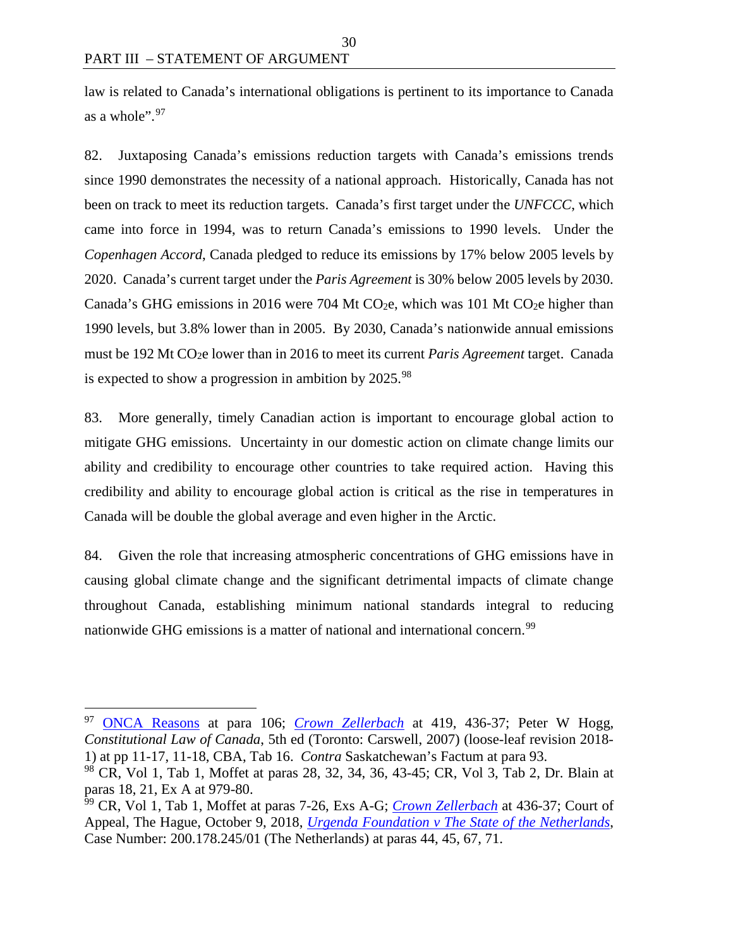law is related to Canada's international obligations is pertinent to its importance to Canada as a whole". $97$ 

30

82. Juxtaposing Canada's emissions reduction targets with Canada's emissions trends since 1990 demonstrates the necessity of a national approach. Historically, Canada has not been on track to meet its reduction targets. Canada's first target under the *UNFCCC*, which came into force in 1994, was to return Canada's emissions to 1990 levels. Under the *Copenhagen Accord*, Canada pledged to reduce its emissions by 17% below 2005 levels by 2020. Canada's current target under the *Paris Agreement* is 30% below 2005 levels by 2030. Canada's GHG emissions in 2016 were 704 Mt CO<sub>2</sub>e, which was 101 Mt CO<sub>2</sub>e higher than 1990 levels, but 3.8% lower than in 2005. By 2030, Canada's nationwide annual emissions must be 192 Mt CO2e lower than in 2016 to meet its current *Paris Agreement* target. Canada is expected to show a progression in ambition by  $2025.^{98}$  $2025.^{98}$  $2025.^{98}$ 

83. More generally, timely Canadian action is important to encourage global action to mitigate GHG emissions. Uncertainty in our domestic action on climate change limits our ability and credibility to encourage other countries to take required action. Having this credibility and ability to encourage global action is critical as the rise in temperatures in Canada will be double the global average and even higher in the Arctic.

84. Given the role that increasing atmospheric concentrations of GHG emissions have in causing global climate change and the significant detrimental impacts of climate change throughout Canada, establishing minimum national standards integral to reducing nationwide GHG emissions is a matter of national and international concern.<sup>[99](#page-37-2)</sup>

<span id="page-37-0"></span> <sup>97</sup> [ONCA Reasons](http://www.ontariocourts.ca/decisions/2019/2019ONCA0544.htm) at para 106; *[Crown Zellerbach](https://scc-csc.lexum.com/scc-csc/scc-csc/en/306/1/document.do)* at 419, 436-37; Peter W Hogg, *Constitutional Law of Canada*, 5th ed (Toronto: Carswell, 2007) (loose-leaf revision 2018- 1) at pp 11-17, 11-18, CBA, Tab 16. *Contra* Saskatchewan's Factum at para 93.

<span id="page-37-1"></span><sup>98</sup> CR, Vol 1, Tab 1, Moffet at paras 28, 32, 34, 36, 43-45; CR, Vol 3, Tab 2, Dr. Blain at paras 18, 21, Ex A at 979-80.

<span id="page-37-2"></span><sup>99</sup> CR, Vol 1, Tab 1, Moffet at paras 7-26, Exs A-G; *[Crown Zellerbach](https://scc-csc.lexum.com/scc-csc/scc-csc/en/306/1/document.do)* at 436-37; Court of Appeal, The Hague, October 9, 2018, *[Urgenda Foundation v The State of the Netherlands](https://uitspraken.rechtspraak.nl/inziendocument?id=ECLI:NL:GHDHA:2018:2610)*, Case Number: 200.178.245/01 (The Netherlands) at paras 44, 45, 67, 71.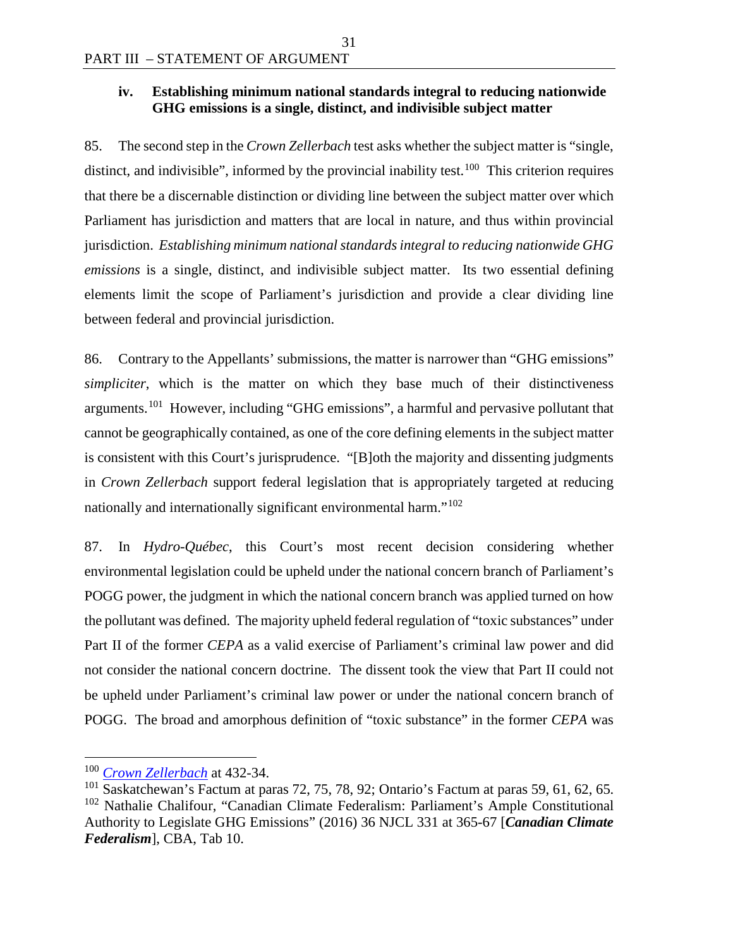#### **iv. Establishing minimum national standards integral to reducing nationwide GHG emissions is a single, distinct, and indivisible subject matter**

31

85. The second step in the *Crown Zellerbach* test asks whether the subject matter is "single, distinct, and indivisible", informed by the provincial inability test.<sup>100</sup> This criterion requires that there be a discernable distinction or dividing line between the subject matter over which Parliament has jurisdiction and matters that are local in nature, and thus within provincial jurisdiction. *Establishing minimum national standards integral to reducing nationwide GHG emissions* is a single, distinct, and indivisible subject matter. Its two essential defining elements limit the scope of Parliament's jurisdiction and provide a clear dividing line between federal and provincial jurisdiction.

86. Contrary to the Appellants' submissions, the matter is narrower than "GHG emissions" *simpliciter*, which is the matter on which they base much of their distinctiveness arguments.<sup>[101](#page-38-1)</sup> However, including "GHG emissions", a harmful and pervasive pollutant that cannot be geographically contained, as one of the core defining elements in the subject matter is consistent with this Court's jurisprudence. "[B]oth the majority and dissenting judgments in *Crown Zellerbach* support federal legislation that is appropriately targeted at reducing nationally and internationally significant environmental harm."<sup>[102](#page-38-2)</sup>

87. In *Hydro-Québec*, this Court's most recent decision considering whether environmental legislation could be upheld under the national concern branch of Parliament's POGG power, the judgment in which the national concern branch was applied turned on how the pollutant was defined. The majority upheld federal regulation of "toxic substances" under Part II of the former *CEPA* as a valid exercise of Parliament's criminal law power and did not consider the national concern doctrine. The dissent took the view that Part II could not be upheld under Parliament's criminal law power or under the national concern branch of POGG. The broad and amorphous definition of "toxic substance" in the former *CEPA* was

<span id="page-38-0"></span> <sup>100</sup> *[Crown Zellerbach](https://scc-csc.lexum.com/scc-csc/scc-csc/en/306/1/document.do)* at 432-34.

<span id="page-38-2"></span><span id="page-38-1"></span> $101$  Saskatchewan's Factum at paras 72, 75, 78, 92; Ontario's Factum at paras 59, 61, 62, 65. <sup>102</sup> Nathalie Chalifour, "Canadian Climate Federalism: Parliament's Ample Constitutional Authority to Legislate GHG Emissions" (2016) 36 NJCL 331 at 365-67 [*Canadian Climate Federalism*], CBA, Tab 10.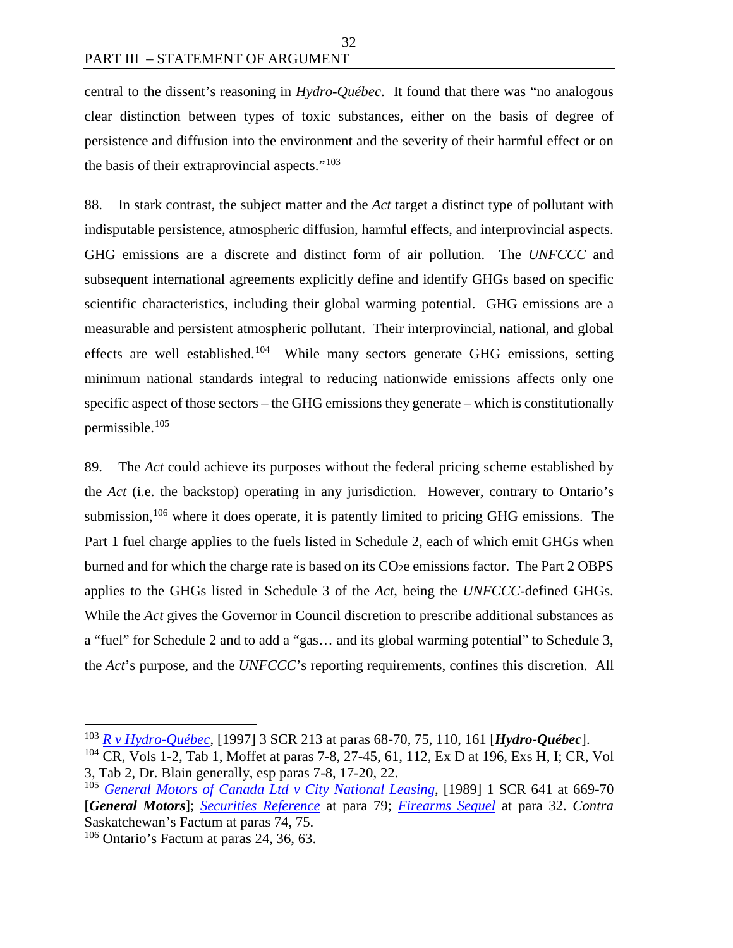central to the dissent's reasoning in *Hydro-Québec*. It found that there was "no analogous clear distinction between types of toxic substances, either on the basis of degree of persistence and diffusion into the environment and the severity of their harmful effect or on the basis of their extraprovincial aspects."[103](#page-39-0)

88. In stark contrast, the subject matter and the *Act* target a distinct type of pollutant with indisputable persistence, atmospheric diffusion, harmful effects, and interprovincial aspects. GHG emissions are a discrete and distinct form of air pollution. The *UNFCCC* and subsequent international agreements explicitly define and identify GHGs based on specific scientific characteristics, including their global warming potential. GHG emissions are a measurable and persistent atmospheric pollutant. Their interprovincial, national, and global effects are well established.[104](#page-39-1) While many sectors generate GHG emissions, setting minimum national standards integral to reducing nationwide emissions affects only one specific aspect of those sectors – the GHG emissions they generate – which is constitutionally permissible.[105](#page-39-2)

89. The *Act* could achieve its purposes without the federal pricing scheme established by the *Act* (i.e. the backstop) operating in any jurisdiction. However, contrary to Ontario's submission,  $106$  where it does operate, it is patently limited to pricing GHG emissions. The Part 1 fuel charge applies to the fuels listed in Schedule 2, each of which emit GHGs when burned and for which the charge rate is based on its  $CO<sub>2</sub>e$  emissions factor. The Part 2 OBPS applies to the GHGs listed in Schedule 3 of the *Act*, being the *UNFCCC*-defined GHGs. While the *Act* gives the Governor in Council discretion to prescribe additional substances as a "fuel" for Schedule 2 and to add a "gas… and its global warming potential" to Schedule 3, the *Act*'s purpose, and the *UNFCCC*'s reporting requirements, confines this discretion. All

<span id="page-39-0"></span> <sup>103</sup> *[R v Hydro-Québec](https://scc-csc.lexum.com/scc-csc/scc-csc/en/1542/1/document.do)*, [1997] 3 SCR 213 at paras 68-70, 75, 110, 161 [*Hydro-Québec*].

<span id="page-39-1"></span><sup>104</sup> CR, Vols 1-2, Tab 1, Moffet at paras 7-8, 27-45, 61, 112, Ex D at 196, Exs H, I; CR, Vol 3, Tab 2, Dr. Blain generally, esp paras 7-8, 17-20, 22.

<span id="page-39-2"></span><sup>105</sup> *[General Motors of Canada Ltd v City National Leasing](https://scc-csc.lexum.com/scc-csc/scc-csc/en/433/1/document.do)*, [1989] 1 SCR 641 at 669-70 [*General Motors*]; *[Securities Reference](https://scc-csc.lexum.com/scc-csc/scc-csc/en/1542/1/document.do)* at para 79; *[Firearms Sequel](https://scc-csc.lexum.com/scc-csc/scc-csc/en/14713/1/document.do)* at para 32. *Contra*  Saskatchewan's Factum at paras 74, 75.

<span id="page-39-3"></span> $106$  Ontario's Factum at paras 24, 36, 63.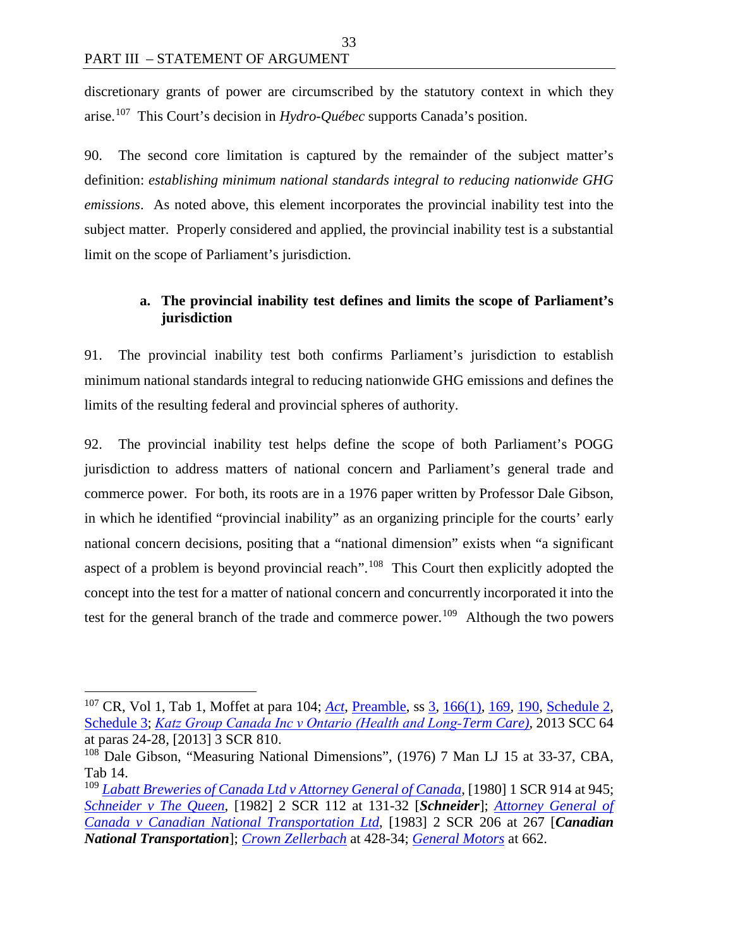discretionary grants of power are circumscribed by the statutory context in which they arise.[107](#page-40-0) This Court's decision in *Hydro-Québec* supports Canada's position.

33

90. The second core limitation is captured by the remainder of the subject matter's definition: *establishing minimum national standards integral to reducing nationwide GHG emissions*. As noted above, this element incorporates the provincial inability test into the subject matter. Properly considered and applied, the provincial inability test is a substantial limit on the scope of Parliament's jurisdiction.

# **a. The provincial inability test defines and limits the scope of Parliament's jurisdiction**

91. The provincial inability test both confirms Parliament's jurisdiction to establish minimum national standards integral to reducing nationwide GHG emissions and defines the limits of the resulting federal and provincial spheres of authority.

92. The provincial inability test helps define the scope of both Parliament's POGG jurisdiction to address matters of national concern and Parliament's general trade and commerce power. For both, its roots are in a 1976 paper written by Professor Dale Gibson, in which he identified "provincial inability" as an organizing principle for the courts' early national concern decisions, positing that a "national dimension" exists when "a significant aspect of a problem is beyond provincial reach".[108](#page-40-1) This Court then explicitly adopted the concept into the test for a matter of national concern and concurrently incorporated it into the test for the general branch of the trade and commerce power.<sup>[109](#page-40-2)</sup> Although the two powers

<span id="page-40-0"></span> <sup>107</sup> CR, Vol 1, Tab 1, Moffet at para 104; *[Act](https://laws.justice.gc.ca/eng/acts/G-11.55/index.html)*, [Preamble,](https://laws.justice.gc.ca/eng/acts/G-11.55/FullText.html#preamble) ss [3,](https://laws.justice.gc.ca/eng/acts/G-11.55/FullText.html#s-3) [166\(1\),](https://laws.justice.gc.ca/eng/acts/G-11.55/FullText.html#s-166ss-(1)ID0EHEA) [169,](https://laws.justice.gc.ca/eng/acts/G-11.55/FullText.html#s-169) [190,](https://laws.justice.gc.ca/eng/acts/G-11.55/FullText.html#s-190) [Schedule 2,](https://laws.justice.gc.ca/eng/acts/G-11.55/FullText.html#h-247111) [Schedule 3;](https://laws.justice.gc.ca/eng/acts/G-11.55/FullText.html#h-247148) *[Katz Group Canada Inc v Ontario \(Health and Long‐T](https://decisions.scc-csc.ca/scc-csc/scc-csc/en/13342/1/document.do)erm Care)*, 2013 SCC 64 at paras 24-28, [2013] 3 SCR 810.

<span id="page-40-1"></span><sup>&</sup>lt;sup>108</sup> Dale Gibson, "Measuring National Dimensions", (1976) 7 Man LJ 15 at 33-37, CBA, Tab 14.

<span id="page-40-2"></span><sup>109</sup> *[Labatt Breweries of Canada Ltd v Attorney General of Canada](https://scc-csc.lexum.com/scc-csc/scc-csc/en/5687/1/document.do)*, [1980] 1 SCR 914 at 945; *[Schneider v The Queen](https://scc-csc.lexum.com/scc-csc/scc-csc/en/2449/1/document.do)*, [1982] 2 SCR 112 at 131-32 [*Schneider*]; *[Attorney General of](https://scc-csc.lexum.com/scc-csc/scc-csc/en/2512/1/document.do)  [Canada v Canadian National Transportation Ltd](https://scc-csc.lexum.com/scc-csc/scc-csc/en/2512/1/document.do)*, [1983] 2 SCR 206 at 267 [*Canadian National Transportation*]; *[Crown Zellerbach](https://scc-csc.lexum.com/scc-csc/scc-csc/en/306/1/document.do)* at 428-34; *[General Motors](https://scc-csc.lexum.com/scc-csc/scc-csc/en/433/1/document.do)* at 662.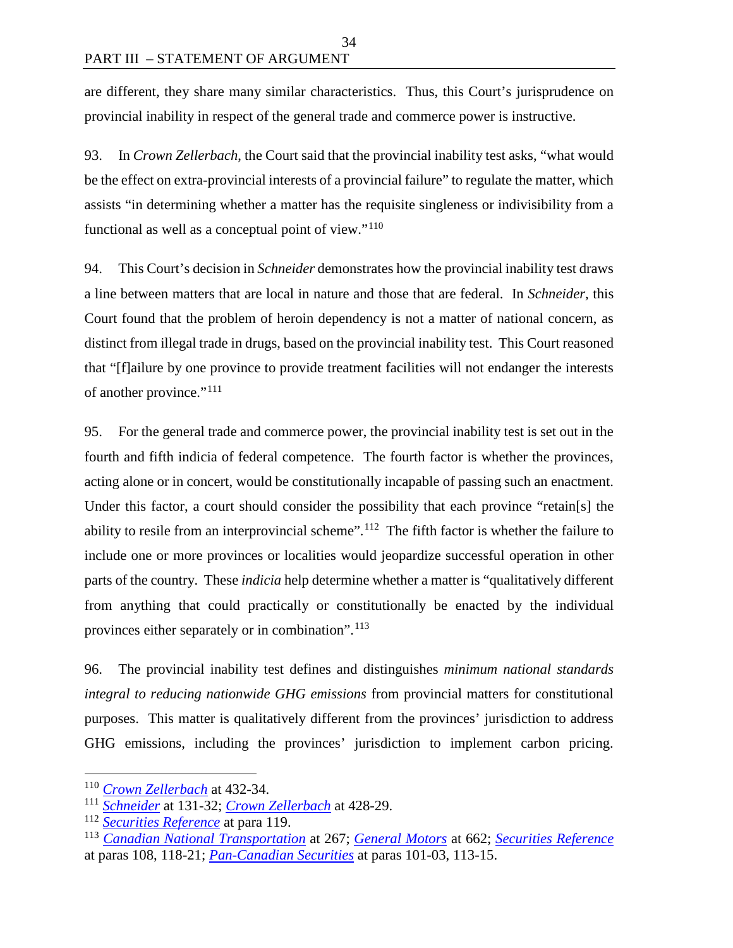are different, they share many similar characteristics. Thus, this Court's jurisprudence on provincial inability in respect of the general trade and commerce power is instructive.

34

93. In *Crown Zellerbach*, the Court said that the provincial inability test asks, "what would be the effect on extra-provincial interests of a provincial failure" to regulate the matter, which assists "in determining whether a matter has the requisite singleness or indivisibility from a functional as well as a conceptual point of view."[110](#page-41-0)

94. This Court's decision in *Schneider* demonstrates how the provincial inability test draws a line between matters that are local in nature and those that are federal. In *Schneider*, this Court found that the problem of heroin dependency is not a matter of national concern, as distinct from illegal trade in drugs, based on the provincial inability test. This Court reasoned that "[f]ailure by one province to provide treatment facilities will not endanger the interests of another province."<sup>111</sup>

95. For the general trade and commerce power, the provincial inability test is set out in the fourth and fifth indicia of federal competence. The fourth factor is whether the provinces, acting alone or in concert, would be constitutionally incapable of passing such an enactment. Under this factor, a court should consider the possibility that each province "retain[s] the ability to resile from an interprovincial scheme".<sup>112</sup> The fifth factor is whether the failure to include one or more provinces or localities would jeopardize successful operation in other parts of the country. These *indicia* help determine whether a matter is "qualitatively different from anything that could practically or constitutionally be enacted by the individual provinces either separately or in combination".<sup>[113](#page-41-3)</sup>

96. The provincial inability test defines and distinguishes *minimum national standards integral to reducing nationwide GHG emissions* from provincial matters for constitutional purposes. This matter is qualitatively different from the provinces' jurisdiction to address GHG emissions, including the provinces' jurisdiction to implement carbon pricing.

<span id="page-41-0"></span> <sup>110</sup> *[Crown Zellerbach](https://scc-csc.lexum.com/scc-csc/scc-csc/en/306/1/document.do)* at 432-34.

<span id="page-41-1"></span><sup>111</sup> *[Schneider](https://scc-csc.lexum.com/scc-csc/scc-csc/en/2449/1/document.do)* at 131-32; *[Crown Zellerbach](https://scc-csc.lexum.com/scc-csc/scc-csc/en/306/1/document.do)* at 428-29.

<span id="page-41-2"></span><sup>112</sup> *[Securities Reference](https://scc-csc.lexum.com/scc-csc/scc-csc/en/7984/1/document.do)* at para 119.

<span id="page-41-3"></span><sup>113</sup> *[Canadian National Transportation](https://scc-csc.lexum.com/scc-csc/scc-csc/en/2512/1/document.do)* at 267; *[General Motors](https://scc-csc.lexum.com/scc-csc/scc-csc/en/433/1/document.do)* at 662; *[Securities Reference](https://scc-csc.lexum.com/scc-csc/scc-csc/en/7984/1/document.do)* at paras 108, 118-21; *[Pan-Canadian Securities](https://scc-csc.lexum.com/scc-csc/scc-csc/en/17355/1/document.do)* at paras 101-03, 113-15.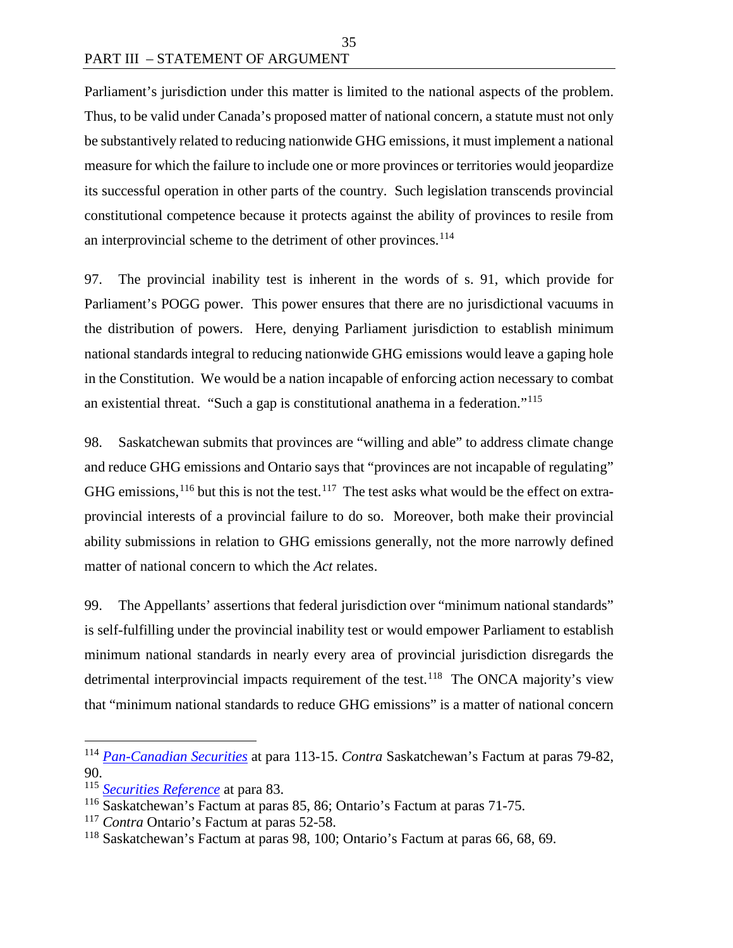Parliament's jurisdiction under this matter is limited to the national aspects of the problem. Thus, to be valid under Canada's proposed matter of national concern, a statute must not only be substantively related to reducing nationwide GHG emissions, it must implement a national measure for which the failure to include one or more provinces or territories would jeopardize its successful operation in other parts of the country. Such legislation transcends provincial constitutional competence because it protects against the ability of provinces to resile from an interprovincial scheme to the detriment of other provinces.<sup>[114](#page-42-0)</sup>

35

97. The provincial inability test is inherent in the words of s. 91, which provide for Parliament's POGG power. This power ensures that there are no jurisdictional vacuums in the distribution of powers. Here, denying Parliament jurisdiction to establish minimum national standards integral to reducing nationwide GHG emissions would leave a gaping hole in the Constitution. We would be a nation incapable of enforcing action necessary to combat an existential threat. "Such a gap is constitutional anathema in a federation."[115](#page-42-1)

98. Saskatchewan submits that provinces are "willing and able" to address climate change and reduce GHG emissions and Ontario says that "provinces are not incapable of regulating" GHG emissions,  $^{116}$  $^{116}$  $^{116}$  but this is not the test.  $^{117}$  $^{117}$  $^{117}$  The test asks what would be the effect on extraprovincial interests of a provincial failure to do so. Moreover, both make their provincial ability submissions in relation to GHG emissions generally, not the more narrowly defined matter of national concern to which the *Act* relates.

99. The Appellants' assertions that federal jurisdiction over "minimum national standards" is self-fulfilling under the provincial inability test or would empower Parliament to establish minimum national standards in nearly every area of provincial jurisdiction disregards the detrimental interprovincial impacts requirement of the test.<sup>118</sup> The ONCA majority's view that "minimum national standards to reduce GHG emissions" is a matter of national concern

<span id="page-42-0"></span> <sup>114</sup> *[Pan-Canadian Securities](https://scc-csc.lexum.com/scc-csc/scc-csc/en/17355/1/document.do)* at para 113-15. *Contra* Saskatchewan's Factum at paras 79-82, 90.

<span id="page-42-1"></span><sup>115</sup> *[Securities Reference](https://scc-csc.lexum.com/scc-csc/scc-csc/en/7984/1/document.do)* at para 83.

<span id="page-42-2"></span><sup>116</sup> Saskatchewan's Factum at paras 85, 86; Ontario's Factum at paras 71-75.

<span id="page-42-3"></span><sup>&</sup>lt;sup>117</sup> *Contra* Ontario's Factum at paras 52-58.

<span id="page-42-4"></span><sup>118</sup> Saskatchewan's Factum at paras 98, 100; Ontario's Factum at paras 66, 68, 69.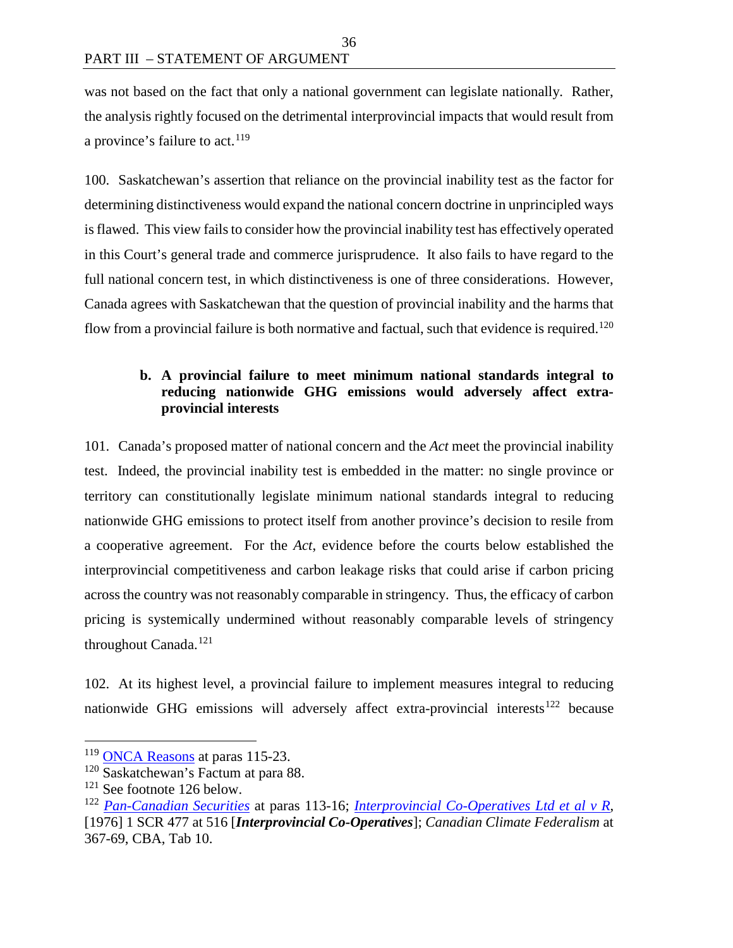was not based on the fact that only a national government can legislate nationally. Rather, the analysis rightly focused on the detrimental interprovincial impacts that would result from a province's failure to act.  $119$ 

100. Saskatchewan's assertion that reliance on the provincial inability test as the factor for determining distinctiveness would expand the national concern doctrine in unprincipled ways is flawed. This view fails to consider how the provincial inability test has effectively operated in this Court's general trade and commerce jurisprudence. It also fails to have regard to the full national concern test, in which distinctiveness is one of three considerations. However, Canada agrees with Saskatchewan that the question of provincial inability and the harms that flow from a provincial failure is both normative and factual, such that evidence is required.<sup>[120](#page-43-1)</sup>

#### **b. A provincial failure to meet minimum national standards integral to reducing nationwide GHG emissions would adversely affect extraprovincial interests**

101. Canada's proposed matter of national concern and the *Act* meet the provincial inability test. Indeed, the provincial inability test is embedded in the matter: no single province or territory can constitutionally legislate minimum national standards integral to reducing nationwide GHG emissions to protect itself from another province's decision to resile from a cooperative agreement. For the *Act*, evidence before the courts below established the interprovincial competitiveness and carbon leakage risks that could arise if carbon pricing across the country was not reasonably comparable in stringency. Thus, the efficacy of carbon pricing is systemically undermined without reasonably comparable levels of stringency throughout Canada.[121](#page-43-2)

102. At its highest level, a provincial failure to implement measures integral to reducing nationwide GHG emissions will adversely affect extra-provincial interests<sup>[122](#page-43-3)</sup> because

<span id="page-43-0"></span><sup>&</sup>lt;sup>119</sup> [ONCA Reasons](http://www.ontariocourts.ca/decisions/2019/2019ONCA0544.htm) at paras 115-23.

<span id="page-43-1"></span><sup>120</sup> Saskatchewan's Factum at para 88.

<span id="page-43-2"></span><sup>121</sup> See footnote 126 below.

<span id="page-43-3"></span><sup>122</sup> *[Pan-Canadian Securities](https://scc-csc.lexum.com/scc-csc/scc-csc/en/17355/1/document.do)* at paras 113-16; *[Interprovincial Co-Operatives Ltd et al v R](https://scc-csc.lexum.com/scc-csc/scc-csc/en/5932/1/document.do)*, [1976] 1 SCR 477 at 516 [*Interprovincial Co-Operatives*]; *Canadian Climate Federalism* at 367-69, CBA, Tab 10.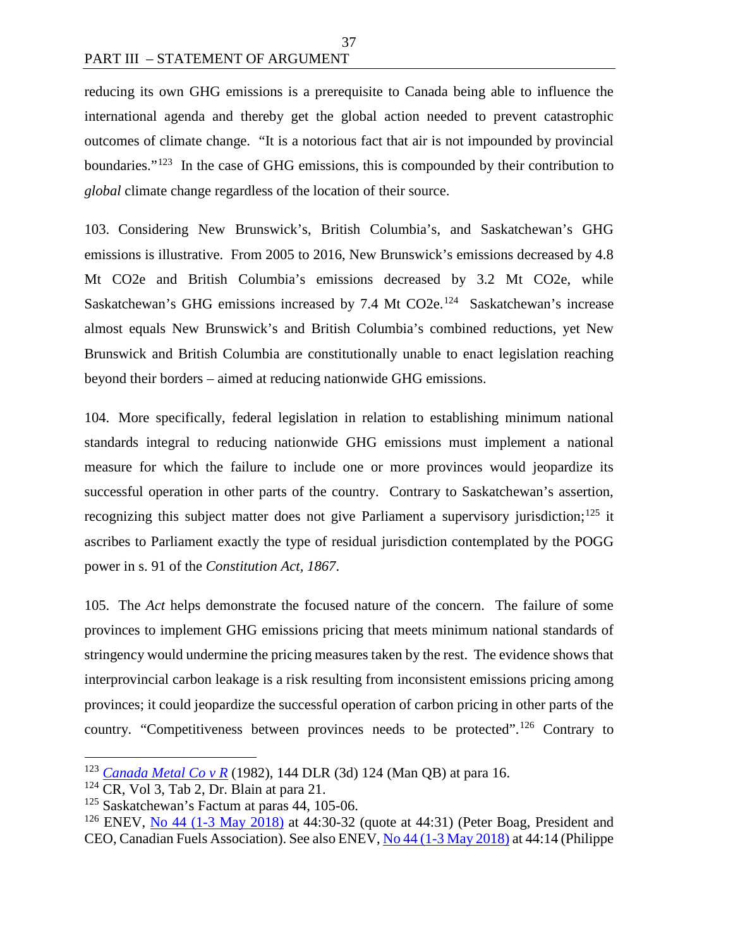reducing its own GHG emissions is a prerequisite to Canada being able to influence the international agenda and thereby get the global action needed to prevent catastrophic outcomes of climate change. "It is a notorious fact that air is not impounded by provincial boundaries."<sup>[123](#page-44-0)</sup> In the case of GHG emissions, this is compounded by their contribution to *global* climate change regardless of the location of their source.

37

103. Considering New Brunswick's, British Columbia's, and Saskatchewan's GHG emissions is illustrative. From 2005 to 2016, New Brunswick's emissions decreased by 4.8 Mt CO2e and British Columbia's emissions decreased by 3.2 Mt CO2e, while Saskatchewan's GHG emissions increased by 7.4 Mt CO2e.<sup>[124](#page-44-1)</sup> Saskatchewan's increase almost equals New Brunswick's and British Columbia's combined reductions, yet New Brunswick and British Columbia are constitutionally unable to enact legislation reaching beyond their borders – aimed at reducing nationwide GHG emissions.

104. More specifically, federal legislation in relation to establishing minimum national standards integral to reducing nationwide GHG emissions must implement a national measure for which the failure to include one or more provinces would jeopardize its successful operation in other parts of the country. Contrary to Saskatchewan's assertion, recognizing this subject matter does not give Parliament a supervisory jurisdiction;<sup>[125](#page-44-2)</sup> it ascribes to Parliament exactly the type of residual jurisdiction contemplated by the POGG power in s. 91 of the *Constitution Act, 1867*.

105. The *Act* helps demonstrate the focused nature of the concern. The failure of some provinces to implement GHG emissions pricing that meets minimum national standards of stringency would undermine the pricing measures taken by the rest. The evidence shows that interprovincial carbon leakage is a risk resulting from inconsistent emissions pricing among provinces; it could jeopardize the successful operation of carbon pricing in other parts of the country. "Competitiveness between provinces needs to be protected".<sup>[126](#page-44-3)</sup> Contrary to

<span id="page-44-0"></span> <sup>123</sup> *[Canada Metal Co v R](https://www.canlii.org/en/mb/mbqb/doc/1982/1982canlii2994/1982canlii2994.html)* (1982), 144 DLR (3d) 124 (Man QB) at para 16.

<span id="page-44-1"></span> $124$  CR, Vol 3, Tab 2, Dr. Blain at para 21.

<span id="page-44-2"></span> $125$  Saskatchewan's Factum at paras 44, 105-06.

<span id="page-44-3"></span><sup>&</sup>lt;sup>126</sup> ENEV, [No 44 \(1-3 May 2018\)](https://sencanada.ca/Content/SEN/Committee/421/enev/pdf/44issue.pdf) at 44:30-32 (quote at 44:31) (Peter Boag, President and CEO, Canadian Fuels Association). See also ENEV, [No 44 \(1-3 May 2018\)](https://sencanada.ca/Content/SEN/Committee/421/enev/pdf/44issue.pdf) at 44:14 (Philippe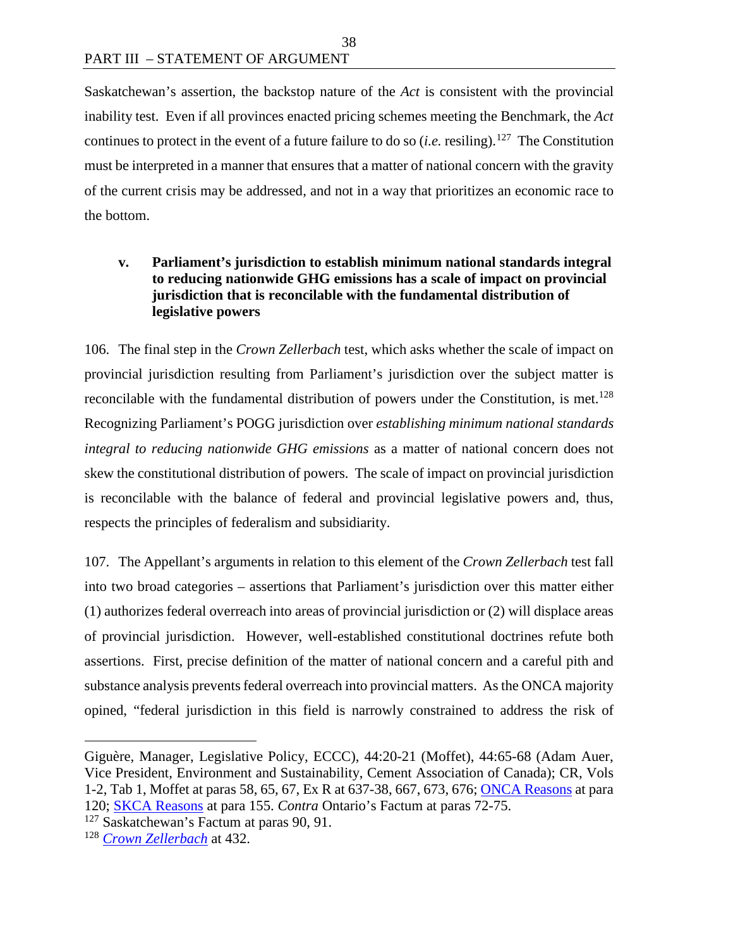Saskatchewan's assertion, the backstop nature of the *Act* is consistent with the provincial inability test. Even if all provinces enacted pricing schemes meeting the Benchmark, the *Act*  continues to protect in the event of a future failure to do so (*i.e.* resiling). [127](#page-45-0) The Constitution must be interpreted in a manner that ensures that a matter of national concern with the gravity of the current crisis may be addressed, and not in a way that prioritizes an economic race to the bottom.

#### **v. Parliament's jurisdiction to establish minimum national standards integral to reducing nationwide GHG emissions has a scale of impact on provincial jurisdiction that is reconcilable with the fundamental distribution of legislative powers**

106. The final step in the *Crown Zellerbach* test, which asks whether the scale of impact on provincial jurisdiction resulting from Parliament's jurisdiction over the subject matter is reconcilable with the fundamental distribution of powers under the Constitution, is met.<sup>128</sup> Recognizing Parliament's POGG jurisdiction over *establishing minimum national standards integral to reducing nationwide GHG emissions* as a matter of national concern does not skew the constitutional distribution of powers. The scale of impact on provincial jurisdiction is reconcilable with the balance of federal and provincial legislative powers and, thus, respects the principles of federalism and subsidiarity.

107. The Appellant's arguments in relation to this element of the *Crown Zellerbach* test fall into two broad categories – assertions that Parliament's jurisdiction over this matter either (1) authorizes federal overreach into areas of provincial jurisdiction or (2) will displace areas of provincial jurisdiction. However, well-established constitutional doctrines refute both assertions. First, precise definition of the matter of national concern and a careful pith and substance analysis prevents federal overreach into provincial matters. As the ONCA majority opined, "federal jurisdiction in this field is narrowly constrained to address the risk of

 $\overline{a}$ 

Giguère, Manager, Legislative Policy, ECCC), 44:20-21 (Moffet), 44:65-68 (Adam Auer, Vice President, Environment and Sustainability, Cement Association of Canada); CR, Vols 1-2, Tab 1, Moffet at paras 58, 65, 67, Ex R at 637-38, 667, 673, 676; [ONCA Reasons](http://www.ontariocourts.ca/decisions/2019/2019ONCA0544.htm) at para 120; [SKCA Reasons](https://sasklawcourts.ca/images/documents/CA_2019SKCA040.pdf) at para 155. *Contra* Ontario's Factum at paras 72-75.

<span id="page-45-0"></span> $127$  Saskatchewan's Factum at paras 90, 91.

<span id="page-45-1"></span><sup>128</sup> *[Crown Zellerbach](https://scc-csc.lexum.com/scc-csc/scc-csc/en/306/1/document.do)* at 432.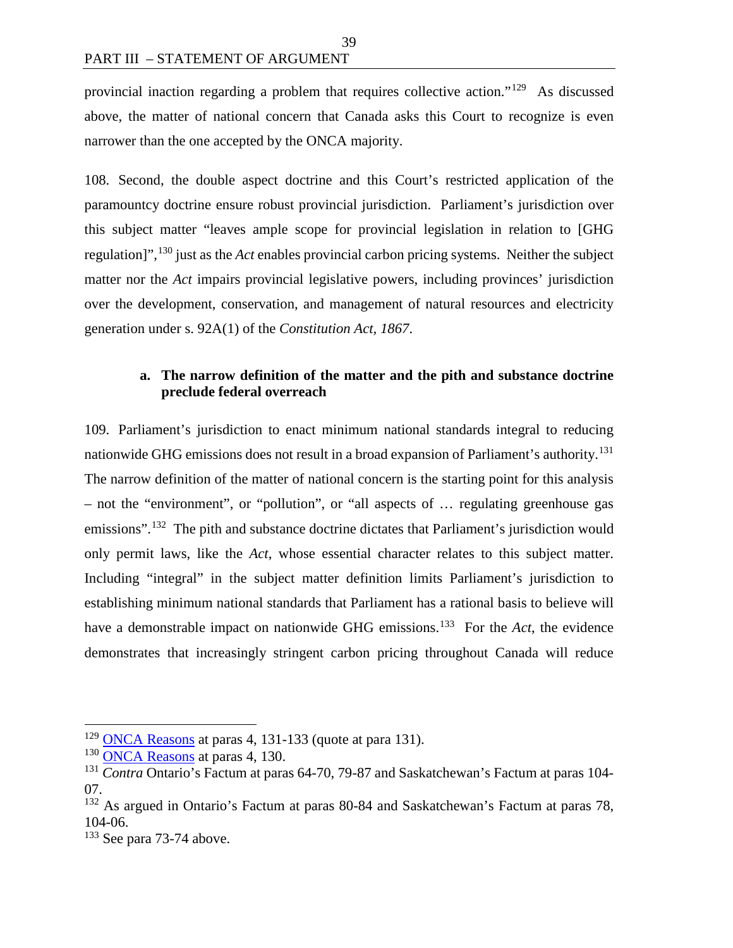provincial inaction regarding a problem that requires collective action."[129](#page-46-0) As discussed above, the matter of national concern that Canada asks this Court to recognize is even narrower than the one accepted by the ONCA majority.

108. Second, the double aspect doctrine and this Court's restricted application of the paramountcy doctrine ensure robust provincial jurisdiction. Parliament's jurisdiction over this subject matter "leaves ample scope for provincial legislation in relation to [GHG regulation]",[130](#page-46-1) just as the *Act* enables provincial carbon pricing systems. Neither the subject matter nor the *Act* impairs provincial legislative powers, including provinces' jurisdiction over the development, conservation, and management of natural resources and electricity generation under s. 92A(1) of the *Constitution Act, 1867*.

#### **a. The narrow definition of the matter and the pith and substance doctrine preclude federal overreach**

109. Parliament's jurisdiction to enact minimum national standards integral to reducing nationwide GHG emissions does not result in a broad expansion of Parliament's authority.<sup>131</sup> The narrow definition of the matter of national concern is the starting point for this analysis – not the "environment", or "pollution", or "all aspects of … regulating greenhouse gas emissions".<sup>132</sup> The pith and substance doctrine dictates that Parliament's jurisdiction would only permit laws, like the *Act*, whose essential character relates to this subject matter. Including "integral" in the subject matter definition limits Parliament's jurisdiction to establishing minimum national standards that Parliament has a rational basis to believe will have a demonstrable impact on nationwide GHG emissions.<sup>133</sup> For the *Act*, the evidence demonstrates that increasingly stringent carbon pricing throughout Canada will reduce

<span id="page-46-0"></span> $129$  [ONCA Reasons](http://www.ontariocourts.ca/decisions/2019/2019ONCA0544.htm) at paras 4, 131-133 (quote at para 131).

<sup>&</sup>lt;sup>130</sup> [ONCA Reasons](http://www.ontariocourts.ca/decisions/2019/2019ONCA0544.htm) at paras 4, 130.

<span id="page-46-2"></span><span id="page-46-1"></span><sup>131</sup> *Contra* Ontario's Factum at paras 64-70, 79-87 and Saskatchewan's Factum at paras 104- 07.

<span id="page-46-3"></span><sup>&</sup>lt;sup>132</sup> As argued in Ontario's Factum at paras 80-84 and Saskatchewan's Factum at paras 78, 104-06.

<span id="page-46-4"></span><sup>&</sup>lt;sup>133</sup> See para 73-74 above.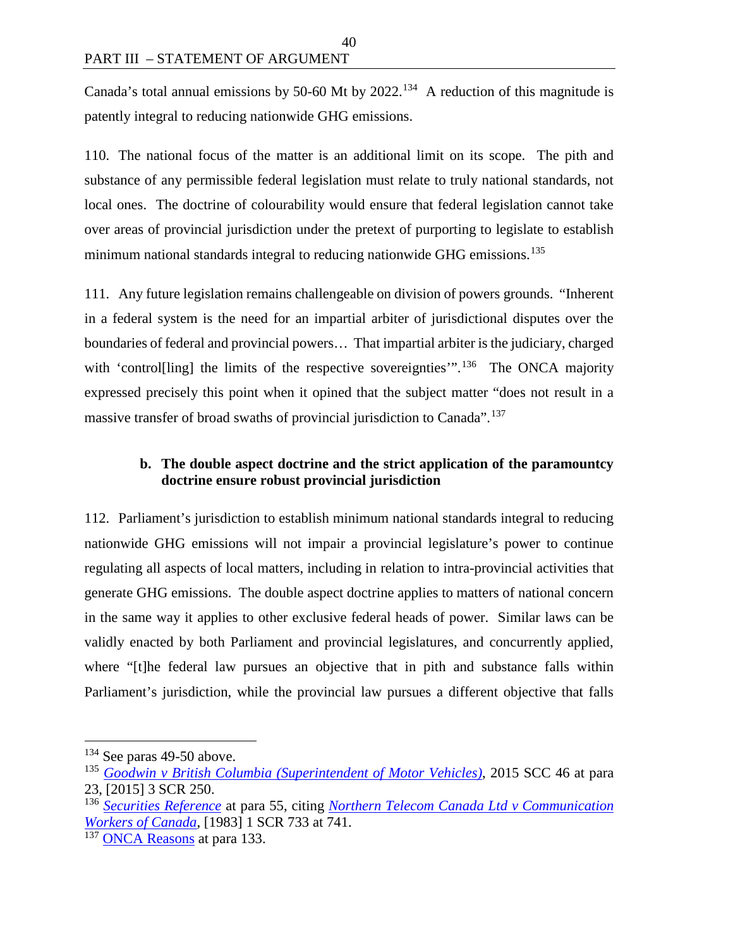Canada's total annual emissions by 50-60 Mt by  $2022$ .<sup>134</sup> A reduction of this magnitude is patently integral to reducing nationwide GHG emissions.

40

110. The national focus of the matter is an additional limit on its scope. The pith and substance of any permissible federal legislation must relate to truly national standards, not local ones. The doctrine of colourability would ensure that federal legislation cannot take over areas of provincial jurisdiction under the pretext of purporting to legislate to establish minimum national standards integral to reducing nationwide GHG emissions.<sup>[135](#page-47-1)</sup>

111. Any future legislation remains challengeable on division of powers grounds. "Inherent in a federal system is the need for an impartial arbiter of jurisdictional disputes over the boundaries of federal and provincial powers… That impartial arbiter is the judiciary, charged with 'control[ling] the limits of the respective sovereignties'".<sup>[136](#page-47-2)</sup> The ONCA majority expressed precisely this point when it opined that the subject matter "does not result in a massive transfer of broad swaths of provincial jurisdiction to Canada".[137](#page-47-3)

# **b. The double aspect doctrine and the strict application of the paramountcy doctrine ensure robust provincial jurisdiction**

112. Parliament's jurisdiction to establish minimum national standards integral to reducing nationwide GHG emissions will not impair a provincial legislature's power to continue regulating all aspects of local matters, including in relation to intra-provincial activities that generate GHG emissions. The double aspect doctrine applies to matters of national concern in the same way it applies to other exclusive federal heads of power. Similar laws can be validly enacted by both Parliament and provincial legislatures, and concurrently applied, where "[t]he federal law pursues an objective that in pith and substance falls within Parliament's jurisdiction, while the provincial law pursues a different objective that falls

<span id="page-47-0"></span><sup>&</sup>lt;sup>134</sup> See paras 49-50 above.

<span id="page-47-1"></span><sup>135</sup> *[Goodwin v British Columbia \(Superintendent of Motor Vehicles\)](https://scc-csc.lexum.com/scc-csc/scc-csc/en/15550/1/document.do)*, 2015 SCC 46 at para 23, [2015] 3 SCR 250.

<span id="page-47-2"></span><sup>136</sup> *[Securities Reference](https://scc-csc.lexum.com/scc-csc/scc-csc/en/7984/1/document.do)* at para 55, citing *[Northern Telecom Canada Ltd v](https://scc-csc.lexum.com/scc-csc/scc-csc/en/2473/1/document.do) Communication [Workers of Canada](https://scc-csc.lexum.com/scc-csc/scc-csc/en/2473/1/document.do)*, [1983] 1 SCR 733 at 741.

<span id="page-47-3"></span><sup>&</sup>lt;sup>137</sup> [ONCA Reasons](http://www.ontariocourts.ca/decisions/2019/2019ONCA0544.htm) at para 133.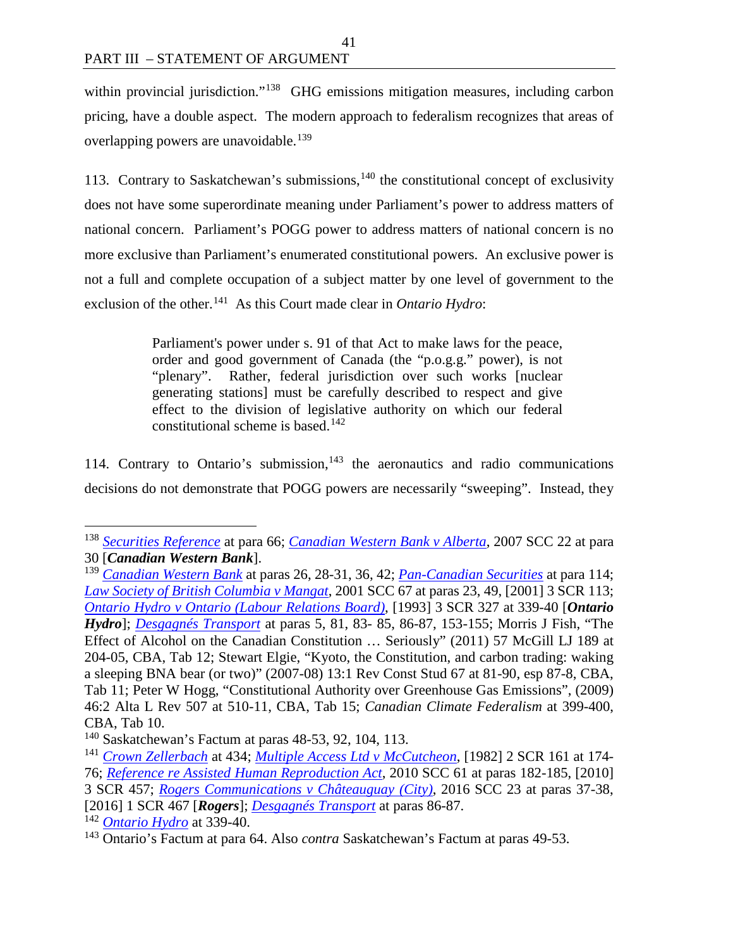within provincial jurisdiction."<sup>[138](#page-48-0)</sup> GHG emissions mitigation measures, including carbon pricing, have a double aspect. The modern approach to federalism recognizes that areas of overlapping powers are unavoidable.<sup>[139](#page-48-1)</sup>

113. Contrary to Saskatchewan's submissions, $140$  the constitutional concept of exclusivity does not have some superordinate meaning under Parliament's power to address matters of national concern. Parliament's POGG power to address matters of national concern is no more exclusive than Parliament's enumerated constitutional powers. An exclusive power is not a full and complete occupation of a subject matter by one level of government to the exclusion of the other.<sup>141</sup> As this Court made clear in *Ontario Hydro*:

> Parliament's power under s. 91 of that Act to make laws for the peace, order and good government of Canada (the "p.o.g.g." power), is not "plenary". Rather, federal jurisdiction over such works [nuclear generating stations] must be carefully described to respect and give effect to the division of legislative authority on which our federal constitutional scheme is based.<sup>[142](#page-48-4)</sup>

114. Contrary to Ontario's submission, $143$  the aeronautics and radio communications decisions do not demonstrate that POGG powers are necessarily "sweeping". Instead, they

<span id="page-48-4"></span><sup>142</sup> *[Ontario Hydro](https://scc-csc.lexum.com/scc-csc/scc-csc/en/1051/1/document.do)* at 339-40.

<span id="page-48-0"></span> <sup>138</sup> *[Securities Reference](https://scc-csc.lexum.com/scc-csc/scc-csc/en/7984/1/document.do)* at para 66; *[Canadian Western Bank v Alberta](https://scc-csc.lexum.com/scc-csc/scc-csc/en/2362/1/document.do)*, 2007 SCC 22 at para 30 [*Canadian Western Bank*].

<span id="page-48-1"></span><sup>139</sup> *[Canadian Western Bank](https://scc-csc.lexum.com/scc-csc/scc-csc/en/2362/1/document.do)* at paras 26, 28-31, 36, 42; *[Pan-Canadian Securities](https://scc-csc.lexum.com/scc-csc/scc-csc/en/17355/1/document.do)* at para 114; *[Law Society of British Columbia v Mangat](https://scc-csc.lexum.com/scc-csc/scc-csc/en/1907/1/document.do)*, 2001 SCC 67 at paras 23, 49, [2001] 3 SCR 113; *[Ontario Hydro v Ontario \(Labour Relations Board\)](https://scc-csc.lexum.com/scc-csc/scc-csc/en/1051/1/document.do)*, [1993] 3 SCR 327 at 339-40 [*Ontario Hydro*]; *[Desgagnés Transport](https://decisions.scc-csc.ca/scc-csc/scc-csc/en/18040/1/document.do)* at paras 5, 81, 83- 85, 86-87, 153-155; Morris J Fish, "The Effect of Alcohol on the Canadian Constitution … Seriously" (2011) 57 McGill LJ 189 at 204-05, CBA, Tab 12; Stewart Elgie, "Kyoto, the Constitution, and carbon trading: waking a sleeping BNA bear (or two)" (2007-08) 13:1 Rev Const Stud 67 at 81-90, esp 87-8, CBA, Tab 11; Peter W Hogg, "Constitutional Authority over Greenhouse Gas Emissions", (2009) 46:2 Alta L Rev 507 at 510-11, CBA, Tab 15; *Canadian Climate Federalism* at 399-400, CBA, Tab 10.

<span id="page-48-2"></span><sup>140</sup> Saskatchewan's Factum at paras 48-53, 92, 104, 113.

<span id="page-48-3"></span><sup>141</sup> *[Crown Zellerbach](https://scc-csc.lexum.com/scc-csc/scc-csc/en/306/1/document.do)* at 434; *[Multiple Access Ltd v McCutcheon](https://scc-csc.lexum.com/scc-csc/scc-csc/en/2450/1/document.do)*, [1982] 2 SCR 161 at 174- 76; *[Reference re Assisted Human Reproduction Act](https://scc-csc.lexum.com/scc-csc/scc-csc/en/7905/1/document.do)*, 2010 SCC 61 at paras 182-185, [2010] 3 SCR 457; *[Rogers Communications v Châteauguay \(City\)](https://scc-csc.lexum.com/scc-csc/scc-csc/en/16016/1/document.do)*, 2016 SCC 23 at paras 37-38, [2016] 1 SCR 467 [*Rogers*]; *[Desgagnés Transport](https://decisions.scc-csc.ca/scc-csc/scc-csc/en/18040/1/document.do)* at paras 86-87.

<span id="page-48-5"></span><sup>143</sup> Ontario's Factum at para 64. Also *contra* Saskatchewan's Factum at paras 49-53.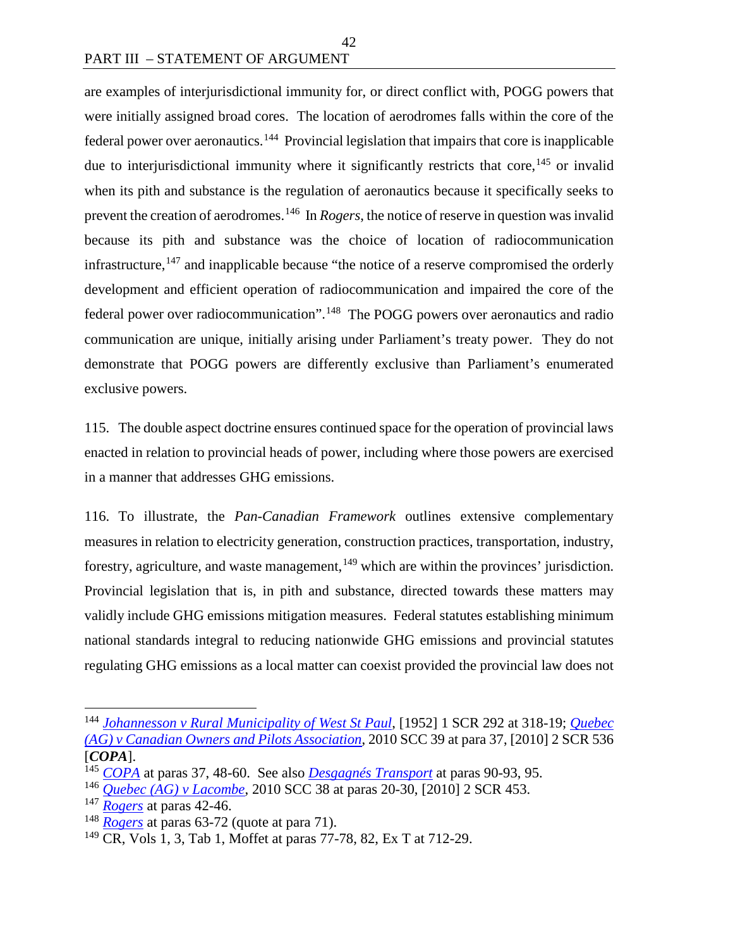are examples of interjurisdictional immunity for, or direct conflict with, POGG powers that were initially assigned broad cores. The location of aerodromes falls within the core of the federal power over aeronautics.[144](#page-49-0) Provincial legislation that impairs that core is inapplicable due to interjurisdictional immunity where it significantly restricts that core, <sup>[145](#page-49-1)</sup> or invalid when its pith and substance is the regulation of aeronautics because it specifically seeks to prevent the creation of aerodromes.<sup>146</sup> In *Rogers*, the notice of reserve in question was invalid because its pith and substance was the choice of location of radiocommunication infrastructure,  $147$  and inapplicable because "the notice of a reserve compromised the orderly development and efficient operation of radiocommunication and impaired the core of the federal power over radiocommunication".[148](#page-49-4) The POGG powers over aeronautics and radio communication are unique, initially arising under Parliament's treaty power. They do not demonstrate that POGG powers are differently exclusive than Parliament's enumerated exclusive powers.

42

115. The double aspect doctrine ensures continued space for the operation of provincial laws enacted in relation to provincial heads of power, including where those powers are exercised in a manner that addresses GHG emissions.

116. To illustrate, the *Pan-Canadian Framework* outlines extensive complementary measures in relation to electricity generation, construction practices, transportation, industry, forestry, agriculture, and waste management,  $149$  which are within the provinces' jurisdiction. Provincial legislation that is, in pith and substance, directed towards these matters may validly include GHG emissions mitigation measures. Federal statutes establishing minimum national standards integral to reducing nationwide GHG emissions and provincial statutes regulating GHG emissions as a local matter can coexist provided the provincial law does not

<span id="page-49-0"></span> <sup>144</sup> *[Johannesson v Rural Municipality of West St Paul](https://scc-csc.lexum.com/scc-csc/scc-csc/en/7424/1/document.do)*, [1952] 1 SCR 292 at 318-19; *[Quebec](https://scc-csc.lexum.com/scc-csc/scc-csc/en/7881/1/document.do)  [\(AG\) v Canadian Owners and Pilots Association](https://scc-csc.lexum.com/scc-csc/scc-csc/en/7881/1/document.do)*, 2010 SCC 39 at para 37, [2010] 2 SCR 536 [*COPA*].

<span id="page-49-1"></span><sup>145</sup> *[COPA](https://scc-csc.lexum.com/scc-csc/scc-csc/en/7881/1/document.do)* at paras 37, 48-60. See also *[Desgagnés Transport](https://decisions.scc-csc.ca/scc-csc/scc-csc/en/18040/1/document.do)* at paras 90-93, 95.

<span id="page-49-2"></span><sup>146</sup> *[Quebec \(AG\) v Lacombe](https://scc-csc.lexum.com/scc-csc/scc-csc/en/7880/1/document.do)*, 2010 SCC 38 at paras 20-30, [2010] 2 SCR 453.

<span id="page-49-3"></span><sup>147</sup> *[Rogers](https://scc-csc.lexum.com/scc-csc/scc-csc/en/16016/1/document.do)* at paras 42-46.

<span id="page-49-4"></span><sup>148</sup> *[Rogers](https://scc-csc.lexum.com/scc-csc/scc-csc/en/16016/1/document.do)* at paras 63-72 (quote at para 71).

<span id="page-49-5"></span><sup>149</sup> CR, Vols 1, 3, Tab 1, Moffet at paras 77-78, 82, Ex T at 712-29.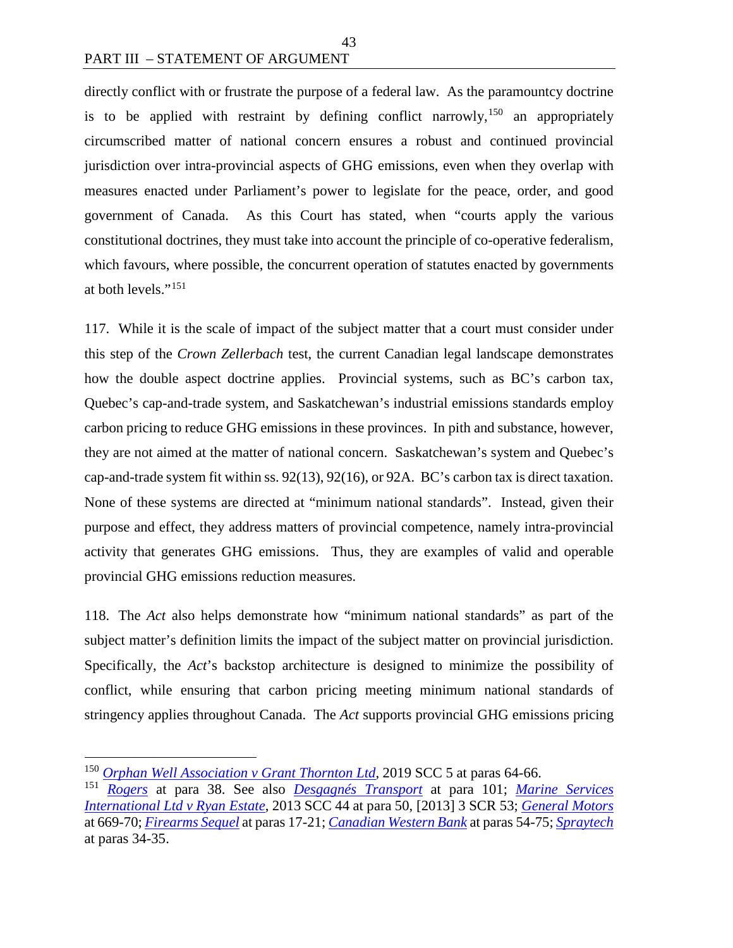directly conflict with or frustrate the purpose of a federal law. As the paramountcy doctrine is to be applied with restraint by defining conflict narrowly,<sup>[150](#page-50-0)</sup> an appropriately circumscribed matter of national concern ensures a robust and continued provincial jurisdiction over intra-provincial aspects of GHG emissions, even when they overlap with measures enacted under Parliament's power to legislate for the peace, order, and good government of Canada. As this Court has stated, when "courts apply the various constitutional doctrines, they must take into account the principle of co-operative federalism, which favours, where possible, the concurrent operation of statutes enacted by governments at both levels."[151](#page-50-1)

117. While it is the scale of impact of the subject matter that a court must consider under this step of the *Crown Zellerbach* test, the current Canadian legal landscape demonstrates how the double aspect doctrine applies. Provincial systems, such as BC's carbon tax, Quebec's cap-and-trade system, and Saskatchewan's industrial emissions standards employ carbon pricing to reduce GHG emissions in these provinces. In pith and substance, however, they are not aimed at the matter of national concern. Saskatchewan's system and Quebec's cap-and-trade system fit within ss. 92(13), 92(16), or 92A. BC's carbon tax is direct taxation. None of these systems are directed at "minimum national standards". Instead, given their purpose and effect, they address matters of provincial competence, namely intra-provincial activity that generates GHG emissions. Thus, they are examples of valid and operable provincial GHG emissions reduction measures.

118. The *Act* also helps demonstrate how "minimum national standards" as part of the subject matter's definition limits the impact of the subject matter on provincial jurisdiction. Specifically, the *Act*'s backstop architecture is designed to minimize the possibility of conflict, while ensuring that carbon pricing meeting minimum national standards of stringency applies throughout Canada. The *Act* supports provincial GHG emissions pricing

<span id="page-50-0"></span> <sup>150</sup> *[Orphan Well Association v Grant Thornton Ltd](https://scc-csc.lexum.com/scc-csc/scc-csc/en/17474/1/document.do)*, 2019 SCC 5 at paras 64-66.

<span id="page-50-1"></span><sup>151</sup> *[Rogers](https://scc-csc.lexum.com/scc-csc/scc-csc/en/16016/1/document.do)* at para 38. See also *[Desgagnés Transport](https://decisions.scc-csc.ca/scc-csc/scc-csc/en/18040/1/document.do)* at para 101; *[Marine Services](https://scc-csc.lexum.com/scc-csc/scc-csc/en/13192/1/document.do)  [International Ltd v Ryan Estate](https://scc-csc.lexum.com/scc-csc/scc-csc/en/13192/1/document.do)*, 2013 SCC 44 at para 50, [2013] 3 SCR 53; *[General Motors](https://scc-csc.lexum.com/scc-csc/scc-csc/en/433/1/document.do)* at 669-70; *[Firearms Sequel](https://scc-csc.lexum.com/scc-csc/scc-csc/en/14713/1/document.do)* at paras 17-21; *[Canadian Western Bank](https://scc-csc.lexum.com/scc-csc/scc-csc/en/2362/1/document.do)* at paras 54-75; *[Spraytech](https://scc-csc.lexum.com/scc-csc/scc-csc/en/1878/1/document.do)* at paras 34-35.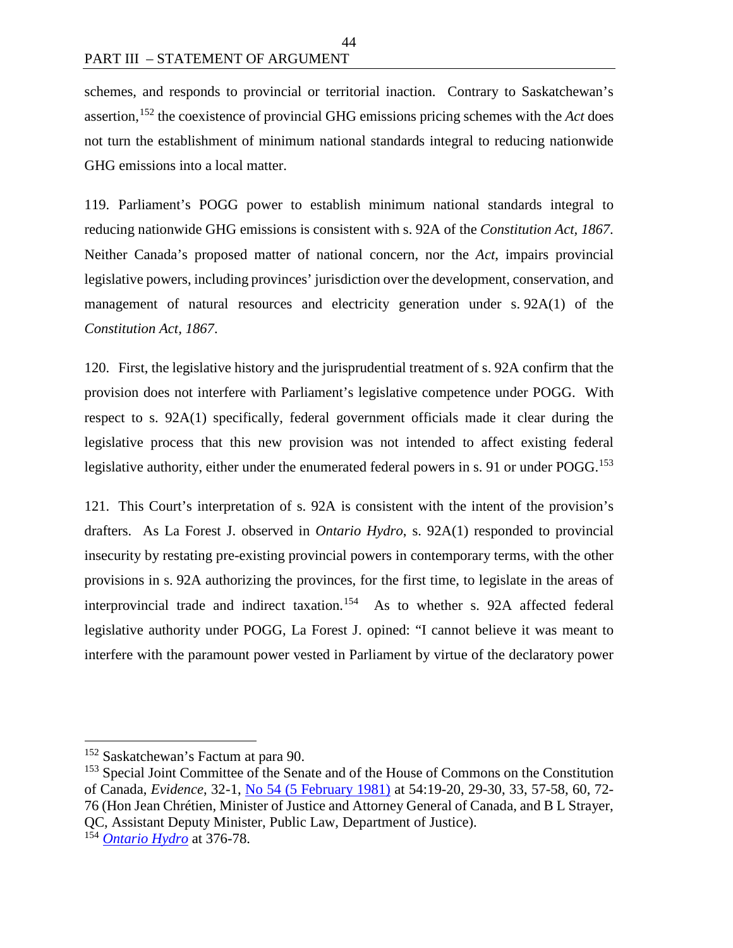schemes, and responds to provincial or territorial inaction. Contrary to Saskatchewan's assertion,[152](#page-51-0) the coexistence of provincial GHG emissions pricing schemes with the *Act* does not turn the establishment of minimum national standards integral to reducing nationwide GHG emissions into a local matter.

119. Parliament's POGG power to establish minimum national standards integral to reducing nationwide GHG emissions is consistent with s. 92A of the *Constitution Act, 1867*. Neither Canada's proposed matter of national concern, nor the *Act*, impairs provincial legislative powers, including provinces' jurisdiction over the development, conservation, and management of natural resources and electricity generation under s. 92A(1) of the *Constitution Act, 1867*.

120. First, the legislative history and the jurisprudential treatment of s. 92A confirm that the provision does not interfere with Parliament's legislative competence under POGG. With respect to s. 92A(1) specifically, federal government officials made it clear during the legislative process that this new provision was not intended to affect existing federal legislative authority, either under the enumerated federal powers in s. 91 or under POGG.<sup>[153](#page-51-1)</sup>

121. This Court's interpretation of s. 92A is consistent with the intent of the provision's drafters. As La Forest J. observed in *Ontario Hydro*, s. 92A(1) responded to provincial insecurity by restating pre-existing provincial powers in contemporary terms, with the other provisions in s. 92A authorizing the provinces, for the first time, to legislate in the areas of interprovincial trade and indirect taxation.<sup>154</sup> As to whether s. 92A affected federal legislative authority under POGG, La Forest J. opined: "I cannot believe it was meant to interfere with the paramount power vested in Parliament by virtue of the declaratory power

<span id="page-51-0"></span><sup>&</sup>lt;sup>152</sup> Saskatchewan's Factum at para 90.

<span id="page-51-1"></span><sup>&</sup>lt;sup>153</sup> Special Joint Committee of the Senate and of the House of Commons on the Constitution of Canada, *Evidence*, 32-1, [No 54 \(5 February 1981\)](https://primarydocuments.ca/wp-content/uploads/2018/02/SpecJointComConstitution541981Feb5.pdf) at 54:19-20, 29-30, 33, 57-58, 60, 72- 76 (Hon Jean Chrétien, Minister of Justice and Attorney General of Canada, and B L Strayer, QC, Assistant Deputy Minister, Public Law, Department of Justice).

<span id="page-51-2"></span><sup>154</sup> *[Ontario Hydro](https://scc-csc.lexum.com/scc-csc/scc-csc/en/1051/1/document.do)* at 376-78.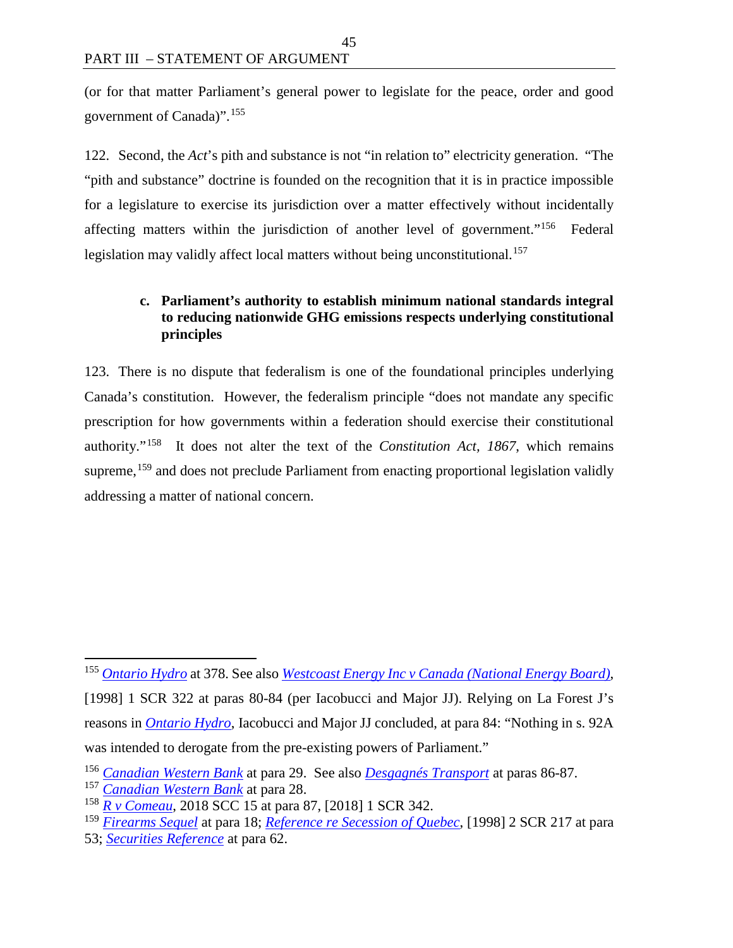(or for that matter Parliament's general power to legislate for the peace, order and good government of Canada)".[155](#page-52-0)

45

122. Second, the *Act*'s pith and substance is not "in relation to" electricity generation. "The "pith and substance" doctrine is founded on the recognition that it is in practice impossible for a legislature to exercise its jurisdiction over a matter effectively without incidentally affecting matters within the jurisdiction of another level of government."[156](#page-52-1) Federal legislation may validly affect local matters without being unconstitutional.<sup>[157](#page-52-2)</sup>

#### **c. Parliament's authority to establish minimum national standards integral to reducing nationwide GHG emissions respects underlying constitutional principles**

123. There is no dispute that federalism is one of the foundational principles underlying Canada's constitution. However, the federalism principle "does not mandate any specific prescription for how governments within a federation should exercise their constitutional authority."[158](#page-52-3) It does not alter the text of the *Constitution Act, 1867*, which remains supreme,<sup>[159](#page-52-4)</sup> and does not preclude Parliament from enacting proportional legislation validly addressing a matter of national concern.

53; *[Securities Reference](https://scc-csc.lexum.com/scc-csc/scc-csc/en/7984/1/document.do)* at para 62.

<span id="page-52-0"></span> <sup>155</sup> *[Ontario Hydro](https://scc-csc.lexum.com/scc-csc/scc-csc/en/1051/1/document.do)* at 378. See also *[Westcoast Energy Inc v Canada \(National Energy Board\)](https://scc-csc.lexum.com/scc-csc/scc-csc/en/1604/1/document.do)*,

<sup>[1998] 1</sup> SCR 322 at paras 80-84 (per Iacobucci and Major JJ). Relying on La Forest J's reasons in *[Ontario Hydro](https://scc-csc.lexum.com/scc-csc/scc-csc/en/1051/1/document.do)*, Iacobucci and Major JJ concluded, at para 84: "Nothing in s. 92A was intended to derogate from the pre-existing powers of Parliament."

<span id="page-52-1"></span><sup>156</sup> *[Canadian Western Bank](https://scc-csc.lexum.com/scc-csc/scc-csc/en/2362/1/document.do)* at para 29. See also *[Desgagnés Transport](https://decisions.scc-csc.ca/scc-csc/scc-csc/en/18040/1/document.do)* at paras 86-87.

<span id="page-52-2"></span><sup>157</sup> *[Canadian Western Bank](https://scc-csc.lexum.com/scc-csc/scc-csc/en/2362/1/document.do)* at para 28.

<span id="page-52-3"></span><sup>158</sup> *[R v Comeau](https://decisions.scc-csc.ca/scc-csc/scc-csc/en/17059/1/document.do)*, 2018 SCC 15 at para 87, [2018] 1 SCR 342.

<span id="page-52-4"></span><sup>159</sup> *[Firearms Sequel](https://scc-csc.lexum.com/scc-csc/scc-csc/en/14713/1/document.do)* at para 18; *[Reference re Secession of Quebec](https://scc-csc.lexum.com/scc-csc/scc-csc/en/1643/1/document.do)*, [1998] 2 SCR 217 at para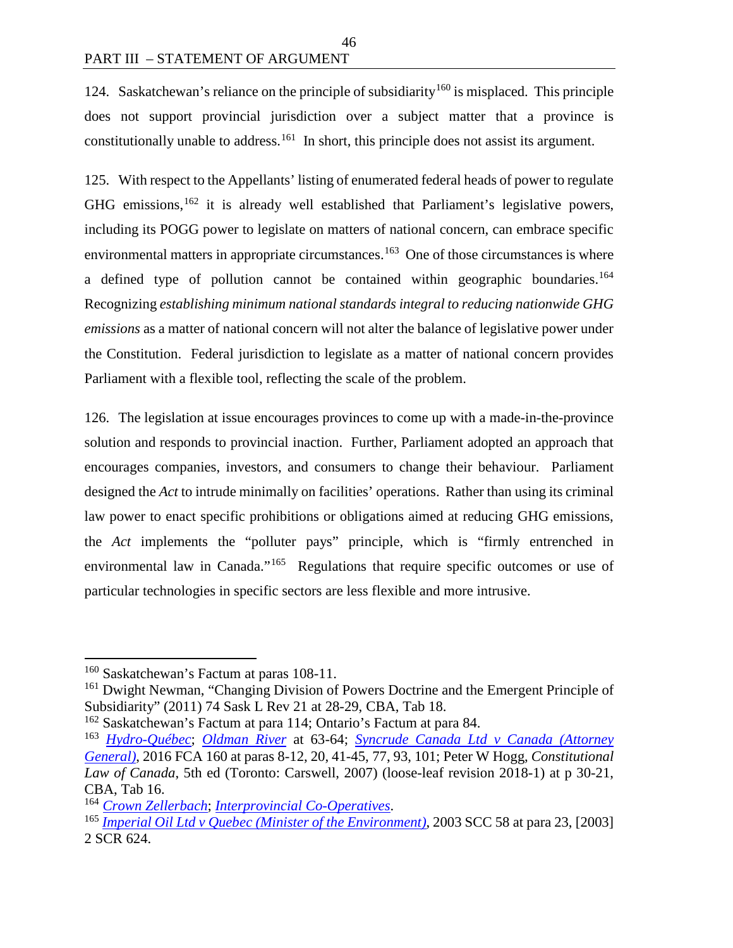124. Saskatchewan's reliance on the principle of subsidiarity<sup>[160](#page-53-0)</sup> is misplaced. This principle does not support provincial jurisdiction over a subject matter that a province is constitutionally unable to address.<sup>[161](#page-53-1)</sup> In short, this principle does not assist its argument.

46

125. With respect to the Appellants' listing of enumerated federal heads of power to regulate GHG emissions,  $162$  it is already well established that Parliament's legislative powers, including its POGG power to legislate on matters of national concern, can embrace specific environmental matters in appropriate circumstances.<sup>163</sup> One of those circumstances is where a defined type of pollution cannot be contained within geographic boundaries.[164](#page-53-4) Recognizing *establishing minimum national standards integral to reducing nationwide GHG emissions* as a matter of national concern will not alter the balance of legislative power under the Constitution. Federal jurisdiction to legislate as a matter of national concern provides Parliament with a flexible tool, reflecting the scale of the problem.

126. The legislation at issue encourages provinces to come up with a made-in-the-province solution and responds to provincial inaction. Further, Parliament adopted an approach that encourages companies, investors, and consumers to change their behaviour. Parliament designed the *Act* to intrude minimally on facilities' operations. Rather than using its criminal law power to enact specific prohibitions or obligations aimed at reducing GHG emissions, the *Act* implements the "polluter pays" principle, which is "firmly entrenched in environmental law in Canada."<sup>165</sup> Regulations that require specific outcomes or use of particular technologies in specific sectors are less flexible and more intrusive.

<span id="page-53-0"></span><sup>&</sup>lt;sup>160</sup> Saskatchewan's Factum at paras 108-11.

<span id="page-53-1"></span><sup>&</sup>lt;sup>161</sup> Dwight Newman, "Changing Division of Powers Doctrine and the Emergent Principle of Subsidiarity" (2011) 74 Sask L Rev 21 at 28-29, CBA, Tab 18.

<span id="page-53-2"></span><sup>162</sup> Saskatchewan's Factum at para 114; Ontario's Factum at para 84.

<span id="page-53-3"></span><sup>163</sup> *[Hydro-Québec](https://scc-csc.lexum.com/scc-csc/scc-csc/en/1542/1/document.do)*; *[Oldman River](https://scc-csc.lexum.com/scc-csc/scc-csc/en/829/1/document.do)* at 63-64; *[Syncrude Canada Ltd v Canada \(Attorney](https://decisions.fca-caf.gc.ca/fca-caf/decisions/en/144495/1/document.do)  [General\)](https://decisions.fca-caf.gc.ca/fca-caf/decisions/en/144495/1/document.do)*, 2016 FCA 160 at paras 8-12, 20, 41-45, 77, 93, 101; Peter W Hogg, *Constitutional Law of Canada*, 5th ed (Toronto: Carswell, 2007) (loose-leaf revision 2018-1) at p 30-21, CBA, Tab 16.

<span id="page-53-4"></span><sup>164</sup> *[Crown Zellerbach](https://scc-csc.lexum.com/scc-csc/scc-csc/en/306/1/document.do)*; *[Interprovincial Co-Operatives](https://scc-csc.lexum.com/scc-csc/scc-csc/en/5932/1/document.do)*.

<span id="page-53-5"></span><sup>165</sup> *[Imperial Oil Ltd v Quebec \(Minister of the Environment\)](https://scc-csc.lexum.com/scc-csc/scc-csc/en/2092/1/document.do)*, 2003 SCC 58 at para 23, [2003] 2 SCR 624.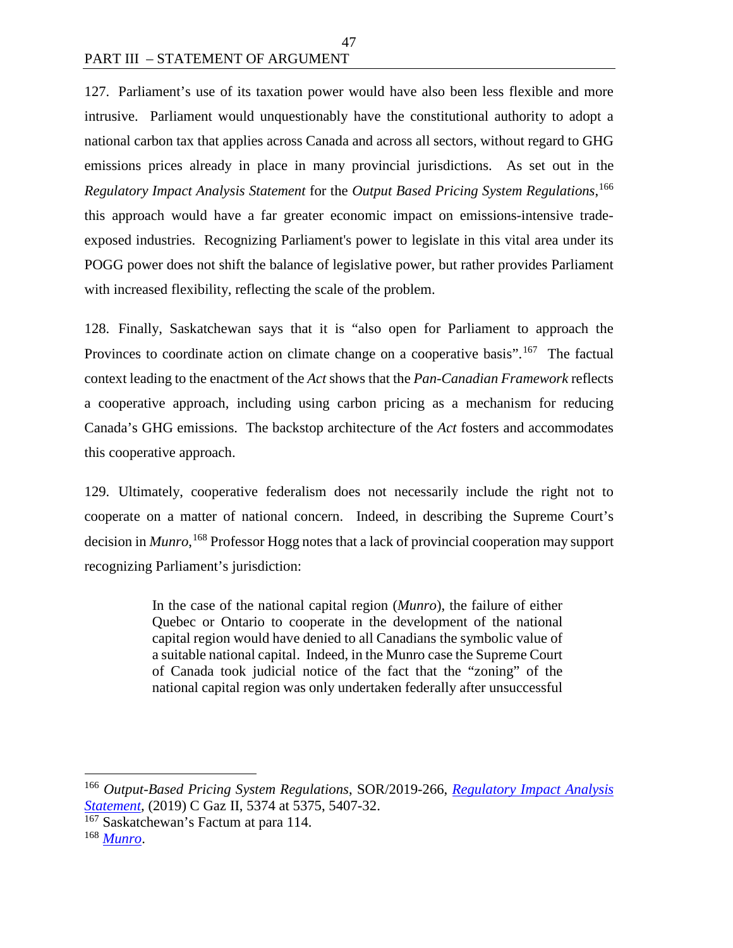127. Parliament's use of its taxation power would have also been less flexible and more intrusive. Parliament would unquestionably have the constitutional authority to adopt a national carbon tax that applies across Canada and across all sectors, without regard to GHG emissions prices already in place in many provincial jurisdictions. As set out in the *Regulatory Impact Analysis Statement* for the *Output Based Pricing System Regulations*, [166](#page-54-0) this approach would have a far greater economic impact on emissions-intensive tradeexposed industries. Recognizing Parliament's power to legislate in this vital area under its POGG power does not shift the balance of legislative power, but rather provides Parliament with increased flexibility, reflecting the scale of the problem.

47

128. Finally, Saskatchewan says that it is "also open for Parliament to approach the Provinces to coordinate action on climate change on a cooperative basis".<sup>[167](#page-54-1)</sup> The factual context leading to the enactment of the *Act* shows that the *Pan-Canadian Framework* reflects a cooperative approach, including using carbon pricing as a mechanism for reducing Canada's GHG emissions. The backstop architecture of the *Act* fosters and accommodates this cooperative approach.

129. Ultimately, cooperative federalism does not necessarily include the right not to cooperate on a matter of national concern. Indeed, in describing the Supreme Court's decision in *Munro*, [168](#page-54-2) Professor Hogg notes that a lack of provincial cooperation may support recognizing Parliament's jurisdiction:

> In the case of the national capital region (*Munro*), the failure of either Quebec or Ontario to cooperate in the development of the national capital region would have denied to all Canadians the symbolic value of a suitable national capital. Indeed, in the Munro case the Supreme Court of Canada took judicial notice of the fact that the "zoning" of the national capital region was only undertaken federally after unsuccessful

<span id="page-54-0"></span> <sup>166</sup> *Output-Based Pricing System Regulations*, SOR/2019-266, *[Regulatory Impact Analysis](http://www.gazette.gc.ca/rp-pr/p2/2019/2019-07-10/pdf/g2-15314.pdf)  [Statement,](http://www.gazette.gc.ca/rp-pr/p2/2019/2019-07-10/pdf/g2-15314.pdf)* (2019) C Gaz II, 5374 at 5375, 5407-32.

<span id="page-54-1"></span><sup>&</sup>lt;sup>167</sup> Saskatchewan's Factum at para 114.

<span id="page-54-2"></span><sup>168</sup> *[Munro](https://decisions.scc-csc.ca/scc-csc/scc-csc/en/6893/1/document.do)*.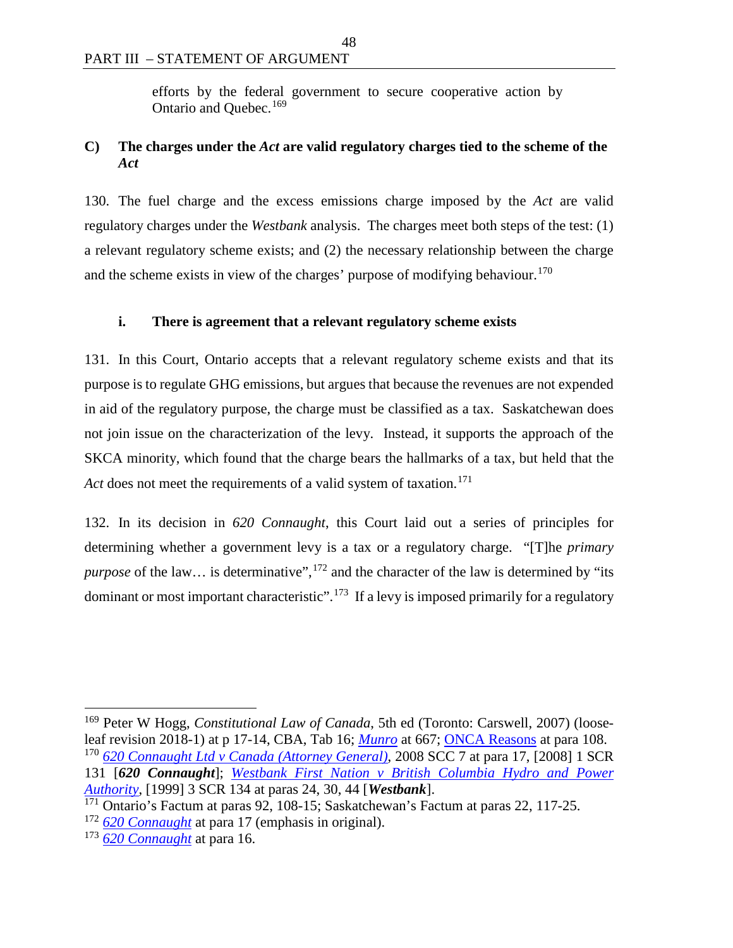efforts by the federal government to secure cooperative action by Ontario and Ouebec.<sup>[169](#page-55-0)</sup>

## **C) The charges under the** *Act* **are valid regulatory charges tied to the scheme of the**  *Act*

130. The fuel charge and the excess emissions charge imposed by the *Act* are valid regulatory charges under the *Westbank* analysis. The charges meet both steps of the test: (1) a relevant regulatory scheme exists; and (2) the necessary relationship between the charge and the scheme exists in view of the charges' purpose of modifying behaviour.<sup>[170](#page-55-1)</sup>

#### **i. There is agreement that a relevant regulatory scheme exists**

131. In this Court, Ontario accepts that a relevant regulatory scheme exists and that its purpose is to regulate GHG emissions, but argues that because the revenues are not expended in aid of the regulatory purpose, the charge must be classified as a tax. Saskatchewan does not join issue on the characterization of the levy. Instead, it supports the approach of the SKCA minority, which found that the charge bears the hallmarks of a tax, but held that the Act does not meet the requirements of a valid system of taxation.<sup>[171](#page-55-2)</sup>

132. In its decision in *620 Connaught*, this Court laid out a series of principles for determining whether a government levy is a tax or a regulatory charge. "[T]he *primary*  purpose of the law... is determinative",<sup>[172](#page-55-3)</sup> and the character of the law is determined by "its dominant or most important characteristic".<sup>[173](#page-55-4)</sup> If a levy is imposed primarily for a regulatory

<span id="page-55-1"></span><span id="page-55-0"></span> 169 Peter W Hogg, *Constitutional Law of Canada*, 5th ed (Toronto: Carswell, 2007) (looseleaf revision 2018-1) at p 17-14, CBA, Tab 16; *[Munro](https://decisions.scc-csc.ca/scc-csc/scc-csc/en/6893/1/document.do)* at 667; [ONCA Reasons](http://www.ontariocourts.ca/decisions/2019/2019ONCA0544.htm) at para 108. <sup>170</sup> *[620 Connaught Ltd v Canada \(Attorney General\)](https://scc-csc.lexum.com/scc-csc/scc-csc/en/2405/1/document.do)*, 2008 SCC 7 at para 17, [2008] 1 SCR 131 [*620 Connaught*]; *[Westbank First Nation v British Columbia Hydro and Power](https://scc-csc.lexum.com/scc-csc/scc-csc/en/1727/1/document.do)  [Authority](https://scc-csc.lexum.com/scc-csc/scc-csc/en/1727/1/document.do)*, [1999] 3 SCR 134 at paras 24, 30, 44 [*Westbank*].

<span id="page-55-2"></span><sup>&</sup>lt;sup>171</sup> Ontario's Factum at paras 92, 108-15; Saskatchewan's Factum at paras 22, 117-25.

<span id="page-55-3"></span><sup>172</sup> *[620 Connaught](https://scc-csc.lexum.com/scc-csc/scc-csc/en/2405/1/document.do)* at para 17 (emphasis in original).

<span id="page-55-4"></span><sup>173</sup> *[620 Connaught](https://scc-csc.lexum.com/scc-csc/scc-csc/en/2405/1/document.do)* at para 16.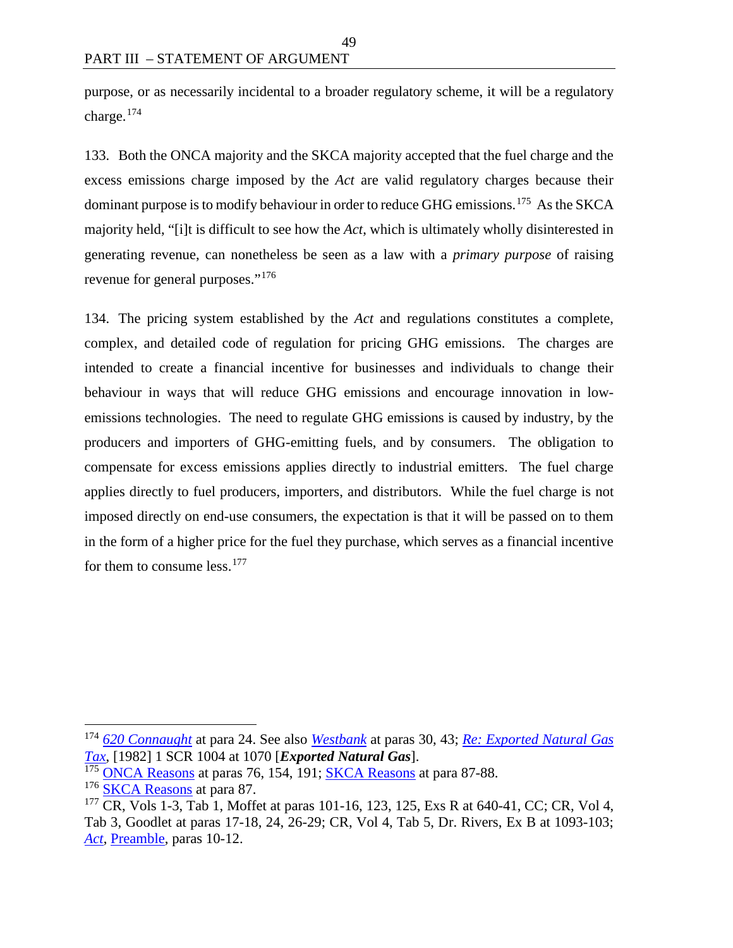purpose, or as necessarily incidental to a broader regulatory scheme, it will be a regulatory charge.[174](#page-56-0)

49

133. Both the ONCA majority and the SKCA majority accepted that the fuel charge and the excess emissions charge imposed by the *Act* are valid regulatory charges because their dominant purpose is to modify behaviour in order to reduce GHG emissions.<sup>[175](#page-56-1)</sup> As the SKCA majority held, "[i]t is difficult to see how the *Act*, which is ultimately wholly disinterested in generating revenue, can nonetheless be seen as a law with a *primary purpose* of raising revenue for general purposes."[176](#page-56-2)

134. The pricing system established by the *Act* and regulations constitutes a complete, complex, and detailed code of regulation for pricing GHG emissions. The charges are intended to create a financial incentive for businesses and individuals to change their behaviour in ways that will reduce GHG emissions and encourage innovation in lowemissions technologies. The need to regulate GHG emissions is caused by industry, by the producers and importers of GHG-emitting fuels, and by consumers. The obligation to compensate for excess emissions applies directly to industrial emitters. The fuel charge applies directly to fuel producers, importers, and distributors. While the fuel charge is not imposed directly on end-use consumers, the expectation is that it will be passed on to them in the form of a higher price for the fuel they purchase, which serves as a financial incentive for them to consume less.<sup>[177](#page-56-3)</sup>

<span id="page-56-0"></span> <sup>174</sup> *[620 Connaught](https://scc-csc.lexum.com/scc-csc/scc-csc/en/2405/1/document.do)* at para 24. See also *[Westbank](https://scc-csc.lexum.com/scc-csc/scc-csc/en/1727/1/document.do)* at paras 30, 43; *[Re: Exported Natural Gas](https://scc-csc.lexum.com/scc-csc/scc-csc/en/5493/1/document.do)  [Tax](https://scc-csc.lexum.com/scc-csc/scc-csc/en/5493/1/document.do)*, [1982] 1 SCR 1004 at 1070 [*Exported Natural Gas*].

<span id="page-56-1"></span><sup>&</sup>lt;sup>175</sup> [ONCA Reasons](http://www.ontariocourts.ca/decisions/2019/2019ONCA0544.htm) at paras 76, 154, 191; [SKCA Reasons](https://sasklawcourts.ca/images/documents/CA_2019SKCA040.pdf) at para 87-88.

<span id="page-56-2"></span><sup>&</sup>lt;sup>176</sup> [SKCA Reasons](https://sasklawcourts.ca/images/documents/CA_2019SKCA040.pdf) at para 87.

<span id="page-56-3"></span><sup>&</sup>lt;sup>177</sup> CR, Vols 1-3, Tab 1, Moffet at paras 101-16, 123, 125, Exs R at 640-41, CC; CR, Vol 4, Tab 3, Goodlet at paras 17-18, 24, 26-29; CR, Vol 4, Tab 5, Dr. Rivers, Ex B at 1093-103; *[Act](https://laws.justice.gc.ca/eng/acts/G-11.55/index.html)*, [Preamble,](https://laws.justice.gc.ca/eng/acts/G-11.55/FullText.html#preamble) paras 10-12.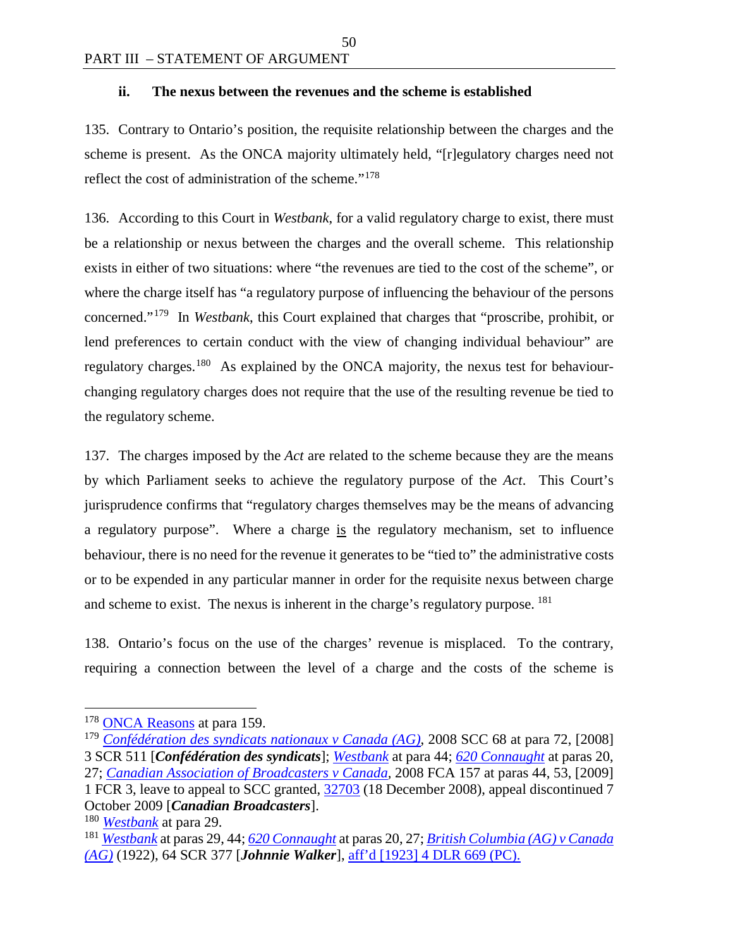#### **ii. The nexus between the revenues and the scheme is established**

135. Contrary to Ontario's position, the requisite relationship between the charges and the scheme is present. As the ONCA majority ultimately held, "[r]egulatory charges need not reflect the cost of administration of the scheme."[178](#page-57-0)

50

136. According to this Court in *Westbank*, for a valid regulatory charge to exist, there must be a relationship or nexus between the charges and the overall scheme. This relationship exists in either of two situations: where "the revenues are tied to the cost of the scheme", or where the charge itself has "a regulatory purpose of influencing the behaviour of the persons concerned."[179](#page-57-1) In *Westbank*, this Court explained that charges that "proscribe, prohibit, or lend preferences to certain conduct with the view of changing individual behaviour" are regulatory charges.<sup>[180](#page-57-2)</sup> As explained by the ONCA majority, the nexus test for behaviourchanging regulatory charges does not require that the use of the resulting revenue be tied to the regulatory scheme.

137. The charges imposed by the *Act* are related to the scheme because they are the means by which Parliament seeks to achieve the regulatory purpose of the *Act*. This Court's jurisprudence confirms that "regulatory charges themselves may be the means of advancing a regulatory purpose". Where a charge is the regulatory mechanism, set to influence behaviour, there is no need for the revenue it generates to be "tied to" the administrative costs or to be expended in any particular manner in order for the requisite nexus between charge and scheme to exist. The nexus is inherent in the charge's regulatory purpose. <sup>181</sup>

138. Ontario's focus on the use of the charges' revenue is misplaced. To the contrary, requiring a connection between the level of a charge and the costs of the scheme is

<span id="page-57-0"></span><sup>&</sup>lt;sup>178</sup> [ONCA Reasons](http://www.ontariocourts.ca/decisions/2019/2019ONCA0544.htm) at para 159.

<span id="page-57-1"></span><sup>179</sup> *[Confédération des syndicats nationaux v Canada \(AG\)](https://decisions.scc-csc.ca/scc-csc/scc-csc/en/2354/1/document.do)*, 2008 SCC 68 at para 72, [2008] 3 SCR 511 [*Confédération des syndicats*]; *[Westbank](https://scc-csc.lexum.com/scc-csc/scc-csc/en/1727/1/document.do)* at para 44; *[620 Connaught](https://scc-csc.lexum.com/scc-csc/scc-csc/en/2405/1/document.do)* at paras 20, 27; *[Canadian Association of Broadcasters v Canada,](https://decisions.fca-caf.gc.ca/fca-caf/decisions/en/35984/1/document.do)* 2008 FCA 157 at paras 44, 53, [2009] 1 FCR 3, leave to appeal to SCC granted, [32703](https://scc-csc.lexum.com/scc-csc/scc-l-csc-a/en/11258/1/document.do) (18 December 2008), appeal discontinued 7 October 2009 [*Canadian Broadcasters*].

<span id="page-57-2"></span><sup>180</sup> *[Westbank](https://scc-csc.lexum.com/scc-csc/scc-csc/en/1727/1/document.do)* at para 29.

<span id="page-57-3"></span><sup>181</sup> *[Westbank](https://scc-csc.lexum.com/scc-csc/scc-csc/en/1727/1/document.do)* at paras 29, 44; *[620 Connaught](https://scc-csc.lexum.com/scc-csc/scc-csc/en/2405/1/document.do)* at paras 20, 27; *[British Columbia \(AG\) v Canada](https://scc-csc.lexum.com/scc-csc/scc-csc/en/9319/1/document.do)  [\(AG\)](https://scc-csc.lexum.com/scc-csc/scc-csc/en/9319/1/document.do)* (1922), 64 SCR 377 [*Johnnie Walker*], [aff'd \[1923\] 4 DLR 669 \(PC\).](https://www.canlii.org/en/ca/ukjcpc/doc/1923/1923canlii426/1923canlii426.pdf)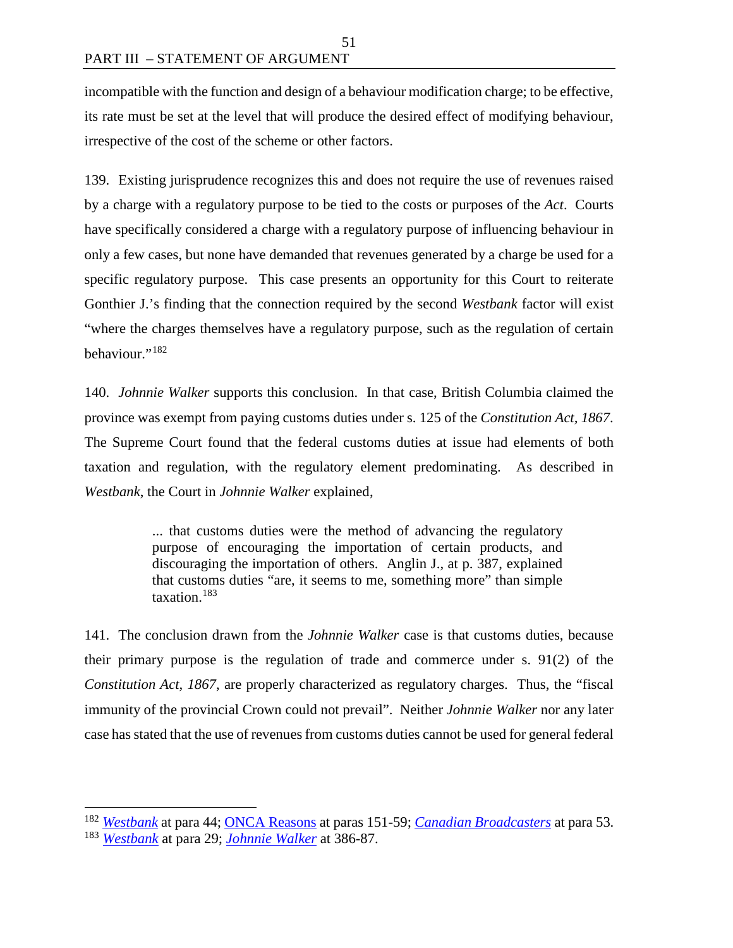incompatible with the function and design of a behaviour modification charge; to be effective, its rate must be set at the level that will produce the desired effect of modifying behaviour, irrespective of the cost of the scheme or other factors.

139. Existing jurisprudence recognizes this and does not require the use of revenues raised by a charge with a regulatory purpose to be tied to the costs or purposes of the *Act*. Courts have specifically considered a charge with a regulatory purpose of influencing behaviour in only a few cases, but none have demanded that revenues generated by a charge be used for a specific regulatory purpose. This case presents an opportunity for this Court to reiterate Gonthier J.'s finding that the connection required by the second *Westbank* factor will exist "where the charges themselves have a regulatory purpose, such as the regulation of certain behaviour."[182](#page-58-0)

140. *Johnnie Walker* supports this conclusion. In that case, British Columbia claimed the province was exempt from paying customs duties under s. 125 of the *Constitution Act, 1867*. The Supreme Court found that the federal customs duties at issue had elements of both taxation and regulation, with the regulatory element predominating. As described in *Westbank*, the Court in *Johnnie Walker* explained,

> ... that customs duties were the method of advancing the regulatory purpose of encouraging the importation of certain products, and discouraging the importation of others. Anglin J., at p. 387, explained that customs duties "are, it seems to me, something more" than simple taxation.[183](#page-58-1)

141. The conclusion drawn from the *Johnnie Walker* case is that customs duties, because their primary purpose is the regulation of trade and commerce under s. 91(2) of the *Constitution Act, 1867*, are properly characterized as regulatory charges. Thus, the "fiscal immunity of the provincial Crown could not prevail". Neither *Johnnie Walker* nor any later case has stated that the use of revenues from customs duties cannot be used for general federal

<span id="page-58-1"></span><span id="page-58-0"></span> <sup>182</sup> *[Westbank](https://scc-csc.lexum.com/scc-csc/scc-csc/en/1727/1/document.do)* at para 44; [ONCA Reasons](http://www.ontariocourts.ca/decisions/2019/2019ONCA0544.htm) at paras 151-59; *[Canadian Broadcasters](https://decisions.fca-caf.gc.ca/fca-caf/decisions/en/35984/1/document.do)* at para 53. <sup>183</sup> *[Westbank](https://scc-csc.lexum.com/scc-csc/scc-csc/en/1727/1/document.do)* at para 29; *[Johnnie Walker](https://scc-csc.lexum.com/scc-csc/scc-csc/en/9319/1/document.do)* at 386-87.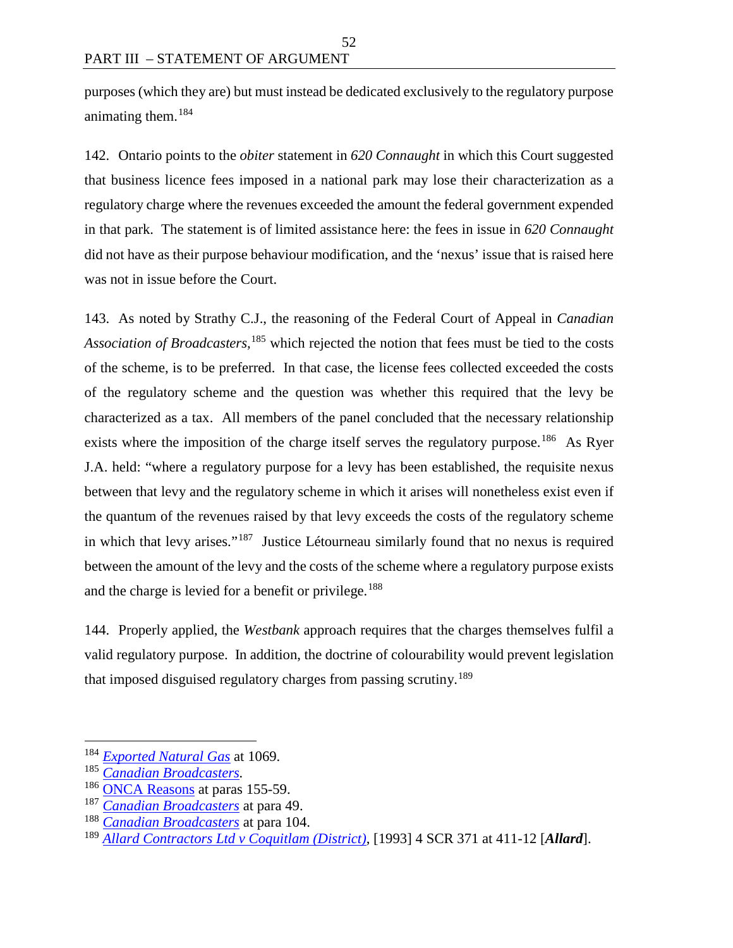purposes (which they are) but must instead be dedicated exclusively to the regulatory purpose animating them.[184](#page-59-0)

52

142. Ontario points to the *obiter* statement in *620 Connaught* in which this Court suggested that business licence fees imposed in a national park may lose their characterization as a regulatory charge where the revenues exceeded the amount the federal government expended in that park. The statement is of limited assistance here: the fees in issue in *620 Connaught* did not have as their purpose behaviour modification, and the 'nexus' issue that is raised here was not in issue before the Court.

143. As noted by Strathy C.J., the reasoning of the Federal Court of Appeal in *Canadian Association of Broadcasters,*[185](#page-59-1) which rejected the notion that fees must be tied to the costs of the scheme, is to be preferred. In that case, the license fees collected exceeded the costs of the regulatory scheme and the question was whether this required that the levy be characterized as a tax. All members of the panel concluded that the necessary relationship exists where the imposition of the charge itself serves the regulatory purpose.<sup>[186](#page-59-2)</sup> As Ryer J.A. held: "where a regulatory purpose for a levy has been established, the requisite nexus between that levy and the regulatory scheme in which it arises will nonetheless exist even if the quantum of the revenues raised by that levy exceeds the costs of the regulatory scheme in which that levy arises."[187](#page-59-3) Justice Létourneau similarly found that no nexus is required between the amount of the levy and the costs of the scheme where a regulatory purpose exists and the charge is levied for a benefit or privilege.<sup>[188](#page-59-4)</sup>

144. Properly applied, the *Westbank* approach requires that the charges themselves fulfil a valid regulatory purpose. In addition, the doctrine of colourability would prevent legislation that imposed disguised regulatory charges from passing scrutiny.<sup>[189](#page-59-5)</sup>

<span id="page-59-0"></span> <sup>184</sup> *[Exported Natural Gas](https://scc-csc.lexum.com/scc-csc/scc-csc/en/5493/1/document.do)* at 1069.

<span id="page-59-1"></span><sup>185</sup> *[Canadian Broadcasters.](https://decisions.fca-caf.gc.ca/fca-caf/decisions/en/35984/1/document.do)*

<span id="page-59-2"></span><sup>&</sup>lt;sup>186</sup> [ONCA Reasons](http://www.ontariocourts.ca/decisions/2019/2019ONCA0544.htm) at paras 155-59.

<span id="page-59-3"></span><sup>187</sup> *[Canadian Broadcasters](https://decisions.fca-caf.gc.ca/fca-caf/decisions/en/35984/1/document.do)* at para 49.

<span id="page-59-4"></span><sup>188</sup> *[Canadian Broadcasters](https://decisions.fca-caf.gc.ca/fca-caf/decisions/en/35984/1/document.do)* at para 104.

<span id="page-59-5"></span><sup>189</sup> *[Allard Contractors Ltd v Coquitlam \(District\)](https://scc-csc.lexum.com/scc-csc/scc-csc/en/1083/1/document.do)*, [1993] 4 SCR 371 at 411-12 [*Allard*].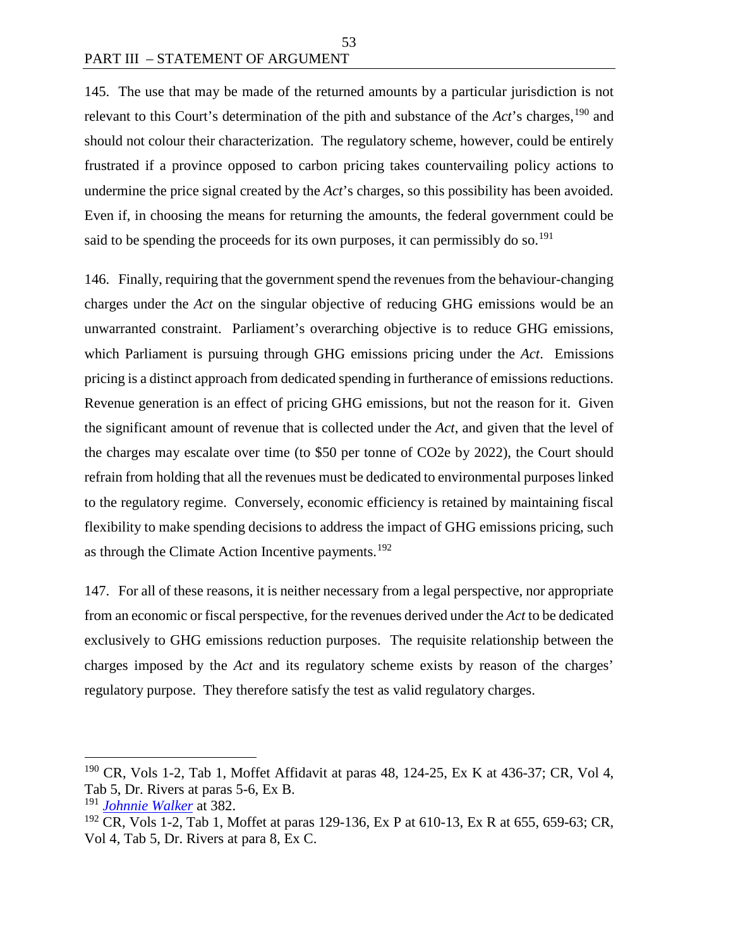145. The use that may be made of the returned amounts by a particular jurisdiction is not relevant to this Court's determination of the pith and substance of the *Act*'s charges,<sup>[190](#page-60-0)</sup> and should not colour their characterization. The regulatory scheme, however, could be entirely frustrated if a province opposed to carbon pricing takes countervailing policy actions to undermine the price signal created by the *Act*'s charges, so this possibility has been avoided. Even if, in choosing the means for returning the amounts, the federal government could be said to be spending the proceeds for its own purposes, it can permissibly do so.<sup>[191](#page-60-1)</sup>

53

146. Finally, requiring that the government spend the revenues from the behaviour-changing charges under the *Act* on the singular objective of reducing GHG emissions would be an unwarranted constraint. Parliament's overarching objective is to reduce GHG emissions, which Parliament is pursuing through GHG emissions pricing under the *Act*. Emissions pricing is a distinct approach from dedicated spending in furtherance of emissions reductions. Revenue generation is an effect of pricing GHG emissions, but not the reason for it. Given the significant amount of revenue that is collected under the *Act*, and given that the level of the charges may escalate over time (to \$50 per tonne of CO2e by 2022), the Court should refrain from holding that all the revenues must be dedicated to environmental purposes linked to the regulatory regime. Conversely, economic efficiency is retained by maintaining fiscal flexibility to make spending decisions to address the impact of GHG emissions pricing, such as through the Climate Action Incentive payments.<sup>[192](#page-60-2)</sup>

147. For all of these reasons, it is neither necessary from a legal perspective, nor appropriate from an economic or fiscal perspective, for the revenues derived under the *Act* to be dedicated exclusively to GHG emissions reduction purposes. The requisite relationship between the charges imposed by the *Act* and its regulatory scheme exists by reason of the charges' regulatory purpose. They therefore satisfy the test as valid regulatory charges.

<span id="page-60-0"></span><sup>&</sup>lt;sup>190</sup> CR, Vols 1-2, Tab 1, Moffet Affidavit at paras 48, 124-25, Ex K at 436-37; CR, Vol 4, Tab 5, Dr. Rivers at paras 5-6, Ex B.

<span id="page-60-1"></span><sup>191</sup> *[Johnnie Walker](https://scc-csc.lexum.com/scc-csc/scc-csc/en/9319/1/document.do)* at 382.

<span id="page-60-2"></span><sup>&</sup>lt;sup>192</sup> CR, Vols 1-2, Tab 1, Moffet at paras 129-136, Ex P at 610-13, Ex R at 655, 659-63; CR, Vol 4, Tab 5, Dr. Rivers at para 8, Ex C.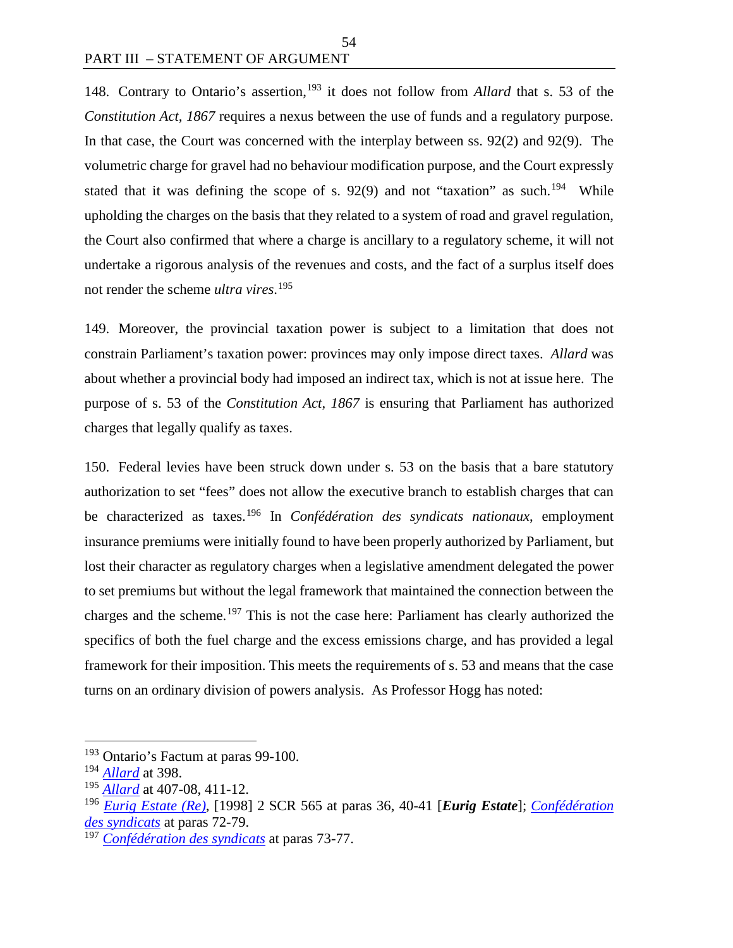148. Contrary to Ontario's assertion,<sup>[193](#page-61-0)</sup> it does not follow from *Allard* that s. 53 of the *Constitution Act, 1867* requires a nexus between the use of funds and a regulatory purpose. In that case, the Court was concerned with the interplay between ss. 92(2) and 92(9). The volumetric charge for gravel had no behaviour modification purpose, and the Court expressly stated that it was defining the scope of s. 92(9) and not "taxation" as such.<sup>194</sup> While upholding the charges on the basis that they related to a system of road and gravel regulation, the Court also confirmed that where a charge is ancillary to a regulatory scheme, it will not undertake a rigorous analysis of the revenues and costs, and the fact of a surplus itself does not render the scheme *ultra vires*. [195](#page-61-2)

149. Moreover, the provincial taxation power is subject to a limitation that does not constrain Parliament's taxation power: provinces may only impose direct taxes. *Allard* was about whether a provincial body had imposed an indirect tax, which is not at issue here. The purpose of s. 53 of the *Constitution Act, 1867* is ensuring that Parliament has authorized charges that legally qualify as taxes.

150. Federal levies have been struck down under s. 53 on the basis that a bare statutory authorization to set "fees" does not allow the executive branch to establish charges that can be characterized as taxes.[196](#page-61-3) In *Confédération des syndicats nationaux*, employment insurance premiums were initially found to have been properly authorized by Parliament, but lost their character as regulatory charges when a legislative amendment delegated the power to set premiums but without the legal framework that maintained the connection between the charges and the scheme.[197](#page-61-4) This is not the case here: Parliament has clearly authorized the specifics of both the fuel charge and the excess emissions charge, and has provided a legal framework for their imposition. This meets the requirements of s. 53 and means that the case turns on an ordinary division of powers analysis. As Professor Hogg has noted:

<span id="page-61-0"></span><sup>&</sup>lt;sup>193</sup> Ontario's Factum at paras 99-100.

<span id="page-61-1"></span><sup>194</sup> *[Allard](https://scc-csc.lexum.com/scc-csc/scc-csc/en/1083/1/document.do)* at 398.

<span id="page-61-2"></span><sup>195</sup> *[Allard](https://scc-csc.lexum.com/scc-csc/scc-csc/en/1083/1/document.do)* at 407-08, 411-12.

<span id="page-61-3"></span><sup>196</sup> *[Eurig Estate \(Re\)](https://scc-csc.lexum.com/scc-csc/scc-csc/en/1651/1/document.do)*, [1998] 2 SCR 565 at paras 36, 40-41 [*Eurig Estate*]; *[Confédération](https://decisions.scc-csc.ca/scc-csc/scc-csc/en/2354/1/document.do)  [des syndicats](https://decisions.scc-csc.ca/scc-csc/scc-csc/en/2354/1/document.do)* at paras 72-79.

<span id="page-61-4"></span><sup>197</sup> *[Confédération des syndicats](https://decisions.scc-csc.ca/scc-csc/scc-csc/en/2354/1/document.do)* at paras 73-77.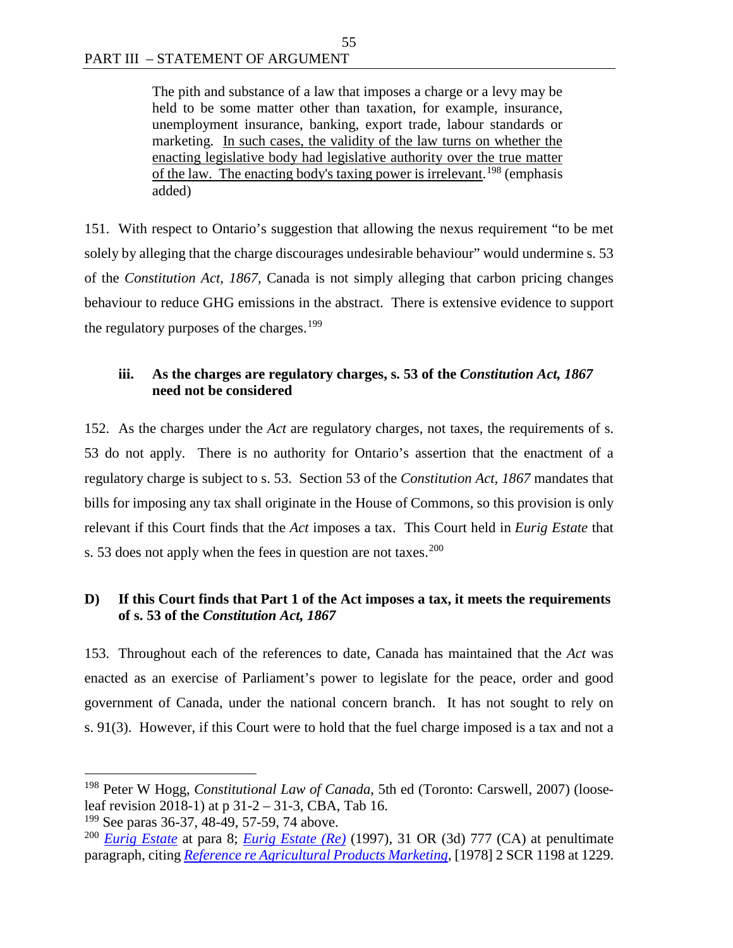The pith and substance of a law that imposes a charge or a levy may be held to be some matter other than taxation, for example, insurance, unemployment insurance, banking, export trade, labour standards or marketing. In such cases, the validity of the law turns on whether the enacting legislative body had legislative authority over the true matter of the law. The enacting body's taxing power is irrelevant.<sup>[198](#page-62-0)</sup> (emphasis added)

55

151. With respect to Ontario's suggestion that allowing the nexus requirement "to be met solely by alleging that the charge discourages undesirable behaviour" would undermine s. 53 of the *Constitution Act, 1867,* Canada is not simply alleging that carbon pricing changes behaviour to reduce GHG emissions in the abstract. There is extensive evidence to support the regulatory purposes of the charges.<sup>[199](#page-62-1)</sup>

# **iii. As the charges are regulatory charges, s. 53 of the** *Constitution Act, 1867* **need not be considered**

152. As the charges under the *Act* are regulatory charges, not taxes, the requirements of s. 53 do not apply. There is no authority for Ontario's assertion that the enactment of a regulatory charge is subject to s. 53. Section 53 of the *Constitution Act, 1867* mandates that bills for imposing any tax shall originate in the House of Commons, so this provision is only relevant if this Court finds that the *Act* imposes a tax. This Court held in *Eurig Estate* that s. 53 does not apply when the fees in question are not taxes.<sup>[200](#page-62-2)</sup>

## **D) If this Court finds that Part 1 of the Act imposes a tax, it meets the requirements of s. 53 of the** *Constitution Act, 1867*

153. Throughout each of the references to date, Canada has maintained that the *Act* was enacted as an exercise of Parliament's power to legislate for the peace, order and good government of Canada, under the national concern branch. It has not sought to rely on s. 91(3). However, if this Court were to hold that the fuel charge imposed is a tax and not a

<span id="page-62-0"></span> <sup>198</sup> Peter W Hogg, *Constitutional Law of Canada*, 5th ed (Toronto: Carswell, 2007) (looseleaf revision 2018-1) at p 31-2 – 31-3, CBA, Tab 16.

<span id="page-62-1"></span><sup>&</sup>lt;sup>199</sup> See paras 36-37, 48-49, 57-59, 74 above.

<span id="page-62-2"></span><sup>200</sup> *[Eurig Estate](https://scc-csc.lexum.com/scc-csc/scc-csc/en/1651/1/document.do)* at para 8; *Eurig [Estate \(Re\)](https://www.canlii.org/en/on/onca/doc/1997/1997canlii1080/1997canlii1080.html)* (1997), 31 OR (3d) 777 (CA) at penultimate paragraph, citing *[Reference re Agricultural Products Marketing](https://decisions.scc-csc.ca/scc-csc/scc-csc/en/2603/1/document.do)*, [1978] 2 SCR 1198 at 1229.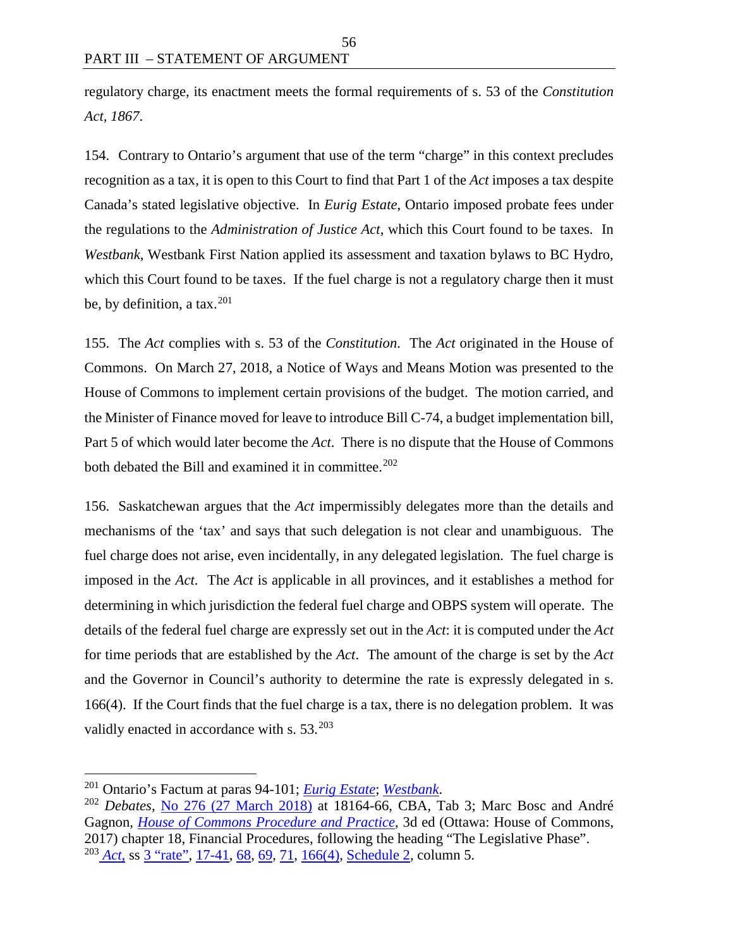regulatory charge, its enactment meets the formal requirements of s. 53 of the *Constitution Act, 1867*.

154. Contrary to Ontario's argument that use of the term "charge" in this context precludes recognition as a tax, it is open to this Court to find that Part 1 of the *Act* imposes a tax despite Canada's stated legislative objective. In *Eurig Estate*, Ontario imposed probate fees under the regulations to the *Administration of Justice Act,* which this Court found to be taxes. In *Westbank*, Westbank First Nation applied its assessment and taxation bylaws to BC Hydro, which this Court found to be taxes. If the fuel charge is not a regulatory charge then it must be, by definition, a tax.  $201$ 

155. The *Act* complies with s. 53 of the *Constitution*. The *Act* originated in the House of Commons. On March 27, 2018, a Notice of Ways and Means Motion was presented to the House of Commons to implement certain provisions of the budget. The motion carried, and the Minister of Finance moved for leave to introduce Bill C-74, a budget implementation bill, Part 5 of which would later become the *Act*. There is no dispute that the House of Commons both debated the Bill and examined it in committee.<sup>[202](#page-63-1)</sup>

156. Saskatchewan argues that the *Act* impermissibly delegates more than the details and mechanisms of the 'tax' and says that such delegation is not clear and unambiguous. The fuel charge does not arise, even incidentally, in any delegated legislation. The fuel charge is imposed in the *Act*. The *Act* is applicable in all provinces, and it establishes a method for determining in which jurisdiction the federal fuel charge and OBPS system will operate. The details of the federal fuel charge are expressly set out in the *Act*: it is computed under the *Act* for time periods that are established by the *Act*. The amount of the charge is set by the *Act* and the Governor in Council's authority to determine the rate is expressly delegated in s. 166(4). If the Court finds that the fuel charge is a tax, there is no delegation problem. It was validly enacted in accordance with s.  $53.^{203}$  $53.^{203}$  $53.^{203}$ 

<span id="page-63-0"></span> <sup>201</sup> Ontario's Factum at paras 94-101; *[Eurig Estate](https://scc-csc.lexum.com/scc-csc/scc-csc/en/1651/1/document.do)*; *[Westbank](https://scc-csc.lexum.com/scc-csc/scc-csc/en/1727/1/document.do)*.

<span id="page-63-2"></span><span id="page-63-1"></span><sup>202</sup> *Debates,* No 276 [\(27 March 2018\)](https://www.ourcommons.ca/Content/House/421/Debates/276/HAN276-E.PDF) at 18164-66, CBA, Tab 3; Marc Bosc and André Gagnon, *[House of Commons Procedure and Practice](https://www.ourcommons.ca/About/ProcedureAndPractice3rdEdition/ch_18_4-e.html#18-4-4)*, 3d ed (Ottawa: House of Commons, 2017) chapter 18, Financial Procedures, following the heading "The Legislative Phase". <sup>203</sup> *[Act](https://laws.justice.gc.ca/eng/acts/G-11.55/index.html)*, ss <sup>3</sup> "rate", [17-41,](https://laws.justice.gc.ca/eng/acts/G-11.55/FullText.html#h-244281) [68,](https://laws.justice.gc.ca/eng/acts/G-11.55/FullText.html#s-68) [69,](https://laws.justice.gc.ca/eng/acts/G-11.55/FullText.html#s-69) [71,](https://laws.justice.gc.ca/eng/acts/G-11.55/FullText.html#s-71) [166\(4\),](https://laws.justice.gc.ca/eng/acts/G-11.55/FullText.html#s-166ss-(4)ID0EBBA) [Schedule 2,](https://laws.justice.gc.ca/eng/acts/G-11.55/FullText.html#h-247111) column 5.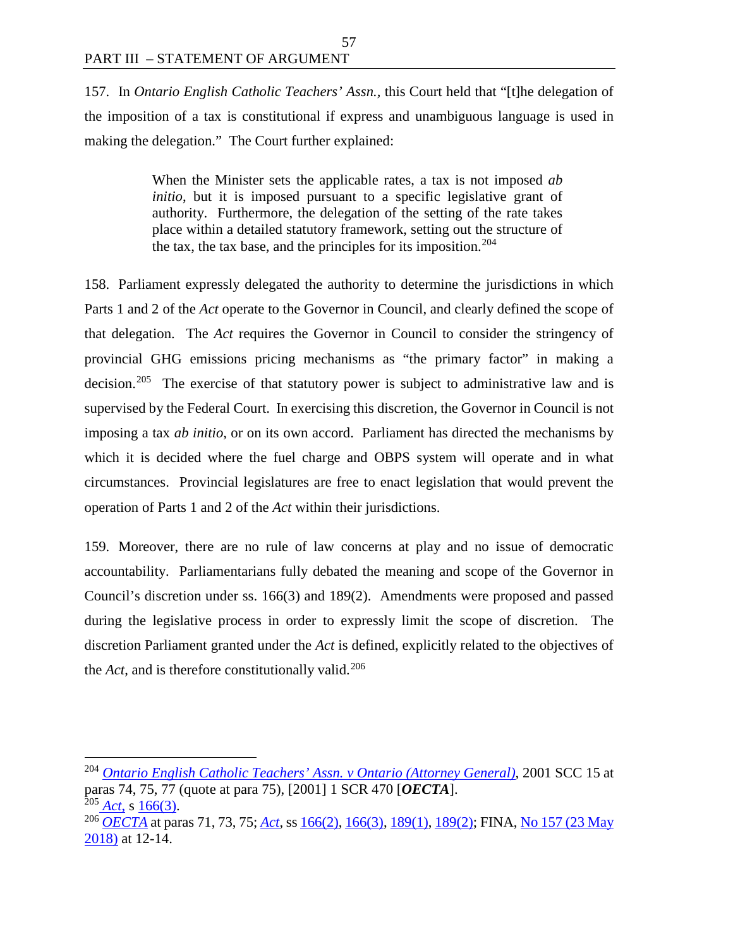157. In *Ontario English Catholic Teachers' Assn.,* this Court held that "[t]he delegation of the imposition of a tax is constitutional if express and unambiguous language is used in making the delegation." The Court further explained:

57

When the Minister sets the applicable rates, a tax is not imposed *ab initio*, but it is imposed pursuant to a specific legislative grant of authority. Furthermore, the delegation of the setting of the rate takes place within a detailed statutory framework, setting out the structure of the tax, the tax base, and the principles for its imposition.<sup>[204](#page-64-0)</sup>

158. Parliament expressly delegated the authority to determine the jurisdictions in which Parts 1 and 2 of the *Act* operate to the Governor in Council, and clearly defined the scope of that delegation. The *Act* requires the Governor in Council to consider the stringency of provincial GHG emissions pricing mechanisms as "the primary factor" in making a decision.<sup>[205](#page-64-1)</sup> The exercise of that statutory power is subject to administrative law and is supervised by the Federal Court. In exercising this discretion, the Governor in Council is not imposing a tax *ab initio*, or on its own accord. Parliament has directed the mechanisms by which it is decided where the fuel charge and OBPS system will operate and in what circumstances. Provincial legislatures are free to enact legislation that would prevent the operation of Parts 1 and 2 of the *Act* within their jurisdictions.

159. Moreover, there are no rule of law concerns at play and no issue of democratic accountability. Parliamentarians fully debated the meaning and scope of the Governor in Council's discretion under ss. 166(3) and 189(2). Amendments were proposed and passed during the legislative process in order to expressly limit the scope of discretion. The discretion Parliament granted under the *Act* is defined, explicitly related to the objectives of the  $Act$ , and is therefore constitutionally valid.<sup>[206](#page-64-2)</sup>

<span id="page-64-0"></span> <sup>204</sup> *[Ontario English Catholic Teachers' Assn. v Ontario \(Attorney General\)](https://scc-csc.lexum.com/scc-csc/scc-csc/en/1851/1/document.do)*, 2001 SCC <sup>15</sup> at paras 74, 75, 77 (quote at para 75), [2001] 1 SCR 470 [*OECTA*].<br><sup>205</sup> Act. s 166(3).

<span id="page-64-2"></span><span id="page-64-1"></span><sup>&</sup>lt;sup>206</sup> *[OECTA](https://scc-csc.lexum.com/scc-csc/scc-csc/en/1851/1/document.do)* at paras 71, 73, 75; *[Act](https://laws.justice.gc.ca/eng/acts/G-11.55/index.html)*, ss [166\(2\),](https://laws.justice.gc.ca/eng/acts/G-11.55/FullText.html#s-166ss-(2)ID0EBDA) [166\(3\),](https://laws.justice.gc.ca/eng/acts/G-11.55/FullText.html#s-166ss-(3)ID0EBCA) [189\(1\),](https://laws.justice.gc.ca/eng/acts/G-11.55/FullText.html#s-189) [189\(2\);](https://laws.justice.gc.ca/eng/acts/G-11.55/FullText.html#s-189ss-(2)ID0EBBA) FINA, No 157 (23 May [2018\)](https://www.ourcommons.ca/Content/Committee/421/FINA/Evidence/EV9883290/FINAEV157-E.PDF) at 12-14.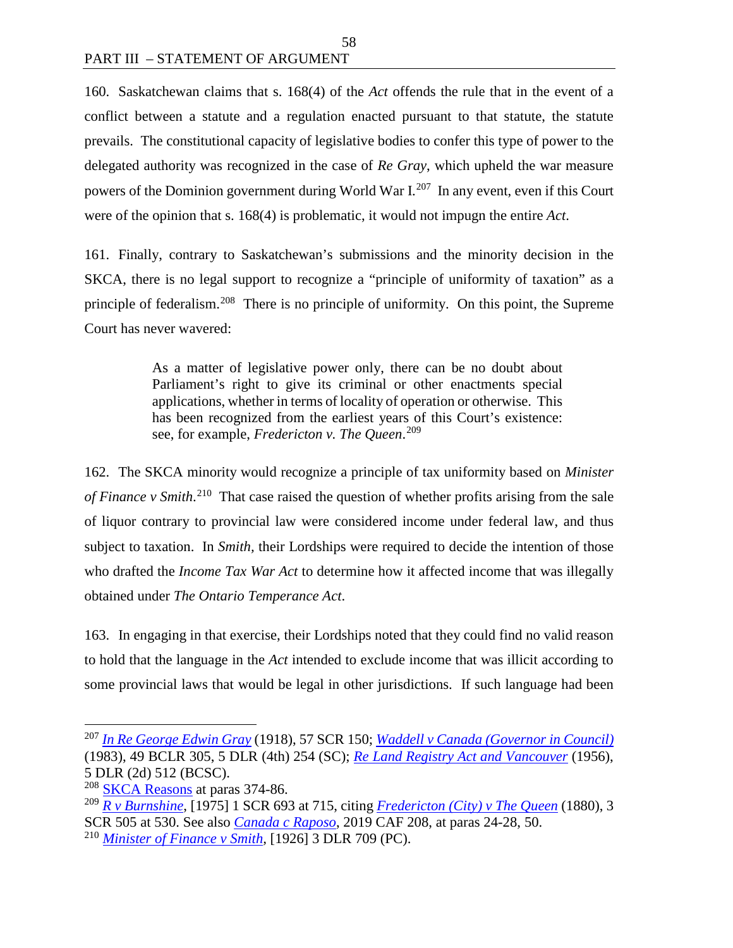160. Saskatchewan claims that s. 168(4) of the *Act* offends the rule that in the event of a conflict between a statute and a regulation enacted pursuant to that statute, the statute prevails. The constitutional capacity of legislative bodies to confer this type of power to the delegated authority was recognized in the case of *Re Gray*, which upheld the war measure powers of the Dominion government during World War  $I^{207}$  $I^{207}$  $I^{207}$  In any event, even if this Court were of the opinion that s. 168(4) is problematic, it would not impugn the entire *Act*.

161. Finally, contrary to Saskatchewan's submissions and the minority decision in the SKCA, there is no legal support to recognize a "principle of uniformity of taxation" as a principle of federalism.[208](#page-65-1) There is no principle of uniformity. On this point, the Supreme Court has never wavered:

> As a matter of legislative power only, there can be no doubt about Parliament's right to give its criminal or other enactments special applications, whether in terms of locality of operation or otherwise. This has been recognized from the earliest years of this Court's existence: see, for example, *Fredericton v. The Queen*. [209](#page-65-2)

162. The SKCA minority would recognize a principle of tax uniformity based on *Minister*  of Finance v Smith.<sup>210</sup> That case raised the question of whether profits arising from the sale of liquor contrary to provincial law were considered income under federal law, and thus subject to taxation. In *Smith,* their Lordships were required to decide the intention of those who drafted the *Income Tax War Act* to determine how it affected income that was illegally obtained under *The Ontario Temperance Act*.

163. In engaging in that exercise, their Lordships noted that they could find no valid reason to hold that the language in the *Act* intended to exclude income that was illicit according to some provincial laws that would be legal in other jurisdictions. If such language had been

<span id="page-65-0"></span> <sup>207</sup> *[In Re George Edwin Gray](https://decisions.scc-csc.ca/scc-csc/scc-csc/en/9496/1/document.do)* (1918), 57 SCR 150; *[Waddell v Canada \(Governor in Council\)](https://www.canlii.org/en/bc/bcsc/doc/1983/1983canlii189/1983canlii189.html)* (1983), 49 BCLR 305, 5 DLR (4th) 254 (SC); *[Re Land Registry Act and Vancouver](https://www.canlii.org/en/bc/bcsc/doc/1956/1956canlii313/1956canlii313.pdf)* (1956), 5 DLR (2d) 512 (BCSC).

<span id="page-65-1"></span><sup>&</sup>lt;sup>208</sup> [SKCA Reasons](https://sasklawcourts.ca/images/documents/CA_2019SKCA040.pdf) at paras 374-86.

<span id="page-65-2"></span><sup>209</sup> *[R v Burnshine](https://decisions.scc-csc.ca/scc-csc/scc-csc/en/5397/1/document.do)*, [1975] 1 SCR 693 at 715, citing *[Fredericton \(City\) v The Queen](https://decisions.scc-csc.ca/scc-csc/scc-csc/en/14768/1/document.do)* (1880), 3 SCR 505 at 530. See also *[Canada c Raposo](https://decisions.fca-caf.gc.ca/fca-caf/decisions/fr/item/418477/index.do)*, 2019 CAF 208, at paras 24-28, 50.

<span id="page-65-3"></span><sup>210</sup> *[Minister of Finance v Smith,](https://www.canlii.org/en/ca/ukjcpc/doc/1926/1926canlii286/1926canlii286.pdf)* [1926] 3 DLR 709 (PC).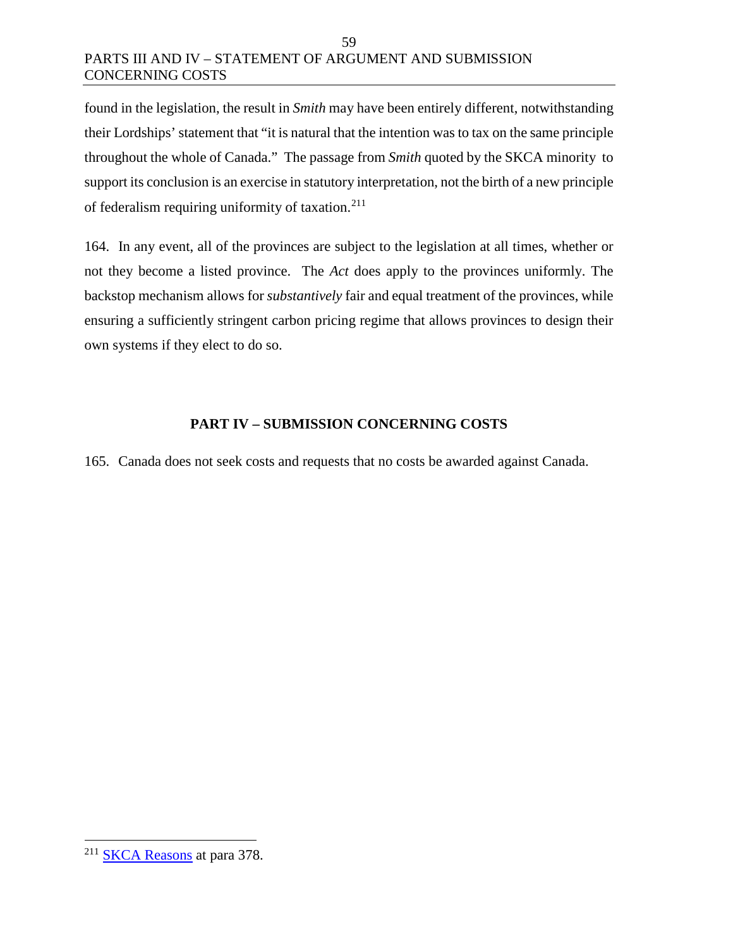#### 59 PARTS III AND IV – STATEMENT OF ARGUMENT AND SUBMISSION CONCERNING COSTS

found in the legislation, the result in *Smith* may have been entirely different, notwithstanding their Lordships' statement that "it is natural that the intention was to tax on the same principle throughout the whole of Canada." The passage from *Smith* quoted by the SKCA minority to support its conclusion is an exercise in statutory interpretation, not the birth of a new principle of federalism requiring uniformity of taxation. $211$ 

164. In any event, all of the provinces are subject to the legislation at all times, whether or not they become a listed province. The *Act* does apply to the provinces uniformly. The backstop mechanism allows for *substantively* fair and equal treatment of the provinces, while ensuring a sufficiently stringent carbon pricing regime that allows provinces to design their own systems if they elect to do so.

## **PART IV – SUBMISSION CONCERNING COSTS**

165. Canada does not seek costs and requests that no costs be awarded against Canada.

<span id="page-66-0"></span> <sup>211</sup> [SKCA Reasons](https://sasklawcourts.ca/images/documents/CA_2019SKCA040.pdf) at para 378.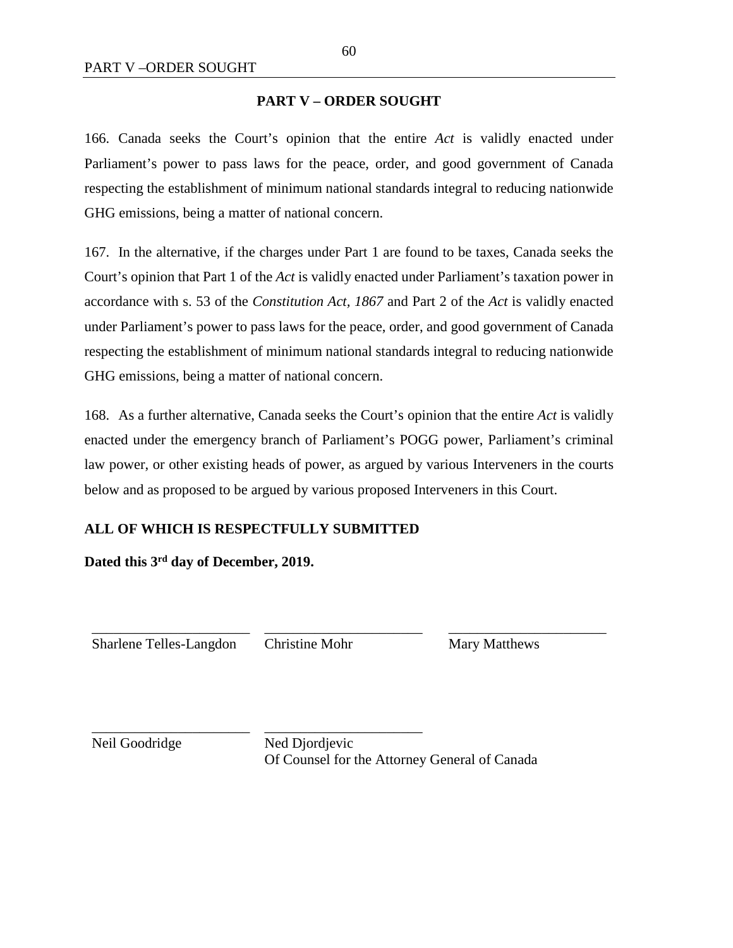#### **PART V – ORDER SOUGHT**

166. Canada seeks the Court's opinion that the entire *Act* is validly enacted under Parliament's power to pass laws for the peace, order, and good government of Canada respecting the establishment of minimum national standards integral to reducing nationwide GHG emissions, being a matter of national concern.

167. In the alternative, if the charges under Part 1 are found to be taxes, Canada seeks the Court's opinion that Part 1 of the *Act* is validly enacted under Parliament's taxation power in accordance with s. 53 of the *Constitution Act, 1867* and Part 2 of the *Act* is validly enacted under Parliament's power to pass laws for the peace, order, and good government of Canada respecting the establishment of minimum national standards integral to reducing nationwide GHG emissions, being a matter of national concern.

168. As a further alternative, Canada seeks the Court's opinion that the entire *Act* is validly enacted under the emergency branch of Parliament's POGG power, Parliament's criminal law power, or other existing heads of power, as argued by various Interveners in the courts below and as proposed to be argued by various proposed Interveners in this Court.

#### **ALL OF WHICH IS RESPECTFULLY SUBMITTED**

**Dated this 3rd day of December, 2019.**

\_\_\_\_\_\_\_\_\_\_\_\_\_\_\_\_\_\_\_\_\_\_ Sharlene Telles-Langdon \_\_\_\_\_\_\_\_\_\_\_\_\_\_\_\_\_\_\_\_\_\_

\_\_\_\_\_\_\_\_\_\_\_\_\_\_\_\_\_\_\_\_\_\_

Christine Mohr

Mary Matthews

\_\_\_\_\_\_\_\_\_\_\_\_\_\_\_\_\_\_\_\_\_\_

Neil Goodridge

\_\_\_\_\_\_\_\_\_\_\_\_\_\_\_\_\_\_\_\_\_\_ Ned Djordjevic Of Counsel for the Attorney General of Canada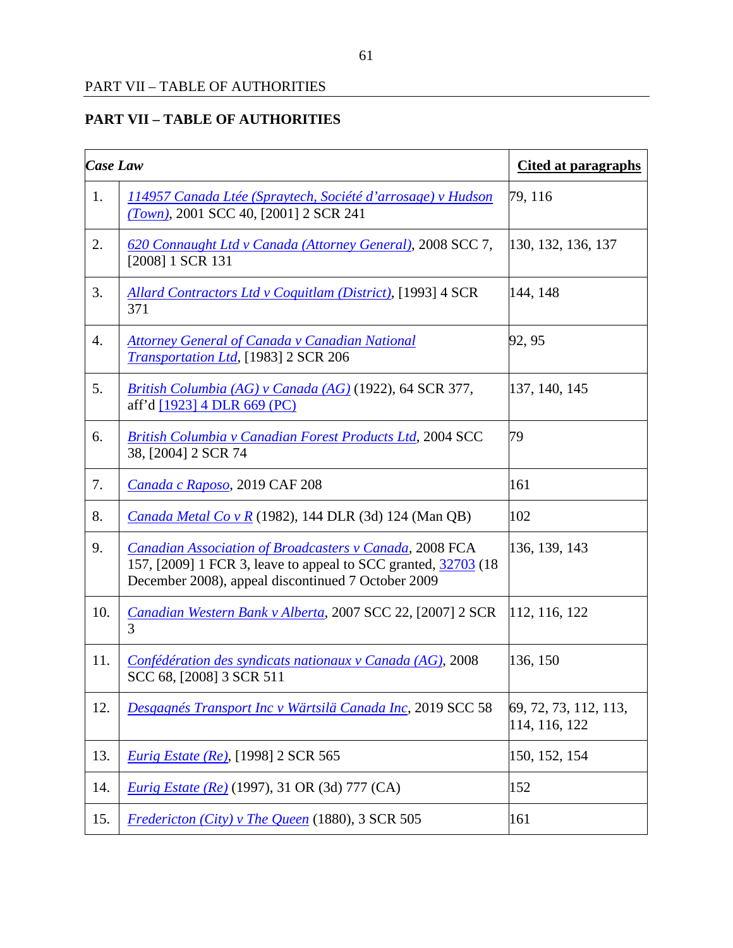| <b>Case Law</b> |                                                                                                                                                                                         | <b>Cited at paragraphs</b>             |
|-----------------|-----------------------------------------------------------------------------------------------------------------------------------------------------------------------------------------|----------------------------------------|
| 1.              | <u> 114957 Canada Ltée (Spraytech, Société d'arrosage) v Hudson</u><br>$(Town), 2001$ SCC 40, [2001] 2 SCR 241                                                                          | 79, 116                                |
| 2.              | 620 Connaught Ltd v Canada (Attorney General), 2008 SCC 7,<br>[2008] 1 SCR 131                                                                                                          | 130, 132, 136, 137                     |
| 3.              | <b>Allard Contractors Ltd v Coquitlam (District), [1993] 4 SCR</b><br>371                                                                                                               | 144, 148                               |
| 4.              | <b>Attorney General of Canada v Canadian National</b><br>Transportation Ltd, [1983] 2 SCR 206                                                                                           | 92, 95                                 |
| 5.              | British Columbia (AG) v Canada (AG) (1922), 64 SCR 377,<br>aff'd [1923] 4 DLR 669 (PC)                                                                                                  | 137, 140, 145                          |
| 6.              | <b>British Columbia v Canadian Forest Products Ltd, 2004 SCC</b><br>38, [2004] 2 SCR 74                                                                                                 | 79                                     |
| 7.              | Canada c Raposo, 2019 CAF 208                                                                                                                                                           | 161                                    |
| 8.              | <i>Canada Metal Co v R</i> (1982), 144 DLR (3d) 124 (Man QB)                                                                                                                            | 102                                    |
| 9.              | <b>Canadian Association of Broadcasters v Canada, 2008 FCA</b><br>157, [2009] 1 FCR 3, leave to appeal to SCC granted, 32703 (18)<br>December 2008), appeal discontinued 7 October 2009 | 136, 139, 143                          |
| 10.             | Canadian Western Bank v Alberta, 2007 SCC 22, [2007] 2 SCR<br>3                                                                                                                         | 112, 116, 122                          |
| 11.             | Confédération des syndicats nationaux v Canada (AG), 2008<br>SCC 68, [2008] 3 SCR 511                                                                                                   | 136, 150                               |
| 12.             | Desgagnés Transport Inc v Wärtsilä Canada Inc, 2019 SCC 58                                                                                                                              | 69, 72, 73, 112, 113,<br>114, 116, 122 |
| 13.             | <b>Eurig Estate (Re), [1998] 2 SCR 565</b>                                                                                                                                              | 150, 152, 154                          |
| 14.             | <i>Eurig Estate (Re)</i> (1997), 31 OR (3d) 777 (CA)                                                                                                                                    | 152                                    |
| 15.             | Fredericton (City) v The Queen (1880), 3 SCR 505                                                                                                                                        | 161                                    |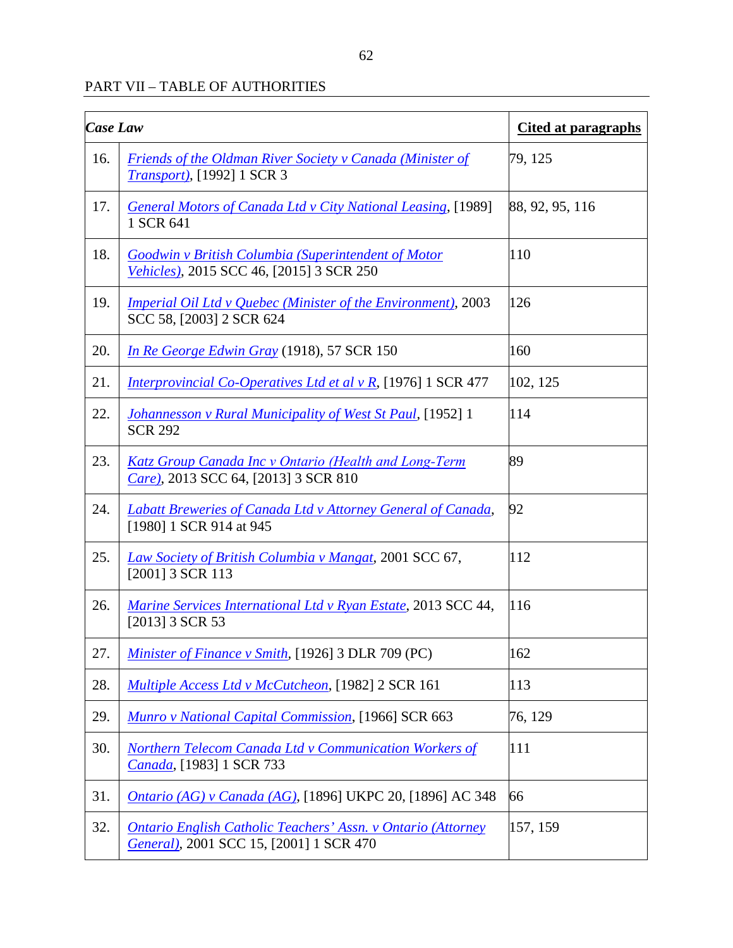| <b>Case Law</b> |                                                                                                                | Cited at paragraphs |
|-----------------|----------------------------------------------------------------------------------------------------------------|---------------------|
| 16.             | <b>Friends of the Oldman River Society v Canada (Minister of</b><br><i>Transport</i> ), [1992] 1 SCR 3         | 79, 125             |
| 17.             | <b>General Motors of Canada Ltd v City National Leasing, [1989]</b><br>1 SCR 641                               | 88, 92, 95, 116     |
| 18.             | <b>Goodwin v British Columbia (Superintendent of Motor</b><br>Vehicles), 2015 SCC 46, [2015] 3 SCR 250         | 110                 |
| 19.             | <i>Imperial Oil Ltd v Quebec (Minister of the Environment), 2003</i><br>SCC 58, [2003] 2 SCR 624               | 126                 |
| 20.             | In Re George Edwin Gray (1918), 57 SCR 150                                                                     | 160                 |
| 21.             | Interprovincial Co-Operatives Ltd et al v R, [1976] 1 SCR 477                                                  | 102, 125            |
| 22.             | <b>Johannesson v Rural Municipality of West St Paul, [1952] 1</b><br><b>SCR 292</b>                            | 114                 |
| 23.             | <b>Katz Group Canada Inc v Ontario (Health and Long-Term</b><br>Care), 2013 SCC 64, [2013] 3 SCR 810           | 89                  |
| 24.             | <b>Labatt Breweries of Canada Ltd v Attorney General of Canada,</b><br>[1980] 1 SCR 914 at 945                 | 92                  |
| 25.             | Law Society of British Columbia v Mangat, 2001 SCC 67,<br>[2001] 3 SCR 113                                     | 112                 |
| 26.             | <i>Marine Services International Ltd v Ryan Estate, 2013 SCC 44,</i><br>[2013] 3 SCR 53                        | 116                 |
| 27.             | Minister of Finance v Smith, [1926] 3 DLR 709 (PC)                                                             | 162                 |
| 28.             | <b>Multiple Access Ltd v McCutcheon, [1982] 2 SCR 161</b>                                                      | 113                 |
| 29.             | Munro v National Capital Commission, [1966] SCR 663                                                            | 76, 129             |
| 30.             | Northern Telecom Canada Ltd v Communication Workers of<br>Canada, [1983] 1 SCR 733                             | 111                 |
| 31.             | Ontario (AG) v Canada (AG), [1896] UKPC 20, [1896] AC 348                                                      | 66                  |
| 32.             | <b>Ontario English Catholic Teachers' Assn. v Ontario (Attorney</b><br>General), 2001 SCC 15, [2001] 1 SCR 470 | 157, 159            |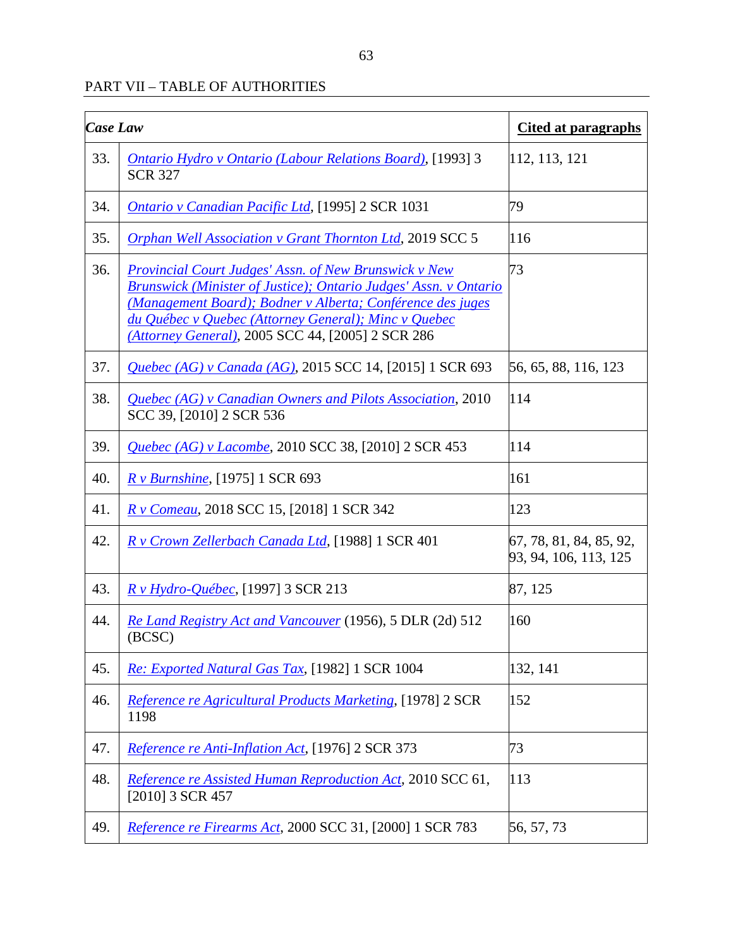| <b>Case Law</b> |                                                                                                                                                                                                                                                                                                                    | <b>Cited at paragraphs</b>                       |
|-----------------|--------------------------------------------------------------------------------------------------------------------------------------------------------------------------------------------------------------------------------------------------------------------------------------------------------------------|--------------------------------------------------|
| 33.             | <b>Ontario Hydro v Ontario (Labour Relations Board), [1993] 3</b><br><b>SCR 327</b>                                                                                                                                                                                                                                | 112, 113, 121                                    |
| 34.             | <b>Ontario y Canadian Pacific Ltd, [1995] 2 SCR 1031</b>                                                                                                                                                                                                                                                           | 79                                               |
| 35.             | <b>Orphan Well Association v Grant Thornton Ltd, 2019 SCC 5</b>                                                                                                                                                                                                                                                    | 116                                              |
| 36.             | <b>Provincial Court Judges' Assn. of New Brunswick v New</b><br><b>Brunswick (Minister of Justice); Ontario Judges' Assn. v Ontario</b><br>(Management Board); Bodner v Alberta; Conférence des juges<br>du Québec v Quebec (Attorney General); Minc v Quebec<br>(Attorney General), 2005 SCC 44, [2005] 2 SCR 286 | 73                                               |
| 37.             | Quebec (AG) v Canada (AG), 2015 SCC 14, [2015] 1 SCR 693                                                                                                                                                                                                                                                           | 56, 65, 88, 116, 123                             |
| 38.             | Quebec (AG) v Canadian Owners and Pilots Association, 2010<br>SCC 39, [2010] 2 SCR 536                                                                                                                                                                                                                             | 114                                              |
| 39.             | <i>Quebec (AG) v Lacombe, 2010 SCC 38, [2010] 2 SCR 453</i>                                                                                                                                                                                                                                                        | 114                                              |
| 40.             | <i>R v Burnshine</i> , [1975] 1 SCR 693                                                                                                                                                                                                                                                                            | 161                                              |
| 41.             | <i>R v Comeau</i> , 2018 SCC 15, [2018] 1 SCR 342                                                                                                                                                                                                                                                                  | 123                                              |
| 42.             | R v Crown Zellerbach Canada Ltd, [1988] 1 SCR 401                                                                                                                                                                                                                                                                  | 67, 78, 81, 84, 85, 92,<br>93, 94, 106, 113, 125 |
| 43.             | <i>R</i> v Hydro-Québec, [1997] 3 SCR 213                                                                                                                                                                                                                                                                          | 87, 125                                          |
| 44.             | Re Land Registry Act and Vancouver (1956), 5 DLR (2d) 512<br>(BCSC)                                                                                                                                                                                                                                                | 160                                              |
| 45.             | Re: Exported Natural Gas Tax, [1982] 1 SCR 1004                                                                                                                                                                                                                                                                    | 132, 141                                         |
| 46.             | Reference re Agricultural Products Marketing, [1978] 2 SCR<br>1198                                                                                                                                                                                                                                                 | 152                                              |
| 47.             | Reference re Anti-Inflation Act, [1976] 2 SCR 373                                                                                                                                                                                                                                                                  | 73                                               |
| 48.             | <i>Reference re Assisted Human Reproduction Act, 2010 SCC 61,</i><br>[2010] 3 SCR 457                                                                                                                                                                                                                              | 113                                              |
| 49.             | Reference re Firearms Act, 2000 SCC 31, [2000] 1 SCR 783                                                                                                                                                                                                                                                           | 56, 57, 73                                       |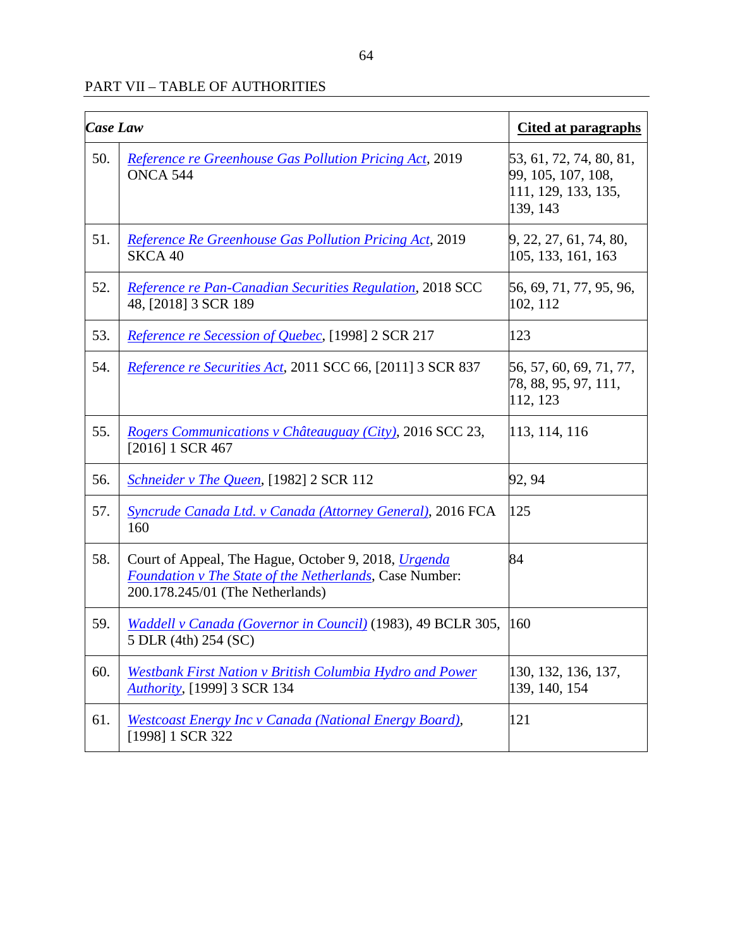| <b>Case Law</b> |                                                                                                                                                                   | <b>Cited at paragraphs</b>                                                       |
|-----------------|-------------------------------------------------------------------------------------------------------------------------------------------------------------------|----------------------------------------------------------------------------------|
| 50.             | <b>Reference re Greenhouse Gas Pollution Pricing Act, 2019</b><br>ONCA 544                                                                                        | 53, 61, 72, 74, 80, 81,<br>99, 105, 107, 108,<br>111, 129, 133, 135,<br>139, 143 |
| 51.             | <b>Reference Re Greenhouse Gas Pollution Pricing Act, 2019</b><br>SKCA 40                                                                                         | 9, 22, 27, 61, 74, 80,<br>105, 133, 161, 163                                     |
| 52.             | Reference re Pan-Canadian Securities Regulation, 2018 SCC<br>48, [2018] 3 SCR 189                                                                                 | 56, 69, 71, 77, 95, 96,<br>102, 112                                              |
| 53.             | <i>Reference re Secession of Quebec</i> , [1998] 2 SCR 217                                                                                                        | 123                                                                              |
| 54.             | Reference re Securities Act, 2011 SCC 66, [2011] 3 SCR 837                                                                                                        | 56, 57, 60, 69, 71, 77,<br>78, 88, 95, 97, 111,<br>112, 123                      |
| 55.             | Rogers Communications v Châteauguay (City), 2016 SCC 23,<br>$[2016]$ 1 SCR 467                                                                                    | 113, 114, 116                                                                    |
| 56.             | <i>Schneider v The Queen,</i> [1982] 2 SCR 112                                                                                                                    | 92, 94                                                                           |
| 57.             | Syncrude Canada Ltd. v Canada (Attorney General), 2016 FCA<br>160                                                                                                 | 125                                                                              |
| 58.             | Court of Appeal, The Hague, October 9, 2018, <i>Urgenda</i><br><b>Foundation v The State of the Netherlands, Case Number:</b><br>200.178.245/01 (The Netherlands) | 84                                                                               |
| 59.             | Waddell v Canada (Governor in Council) (1983), 49 BCLR 305,<br>5 DLR (4th) 254 (SC)                                                                               | 160                                                                              |
| 60.             | Westbank First Nation v British Columbia Hydro and Power<br>Authority, [1999] 3 SCR 134                                                                           | 130, 132, 136, 137,<br>139, 140, 154                                             |
| 61.             | Westcoast Energy Inc v Canada (National Energy Board),<br>[1998] 1 SCR 322                                                                                        | 121                                                                              |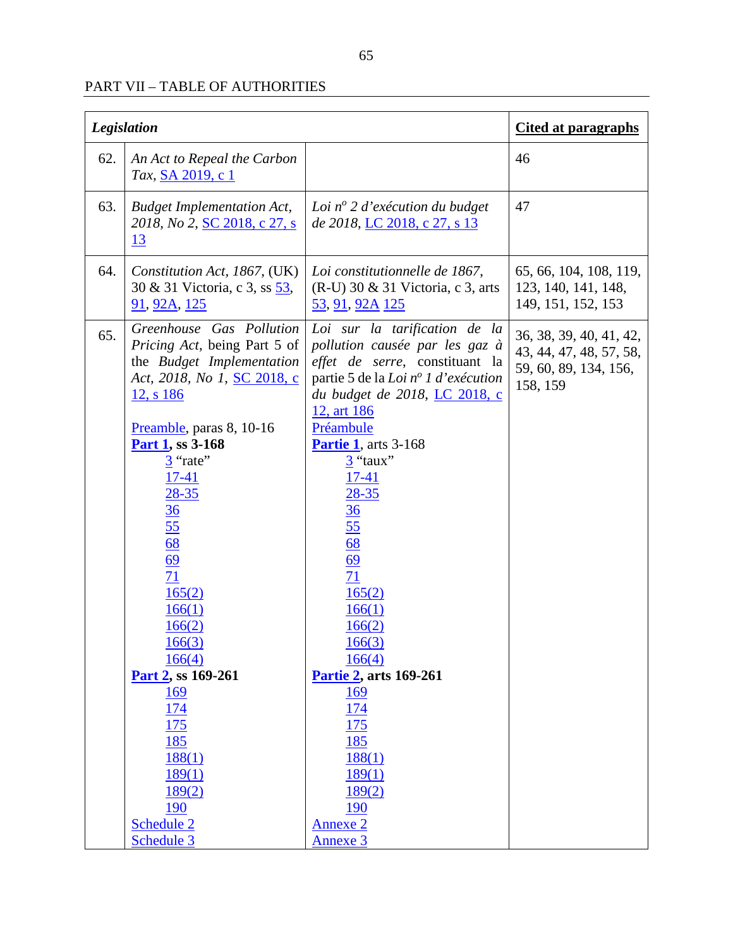| <b>Legislation</b> |                                                                                                                                                                                                                                                                                                                                                                                                               |                                                                                                                                                                                                                                                                                                                                                                                                                                          | <b>Cited at paragraphs</b>                                                              |
|--------------------|---------------------------------------------------------------------------------------------------------------------------------------------------------------------------------------------------------------------------------------------------------------------------------------------------------------------------------------------------------------------------------------------------------------|------------------------------------------------------------------------------------------------------------------------------------------------------------------------------------------------------------------------------------------------------------------------------------------------------------------------------------------------------------------------------------------------------------------------------------------|-----------------------------------------------------------------------------------------|
| 62.                | An Act to Repeal the Carbon<br>Tax, SA 2019, c 1                                                                                                                                                                                                                                                                                                                                                              |                                                                                                                                                                                                                                                                                                                                                                                                                                          | 46                                                                                      |
| 63.                | <b>Budget Implementation Act,</b><br>2018, No 2, SC 2018, c 27, s<br><u> 13</u>                                                                                                                                                                                                                                                                                                                               | Loi $n^{\circ}$ 2 d'exécution du budget<br>de 2018, LC 2018, c 27, s 13                                                                                                                                                                                                                                                                                                                                                                  | 47                                                                                      |
| 64.                | Constitution Act, 1867, (UK)<br>30 & 31 Victoria, c 3, ss 53,<br><u>91, 92A, 125</u>                                                                                                                                                                                                                                                                                                                          | Loi constitutionnelle de 1867,<br>$(R-U)$ 30 & 31 Victoria, c 3, arts<br><u>53, 91, 92A 125</u>                                                                                                                                                                                                                                                                                                                                          | 65, 66, 104, 108, 119,<br>123, 140, 141, 148,<br>149, 151, 152, 153                     |
| 65.                | Greenhouse Gas Pollution<br><i>Pricing Act</i> , being Part 5 of<br>the Budget Implementation<br>Act, 2018, No 1, SC 2018, c<br>12, s 186<br>Preamble, paras 8, 10-16<br><b>Part 1, ss 3-168</b><br>$\frac{3}{2}$ "rate"<br>$17-41$<br>$28 - 35$<br>$\frac{36}{55}$<br><u>68</u><br>69<br>$\overline{71}$<br>165(2)<br>166(1)<br>166(2)<br>166(3)<br>166(4)<br>Part 2, ss 169-261<br><u>169</u><br><u>174</u> | Loi sur la tarification de la<br>pollution causée par les gaz à<br>effet de serre, constituant la<br>partie 5 de la Loi nº 1 d'exécution<br>du budget de 2018, LC 2018, c<br>12, art 186<br>Préambule<br><b>Partie 1</b> , arts 3-168<br>3 "taux"<br>$17 - 41$<br>$28 - 35$<br>$\frac{36}{55}$<br><u>68</u><br>$\frac{69}{71}$<br>165(2)<br>166(1)<br>166(2)<br>166(3)<br>166(4)<br>Partie 2, arts 169-261<br><u> 169</u><br><u> 174</u> | 36, 38, 39, 40, 41, 42,<br>43, 44, 47, 48, 57, 58,<br>59, 60, 89, 134, 156,<br>158, 159 |
|                    | 175<br>185<br>188(1)<br>189(1)<br>189(2)<br>190<br>Schedule 2<br>Schedule 3                                                                                                                                                                                                                                                                                                                                   | 175<br>185<br>188(1)<br>189(1)<br>189(2)<br>190<br><b>Annexe 2</b><br><b>Annexe 3</b>                                                                                                                                                                                                                                                                                                                                                    |                                                                                         |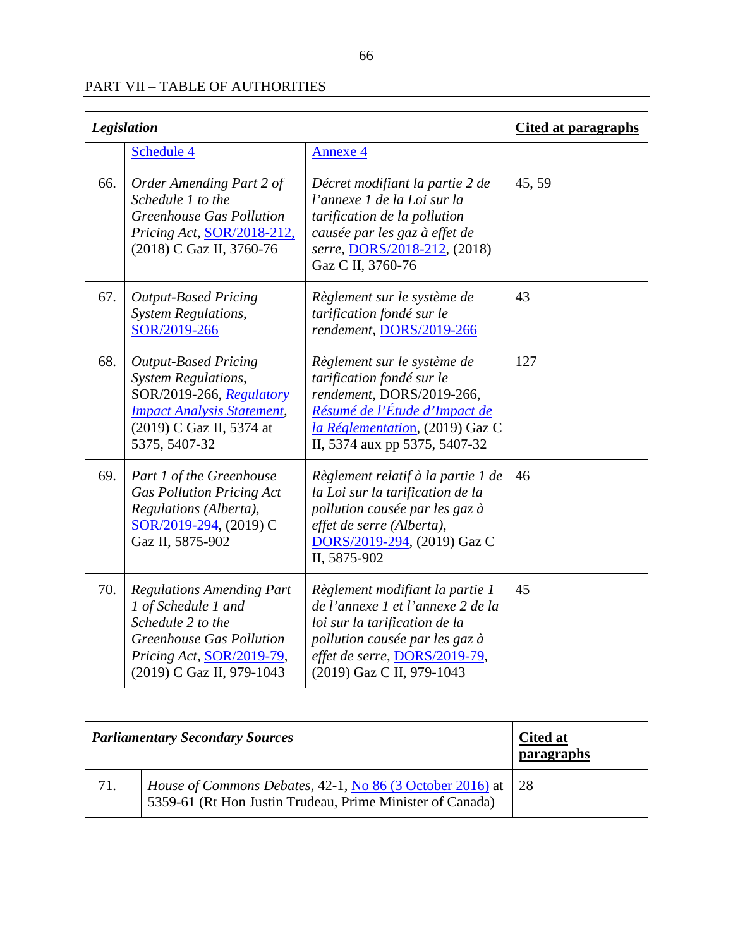| <b>Legislation</b> |                                                                                                                                                                           |                                                                                                                                                                                                       | <b>Cited at paragraphs</b> |
|--------------------|---------------------------------------------------------------------------------------------------------------------------------------------------------------------------|-------------------------------------------------------------------------------------------------------------------------------------------------------------------------------------------------------|----------------------------|
|                    | Schedule 4                                                                                                                                                                | <b>Annexe 4</b>                                                                                                                                                                                       |                            |
| 66.                | Order Amending Part 2 of<br>Schedule 1 to the<br><b>Greenhouse Gas Pollution</b><br>Pricing Act, SOR/2018-212,<br>(2018) C Gaz II, 3760-76                                | Décret modifiant la partie 2 de<br>l'annexe 1 de la Loi sur la<br>tarification de la pollution<br>causée par les gaz à effet de<br>serre, DORS/2018-212, (2018)<br>Gaz C II, 3760-76                  | 45, 59                     |
| 67.                | <b>Output-Based Pricing</b><br><b>System Regulations,</b><br>SOR/2019-266                                                                                                 | Règlement sur le système de<br>tarification fondé sur le<br>rendement, DORS/2019-266                                                                                                                  | 43                         |
| 68.                | <b>Output-Based Pricing</b><br><b>System Regulations,</b><br>SOR/2019-266, Regulatory<br><b>Impact Analysis Statement,</b><br>(2019) C Gaz II, 5374 at<br>5375, 5407-32   | Règlement sur le système de<br>tarification fondé sur le<br>rendement, DORS/2019-266,<br>Résumé de l'Étude d'Impact de<br>la Réglementation, (2019) Gaz C<br>II, 5374 aux pp 5375, 5407-32            | 127                        |
| 69.                | Part 1 of the Greenhouse<br><b>Gas Pollution Pricing Act</b><br>Regulations (Alberta),<br>SOR/2019-294, (2019) C<br>Gaz II, 5875-902                                      | Règlement relatif à la partie 1 de<br>la Loi sur la tarification de la<br>pollution causée par les gaz à<br>effet de serre (Alberta),<br>DORS/2019-294, (2019) Gaz C<br>II, 5875-902                  | 46                         |
| 70.                | <b>Regulations Amending Part</b><br>1 of Schedule 1 and<br>Schedule 2 to the<br><b>Greenhouse Gas Pollution</b><br>Pricing Act, SOR/2019-79,<br>(2019) C Gaz II, 979-1043 | Règlement modifiant la partie 1<br>de l'annexe 1 et l'annexe 2 de la<br>loi sur la tarification de la<br>pollution causée par les gaz à<br>effet de serre, DORS/2019-79,<br>(2019) Gaz C II, 979-1043 | 45                         |

| <b>Parliamentary Secondary Sources</b> |                                                                                                                                    | <b>Cited at</b><br>paragraphs |
|----------------------------------------|------------------------------------------------------------------------------------------------------------------------------------|-------------------------------|
| 71.                                    | <i>House of Commons Debates, 42-1, No 86 (3 October 2016)</i> at   28<br>5359-61 (Rt Hon Justin Trudeau, Prime Minister of Canada) |                               |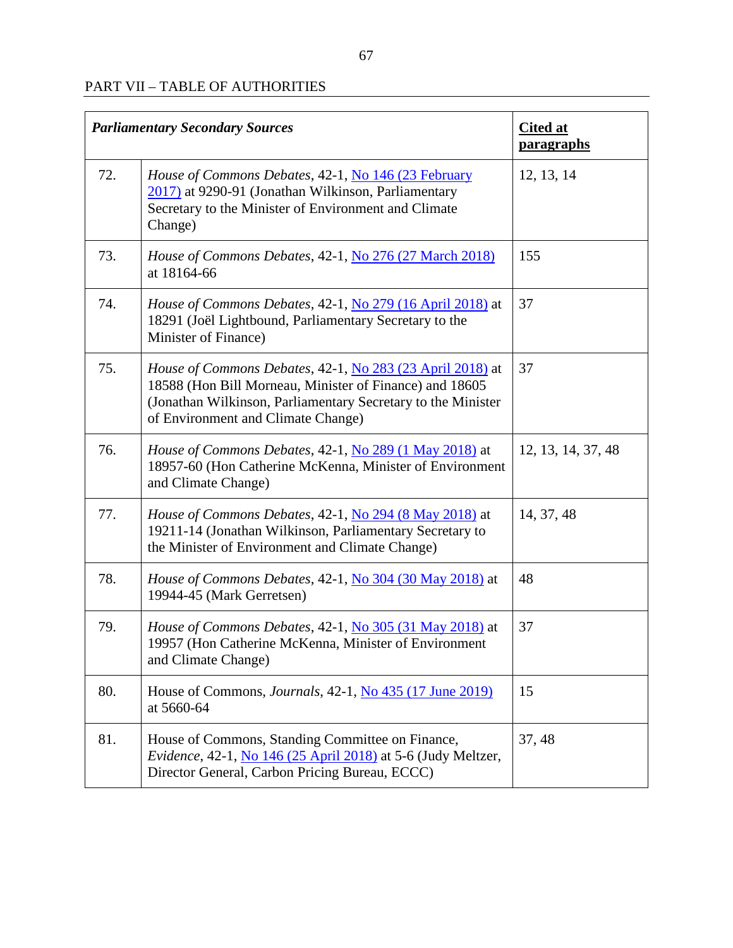| <b>Parliamentary Secondary Sources</b> |                                                                                                                                                                                                                                   | <b>Cited at</b><br><b>paragraphs</b> |
|----------------------------------------|-----------------------------------------------------------------------------------------------------------------------------------------------------------------------------------------------------------------------------------|--------------------------------------|
| 72.                                    | House of Commons Debates, 42-1, No 146 (23 February<br>2017) at 9290-91 (Jonathan Wilkinson, Parliamentary<br>Secretary to the Minister of Environment and Climate<br>Change)                                                     | 12, 13, 14                           |
| 73.                                    | House of Commons Debates, 42-1, No 276 (27 March 2018)<br>at 18164-66                                                                                                                                                             | 155                                  |
| 74.                                    | <i>House of Commons Debates, 42-1, No 279 (16 April 2018)</i> at<br>18291 (Joël Lightbound, Parliamentary Secretary to the<br>Minister of Finance)                                                                                | 37                                   |
| 75.                                    | <i>House of Commons Debates, 42-1, No 283 (23 April 2018)</i> at<br>18588 (Hon Bill Morneau, Minister of Finance) and 18605<br>(Jonathan Wilkinson, Parliamentary Secretary to the Minister<br>of Environment and Climate Change) | 37                                   |
| 76.                                    | House of Commons Debates, 42-1, No 289 (1 May 2018) at<br>18957-60 (Hon Catherine McKenna, Minister of Environment<br>and Climate Change)                                                                                         | 12, 13, 14, 37, 48                   |
| 77.                                    | <i>House of Commons Debates,</i> 42-1, No 294 (8 May 2018) at<br>19211-14 (Jonathan Wilkinson, Parliamentary Secretary to<br>the Minister of Environment and Climate Change)                                                      | 14, 37, 48                           |
| 78.                                    | House of Commons Debates, 42-1, No 304 (30 May 2018) at<br>19944-45 (Mark Gerretsen)                                                                                                                                              | 48                                   |
| 79.                                    | <i>House of Commons Debates, 42-1, No 305 (31 May 2018)</i> at<br>19957 (Hon Catherine McKenna, Minister of Environment<br>and Climate Change)                                                                                    | 37                                   |
| 80.                                    | House of Commons, <i>Journals</i> , 42-1, <i>No</i> 435 (17 June 2019)<br>at 5660-64                                                                                                                                              | 15                                   |
| 81.                                    | House of Commons, Standing Committee on Finance,<br>Evidence, 42-1, No 146 (25 April 2018) at 5-6 (Judy Meltzer,<br>Director General, Carbon Pricing Bureau, ECCC)                                                                | 37, 48                               |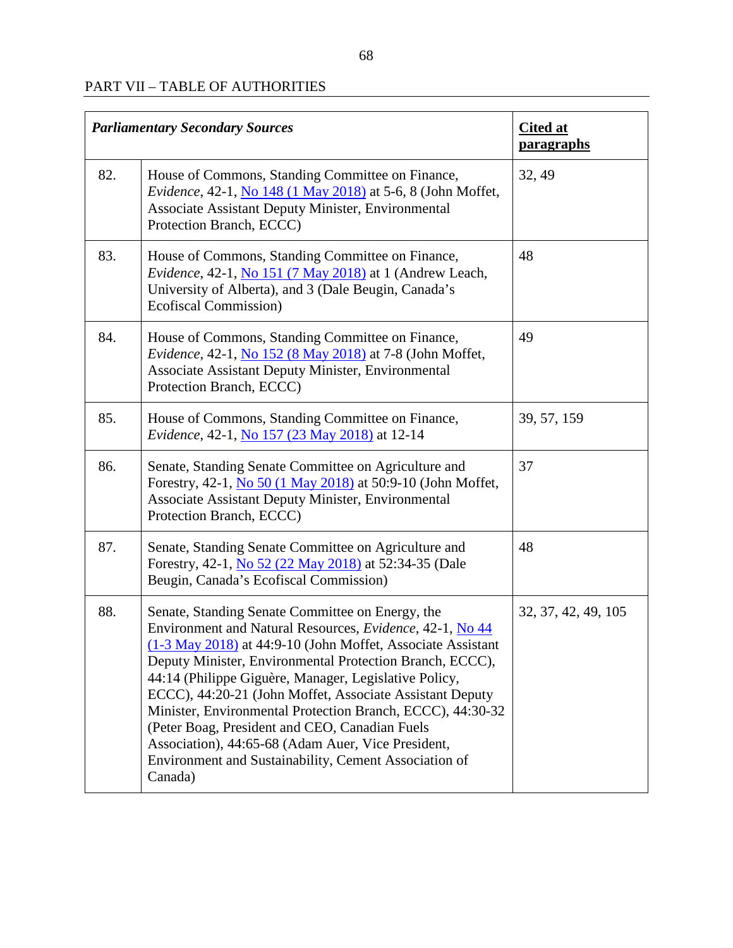| <b>Parliamentary Secondary Sources</b> |                                                                                                                                                                                                                                                                                                                                                                                                                                                                                                                                                                                                        | <b>Cited at</b><br><b>paragraphs</b> |
|----------------------------------------|--------------------------------------------------------------------------------------------------------------------------------------------------------------------------------------------------------------------------------------------------------------------------------------------------------------------------------------------------------------------------------------------------------------------------------------------------------------------------------------------------------------------------------------------------------------------------------------------------------|--------------------------------------|
| 82.                                    | House of Commons, Standing Committee on Finance,<br>Evidence, 42-1, No 148 (1 May 2018) at 5-6, 8 (John Moffet,<br>Associate Assistant Deputy Minister, Environmental<br>Protection Branch, ECCC)                                                                                                                                                                                                                                                                                                                                                                                                      | 32, 49                               |
| 83.                                    | House of Commons, Standing Committee on Finance,<br>Evidence, 42-1, No 151 (7 May 2018) at 1 (Andrew Leach,<br>University of Alberta), and 3 (Dale Beugin, Canada's<br>Ecofiscal Commission)                                                                                                                                                                                                                                                                                                                                                                                                           | 48                                   |
| 84.                                    | House of Commons, Standing Committee on Finance,<br>Evidence, 42-1, No 152 (8 May 2018) at 7-8 (John Moffet,<br>Associate Assistant Deputy Minister, Environmental<br>Protection Branch, ECCC)                                                                                                                                                                                                                                                                                                                                                                                                         | 49                                   |
| 85.                                    | House of Commons, Standing Committee on Finance,<br>Evidence, 42-1, No 157 (23 May 2018) at 12-14                                                                                                                                                                                                                                                                                                                                                                                                                                                                                                      | 39, 57, 159                          |
| 86.                                    | Senate, Standing Senate Committee on Agriculture and<br>Forestry, 42-1, No 50 (1 May 2018) at 50:9-10 (John Moffet,<br>Associate Assistant Deputy Minister, Environmental<br>Protection Branch, ECCC)                                                                                                                                                                                                                                                                                                                                                                                                  | 37                                   |
| 87.                                    | Senate, Standing Senate Committee on Agriculture and<br>Forestry, 42-1, No 52 (22 May 2018) at 52:34-35 (Dale<br>Beugin, Canada's Ecofiscal Commission)                                                                                                                                                                                                                                                                                                                                                                                                                                                | 48                                   |
| 88.                                    | Senate, Standing Senate Committee on Energy, the<br>Environment and Natural Resources, Evidence, 42-1, No 44<br>(1-3 May 2018) at 44:9-10 (John Moffet, Associate Assistant<br>Deputy Minister, Environmental Protection Branch, ECCC),<br>44:14 (Philippe Giguère, Manager, Legislative Policy,<br>ECCC), 44:20-21 (John Moffet, Associate Assistant Deputy<br>Minister, Environmental Protection Branch, ECCC), 44:30-32<br>(Peter Boag, President and CEO, Canadian Fuels<br>Association), 44:65-68 (Adam Auer, Vice President,<br>Environment and Sustainability, Cement Association of<br>Canada) | 32, 37, 42, 49, 105                  |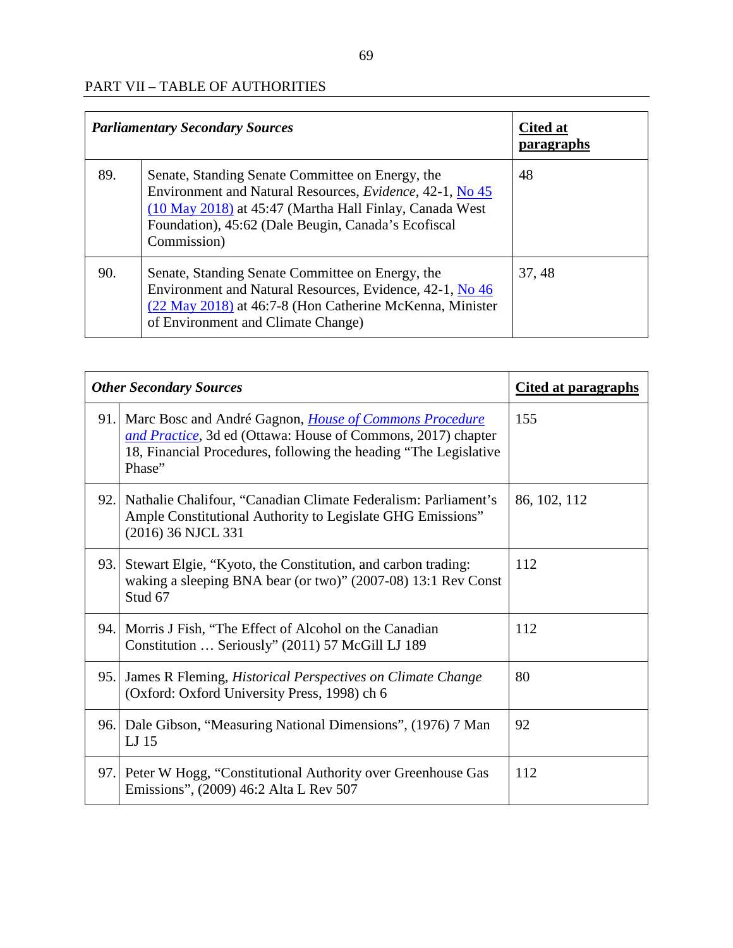| <b>Parliamentary Secondary Sources</b> |                                                                                                                                                                                                                                                | <b>Cited at</b><br><b>paragraphs</b> |
|----------------------------------------|------------------------------------------------------------------------------------------------------------------------------------------------------------------------------------------------------------------------------------------------|--------------------------------------|
| 89.                                    | Senate, Standing Senate Committee on Energy, the<br>Environment and Natural Resources, Evidence, 42-1, No 45<br>(10 May 2018) at 45:47 (Martha Hall Finlay, Canada West)<br>Foundation), 45:62 (Dale Beugin, Canada's Ecofiscal<br>Commission) | 48                                   |
| 90.                                    | Senate, Standing Senate Committee on Energy, the<br>Environment and Natural Resources, Evidence, 42-1, No 46<br>(22 May 2018) at 46:7-8 (Hon Catherine McKenna, Minister<br>of Environment and Climate Change)                                 | 37, 48                               |

| <b>Other Secondary Sources</b> |                                                                                                                                                                                                                 | <b>Cited at paragraphs</b> |
|--------------------------------|-----------------------------------------------------------------------------------------------------------------------------------------------------------------------------------------------------------------|----------------------------|
|                                | 91. Marc Bosc and André Gagnon, <i>House of Commons Procedure</i><br>and Practice, 3d ed (Ottawa: House of Commons, 2017) chapter<br>18, Financial Procedures, following the heading "The Legislative<br>Phase" | 155                        |
| 92.                            | Nathalie Chalifour, "Canadian Climate Federalism: Parliament's<br>Ample Constitutional Authority to Legislate GHG Emissions"<br>(2016) 36 NJCL 331                                                              | 86, 102, 112               |
| 93.                            | Stewart Elgie, "Kyoto, the Constitution, and carbon trading:<br>waking a sleeping BNA bear (or two)" (2007-08) 13:1 Rev Const<br>Stud 67                                                                        | 112                        |
| 94.                            | Morris J Fish, "The Effect of Alcohol on the Canadian<br>Constitution  Seriously" (2011) 57 McGill LJ 189                                                                                                       | 112                        |
| 95.                            | James R Fleming, <i>Historical Perspectives on Climate Change</i><br>(Oxford: Oxford University Press, 1998) ch 6                                                                                               | 80                         |
|                                | 96. Dale Gibson, "Measuring National Dimensions", (1976) 7 Man<br>LJ 15                                                                                                                                         | 92                         |
|                                | 97. Peter W Hogg, "Constitutional Authority over Greenhouse Gas<br>Emissions", (2009) 46:2 Alta L Rev 507                                                                                                       | 112                        |